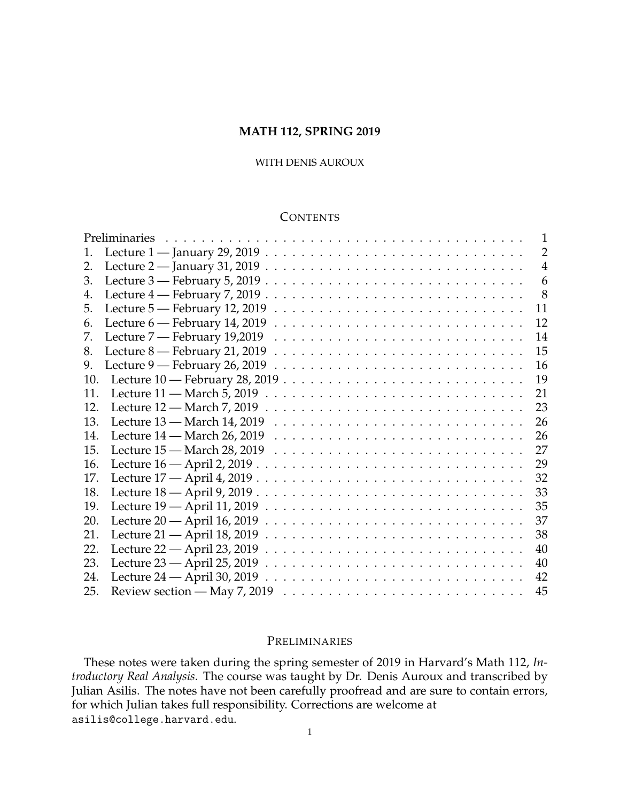## **MATH 112, SPRING 2019**

## WITH DENIS AUROUX

## **CONTENTS**

|     | Preliminaries                                                                                                       | $\mathbf{1}$   |
|-----|---------------------------------------------------------------------------------------------------------------------|----------------|
| 1.  |                                                                                                                     | 2              |
| 2.  |                                                                                                                     | $\overline{4}$ |
| 3.  |                                                                                                                     | 6              |
| 4.  |                                                                                                                     | 8              |
| 5.  | Lecture $5$ — February 12, 2019 $\ldots \ldots \ldots \ldots \ldots \ldots \ldots \ldots \ldots \ldots$             | 11             |
| 6.  | Lecture $6$ — February 14, 2019 $\ldots \ldots \ldots \ldots \ldots \ldots \ldots \ldots \ldots \ldots$             | 12             |
| 7.  | Lecture $7$ — February 19,2019 $\ldots \ldots \ldots \ldots \ldots \ldots \ldots \ldots \ldots \ldots$              | 14             |
| 8.  |                                                                                                                     | 15             |
| 9.  |                                                                                                                     | 16             |
| 10. |                                                                                                                     | 19             |
| 11. | Lecture $11$ — March 5, 2019 $\ldots \ldots \ldots \ldots \ldots \ldots \ldots \ldots \ldots \ldots$                | 21             |
| 12. |                                                                                                                     | 23             |
| 13. |                                                                                                                     | 26             |
| 14. |                                                                                                                     | 26             |
| 15. | Lecture $15$ — March $28$ , $2019$ $\ldots$ $\ldots$ $\ldots$ $\ldots$ $\ldots$ $\ldots$ $\ldots$ $\ldots$ $\ldots$ | 27             |
| 16. |                                                                                                                     | 29             |
| 17. |                                                                                                                     | 32             |
| 18. |                                                                                                                     | 33             |
| 19. |                                                                                                                     | 35             |
| 20. |                                                                                                                     | 37             |
| 21. |                                                                                                                     | 38             |
| 22. | Lecture 22 $-$ April 23, 2019 $\ldots \ldots \ldots \ldots \ldots \ldots \ldots \ldots \ldots \ldots \ldots$        | 40             |
| 23. |                                                                                                                     | 40             |
| 24. |                                                                                                                     | 42             |
| 25. |                                                                                                                     | 45             |

## <span id="page-0-0"></span>PRELIMINARIES

These notes were taken during the spring semester of 2019 in Harvard's Math 112, *Introductory Real Analysis*. The course was taught by Dr. Denis Auroux and transcribed by Julian Asilis. The notes have not been carefully proofread and are sure to contain errors, for which Julian takes full responsibility. Corrections are welcome at asilis@college.harvard.edu.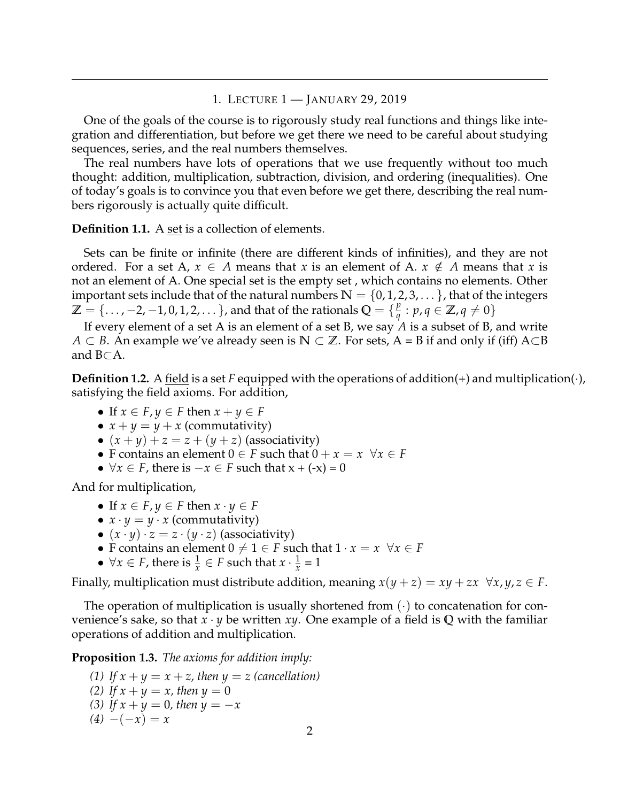### 1. LECTURE 1 — JANUARY 29, 2019

<span id="page-1-0"></span>One of the goals of the course is to rigorously study real functions and things like integration and differentiation, but before we get there we need to be careful about studying sequences, series, and the real numbers themselves.

The real numbers have lots of operations that we use frequently without too much thought: addition, multiplication, subtraction, division, and ordering (inequalities). One of today's goals is to convince you that even before we get there, describing the real numbers rigorously is actually quite difficult.

**Definition 1.1.** A set is a collection of elements.

Sets can be finite or infinite (there are different kinds of infinities), and they are not ordered. For a set A,  $x \in A$  means that *x* is an element of A.  $x \notin A$  means that *x* is not an element of A. One special set is the empty set , which contains no elements. Other important sets include that of the natural numbers  $\mathbb{N} = \{0, 1, 2, 3, \dots\}$ , that of the integers  $\mathbb{Z} = {\ldots, -2, -1, 0, 1, 2, \ldots}$ , and that of the rationals  $\mathbb{Q} = {\mathbb{Z}_q^2}$  $\frac{p}{q}: p, q \in \mathbb{Z}$ ,  $q \neq 0$ 

If every element of a set A is an element of a set B, we say *A* is a subset of B, and write *A* ⊂ *B*. An example we've already seen is **N** ⊂ **Z**. For sets, A = B if and only if (iff) A⊂B and B⊂A.

**Definition 1.2.** A <u>field</u> is a set F equipped with the operations of addition(+) and multiplication( $\cdot$ ), satisfying the field axioms. For addition,

- If  $x \in F$ ,  $y \in F$  then  $x + y \in F$
- $x + y = y + x$  (commutativity)
- $(x + y) + z = z + (y + z)$  (associativity)
- F contains an element  $0 \in F$  such that  $0 + x = x \quad \forall x \in F$
- $\forall x \in F$ , there is  $-x \in F$  such that  $x + (-x) = 0$

And for multiplication,

- If  $x \in F, y \in F$  then  $x \cdot y \in F$
- $x \cdot y = y \cdot x$  (commutativity)
- $(x \cdot y) \cdot z = z \cdot (y \cdot z)$  (associativity)
- F contains an element  $0 \neq 1 \in F$  such that  $1 \cdot x = x \quad \forall x \in F$
- $\forall x \in F$ , there is  $\frac{1}{x} \in F$  such that  $x \cdot \frac{1}{x}$  $\frac{1}{x} = 1$

Finally, multiplication must distribute addition, meaning  $x(y + z) = xy + zx \ \forall x, y, z \in F$ .

The operation of multiplication is usually shortened from  $(\cdot)$  to concatenation for convenience's sake, so that *x* · *y* be written *xy*. One example of a field is **Q** with the familiar operations of addition and multiplication.

**Proposition 1.3.** *The axioms for addition imply:*

*(1)* If  $x + y = x + z$ , then  $y = z$  (cancellation) *(2) If*  $x + y = x$ *, then*  $y = 0$ *(3) If*  $x + y = 0$ *, then*  $y = -x$  $(4)$  −(−*x*) = *x*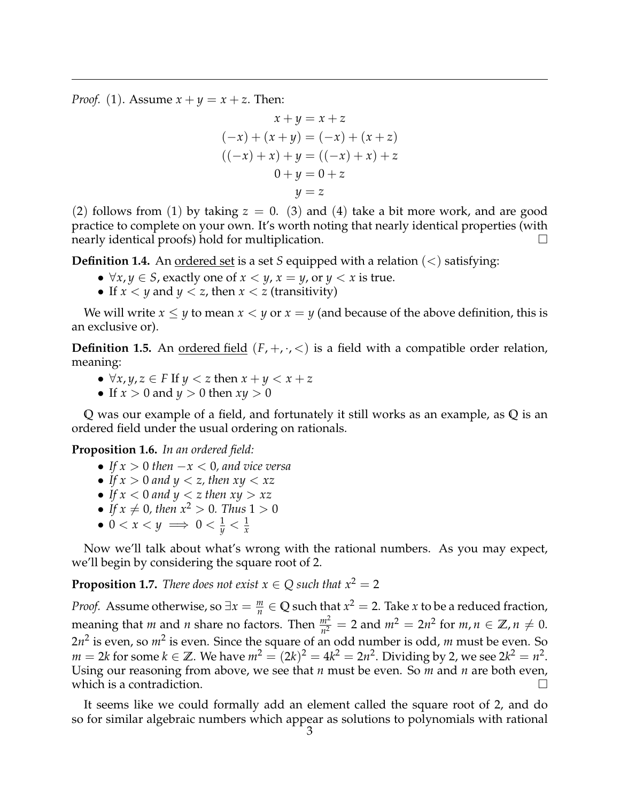*Proof.* (1). Assume  $x + y = x + z$ . Then:

$$
x + y = x + z
$$
  
\n
$$
(-x) + (x + y) = (-x) + (x + z)
$$
  
\n
$$
((-x) + x) + y = ((-x) + x) + z
$$
  
\n
$$
0 + y = 0 + z
$$
  
\n
$$
y = z
$$

(2) follows from (1) by taking  $z = 0$ . (3) and (4) take a bit more work, and are good practice to complete on your own. It's worth noting that nearly identical properties (with nearly identical proofs) hold for multiplication.  $\Box$ 

**Definition 1.4.** An <u>ordered set</u> is a set *S* equipped with a relation  $(<)$  satisfying:

- $\forall x, y \in S$ , exactly one of  $x < y$ ,  $x = y$ , or  $y < x$  is true.
- If  $x < y$  and  $y < z$ , then  $x < z$  (transitivity)

We will write  $x \leq y$  to mean  $x < y$  or  $x = y$  (and because of the above definition, this is an exclusive or).

**Definition 1.5.** An <u>ordered field</u>  $(F, +, \cdot, <)$  is a field with a compatible order relation, meaning:

- ∀*x*, *y*, *z* ∈ *F* If *y* < *z* then *x* + *y* < *x* + *z*
- If  $x > 0$  and  $y > 0$  then  $xy > 0$

**Q** was our example of a field, and fortunately it still works as an example, as **Q** is an ordered field under the usual ordering on rationals.

**Proposition 1.6.** *In an ordered field:*

- *If x* > 0 *then* −*x* < 0*, and vice versa*
- *If*  $x > 0$  *and*  $y < z$ *, then*  $xy < xz$
- If  $x < 0$  and  $y < z$  then  $xy > xz$
- If  $x \neq 0$ , then  $x^2 > 0$ . Thus  $1 > 0$
- $\bullet\,\,0 < x < y \implies 0 < \frac{1}{y} < \frac{1}{x}$

Now we'll talk about what's wrong with the rational numbers. As you may expect, we'll begin by considering the square root of 2.

**Proposition 1.7.** *There does not exist*  $x \in Q$  *such that*  $x^2 = 2$ 

*Proof.* Assume otherwise, so  $\exists x = \frac{m}{n} \in \mathbb{Q}$  such that  $x^2 = 2$ . Take *x* to be a reduced fraction, meaning that *m* and *n* share no factors. Then  $\frac{m^2}{n^2} = 2$  and  $m^2 = 2n^2$  for  $m, n \in \mathbb{Z}, n \neq 0$ . 2*n*<sup>2</sup> is even, so *m*<sup>2</sup> is even. Since the square of an odd number is odd, *m* must be even. So  $m = 2k$  for some  $k \in \mathbb{Z}$ . We have  $m^2 = (2k)^2 = 4k^2 = 2n^2$ . Dividing by 2, we see  $2k^2 = n^2$ . Using our reasoning from above, we see that *n* must be even. So *m* and *n* are both even, which is a contradiction.  $\Box$ 

It seems like we could formally add an element called the square root of 2, and do so for similar algebraic numbers which appear as solutions to polynomials with rational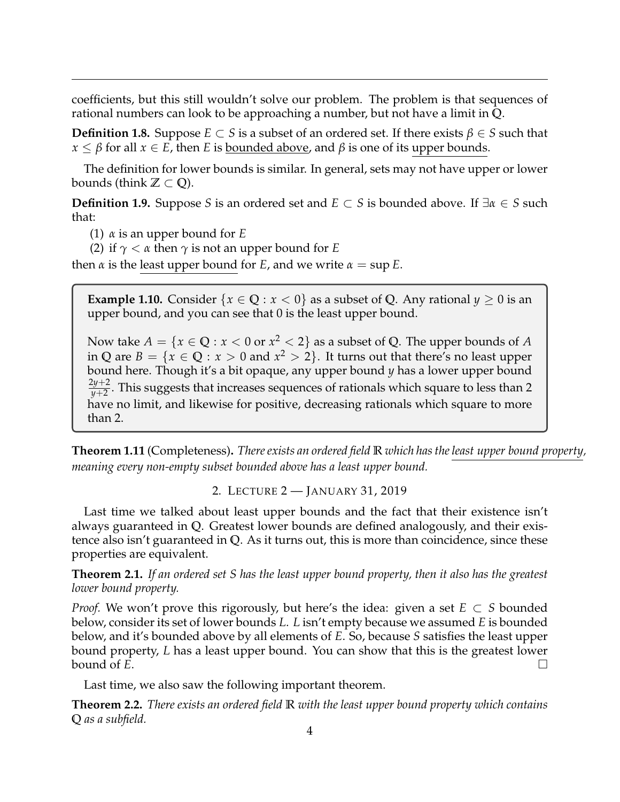coefficients, but this still wouldn't solve our problem. The problem is that sequences of rational numbers can look to be approaching a number, but not have a limit in **Q**.

**Definition 1.8.** Suppose *E* ⊂ *S* is a subset of an ordered set. If there exists  $β ∈ S$  such that  $x \leq \beta$  for all  $x \in E$ , then *E* is <u>bounded above</u>, and  $\beta$  is one of its upper bounds.

The definition for lower bounds is similar. In general, sets may not have upper or lower bounds (think  $\mathbb{Z} \subset \mathbb{Q}$ ).

**Definition 1.9.** Suppose *S* is an ordered set and *E* ⊂ *S* is bounded above. If ∃*α* ∈ *S* such that:

- (1) *α* is an upper bound for *E*
- (2) if *γ* < *α* then *γ* is not an upper bound for *E*

then  $\alpha$  is the least upper bound for *E*, and we write  $\alpha = \sup E$ .

**Example 1.10.** Consider  $\{x \in \mathbb{Q} : x < 0\}$  as a subset of Q. Any rational  $y \ge 0$  is an upper bound, and you can see that 0 is the least upper bound.

Now take  $A = \{x \in \mathbb{Q} : x < 0 \text{ or } x^2 < 2\}$  as a subset of  $\mathbb{Q}$ . The upper bounds of  $A$ in **Q** are  $B = \{x \in \mathbb{Q} : x > 0 \text{ and } x^2 > 2\}$ . It turns out that there's no least upper bound here. Though it's a bit opaque, any upper bound *y* has a lower upper bound 2*y*+2 *y*+2 . This suggests that increases sequences of rationals which square to less than 2 have no limit, and likewise for positive, decreasing rationals which square to more than 2.

**Theorem 1.11** (Completeness)**.** *There exists an ordered field* **R** *which has the least upper bound property, meaning every non-empty subset bounded above has a least upper bound.*

2. LECTURE 2 — JANUARY 31, 2019

<span id="page-3-0"></span>Last time we talked about least upper bounds and the fact that their existence isn't always guaranteed in **Q**. Greatest lower bounds are defined analogously, and their existence also isn't guaranteed in **Q**. As it turns out, this is more than coincidence, since these properties are equivalent.

**Theorem 2.1.** *If an ordered set S has the least upper bound property, then it also has the greatest lower bound property.*

*Proof.* We won't prove this rigorously, but here's the idea: given a set  $E \subset S$  bounded below, consider its set of lower bounds *L*. *L* isn't empty because we assumed *E* is bounded below, and it's bounded above by all elements of *E*. So, because *S* satisfies the least upper bound property, *L* has a least upper bound. You can show that this is the greatest lower bound of *E*. bound of  $\vec{E}$ .

Last time, we also saw the following important theorem.

**Theorem 2.2.** *There exists an ordered field* **R** *with the least upper bound property which contains* **Q** *as a subfield.*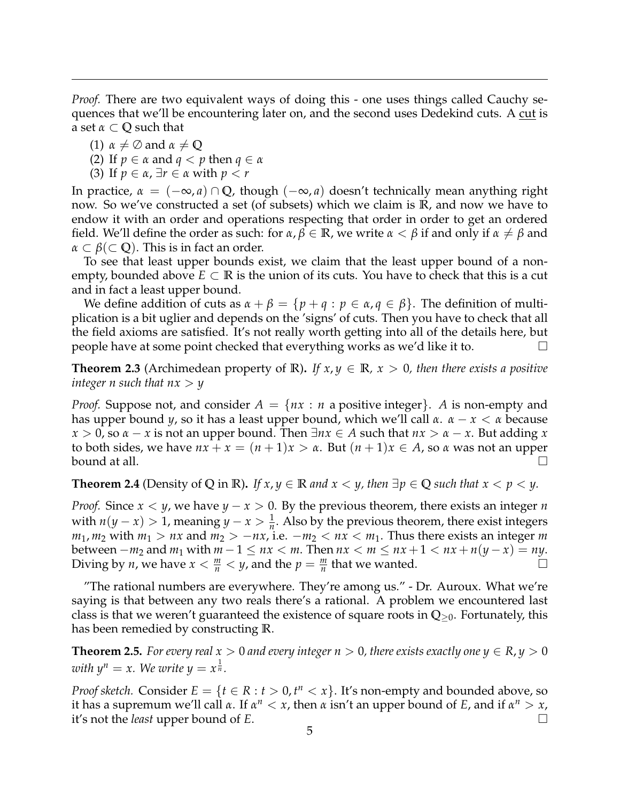*Proof.* There are two equivalent ways of doing this - one uses things called Cauchy sequences that we'll be encountering later on, and the second uses Dedekind cuts. A cut is a set *α* ⊂ **Q** such that

- (1)  $\alpha \neq \emptyset$  and  $\alpha \neq \emptyset$
- (2) If  $p \in \alpha$  and  $q < p$  then  $q \in \alpha$
- (3) If *p* ∈ *α*, ∃*r* ∈ *α* with *p* < *r*

In practice,  $\alpha = (-\infty, a) \cap \mathbb{Q}$ , though  $(-\infty, a)$  doesn't technically mean anything right now. So we've constructed a set (of subsets) which we claim is **R**, and now we have to endow it with an order and operations respecting that order in order to get an ordered field. We'll define the order as such: for  $\alpha$ ,  $\beta \in \mathbb{R}$ , we write  $\alpha < \beta$  if and only if  $\alpha \neq \beta$  and  $\alpha \subset \beta \subset \mathbb{Q}$ ). This is in fact an order.

To see that least upper bounds exist, we claim that the least upper bound of a nonempty, bounded above  $E \subset \mathbb{R}$  is the union of its cuts. You have to check that this is a cut and in fact a least upper bound.

We define addition of cuts as  $\alpha + \beta = \{p + q : p \in \alpha, q \in \beta\}$ . The definition of multiplication is a bit uglier and depends on the 'signs' of cuts. Then you have to check that all the field axioms are satisfied. It's not really worth getting into all of the details here, but people have at some point checked that everything works as we'd like it to.

**Theorem 2.3** (Archimedean property of **R**). If  $x, y \in \mathbb{R}$ ,  $x > 0$ , then there exists a positive *integer n such that*  $nx > y$ 

*Proof.* Suppose not, and consider  $A = \{nx : n \text{ a positive integer}\}\$ . *A* is non-empty and has upper bound *y*, so it has a least upper bound, which we'll call *α*. *α* − *x* < *α* because  $x > 0$ , so  $\alpha - x$  is not an upper bound. Then  $\exists nx \in A$  such that  $nx > \alpha - x$ . But adding *x* to both sides, we have  $nx + x = (n + 1)x > \alpha$ . But  $(n + 1)x \in A$ , so  $\alpha$  was not an upper bound at all.

**Theorem 2.4** (Density of Q in **R**). *If*  $x, y \in \mathbb{R}$  *and*  $x < y$ , *then*  $\exists p \in \mathbb{Q}$  *such that*  $x < p < y$ .

*Proof.* Since *x* < *y*, we have *y* − *x* > 0. By the previous theorem, there exists an integer *n* with  $n(y - x) > 1$ , meaning  $y - x > \frac{1}{n}$ . Also by the previous theorem, there exist integers  $m_1$ ,  $m_2$  with  $m_1 > nx$  and  $m_2 > -nx$ , i.e.  $-m_2 < nx < m_1$ . Thus there exists an integer *m* between −*m*<sub>2</sub> and *m*<sub>1</sub> with *m* − 1 ≤ *nx* < *m*. Then *nx* < *m* ≤ *nx* + 1 < *nx* + *n*(*y* − *x*) = *ny*. Diving by *n*, we have *x* <  $\frac{m}{2}$  < *v*, and the *p* =  $\frac{m}{2}$  that we wanted. Diving by *n*, we have  $x < \frac{m}{n} < y$ , and the  $p = \frac{m}{n}$  that we wanted.

"The rational numbers are everywhere. They're among us." - Dr. Auroux. What we're saying is that between any two reals there's a rational. A problem we encountered last class is that we weren't guaranteed the existence of square roots in **Q**≥0. Fortunately, this has been remedied by constructing **R**.

**Theorem 2.5.** *For every real*  $x > 0$  *and every integer*  $n > 0$ *, there exists exactly one*  $y \in R$ *,*  $y > 0$ with  $y^n = x$ . We write  $y = x^{\frac{1}{n}}$ .

*Proof sketch.* Consider  $E = \{t \in R : t > 0, t^n < x\}$ . It's non-empty and bounded above, so it has a supremum we'll call *α*. If  $\alpha^n < x$ , then *α* isn't an upper bound of *E*, and if  $\alpha^n > x$ , it's not the *least* upper bound of *E*.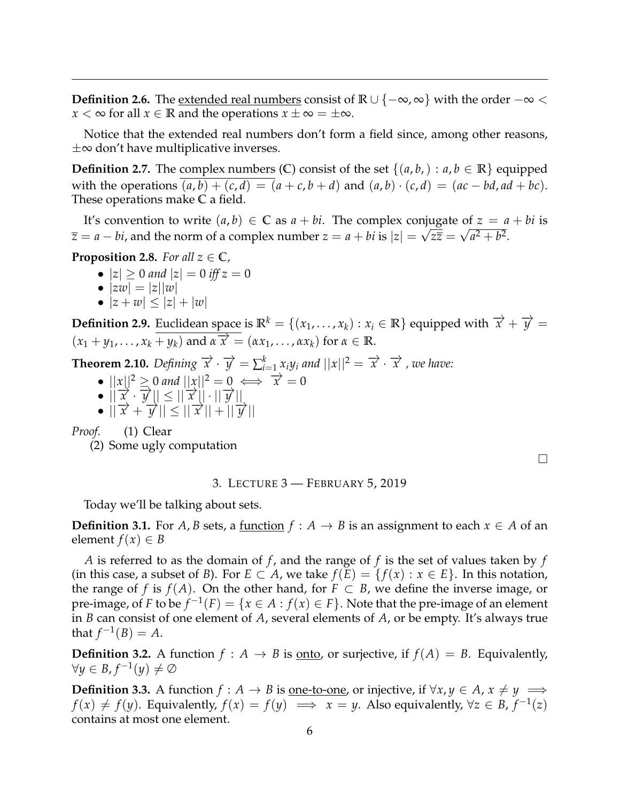**Definition 2.6.** The <u>extended real numbers</u> consist of **R** ∪ { $-\infty$ ,  $\infty$ } with the order  $-\infty$  < *x* < ∞ for all *x*  $\in$  **R** and the operations *x*  $\pm \infty = \pm \infty$ .

Notice that the extended real numbers don't form a field since, among other reasons,  $\pm\infty$  don't have multiplicative inverses.

**Definition 2.7.** The complex numbers (**C**) consist of the set  $\{(a, b, ) : a, b \in \mathbb{R}\}$  equipped with the operations  $(a, b) + (c, d) = (a + c, b + d)$  and  $(a, b) \cdot (c, d) = (ac - bd, ad + bc)$ . These operations make **C** a field.

It's convention to write  $(a, b) \in \mathbb{C}$  as  $a + bi$ . The complex conjugate of  $z = a + bi$  is  $\overline{z} = a - bi$ , and the norm of a complex number  $z = a + bi$  is  $|z| = \sqrt{z\overline{z}} = \sqrt{a^2 + b^2}$ .

**Proposition 2.8.** *For all*  $z \in \mathbb{C}$ *,* 

- $|z| \ge 0$  and  $|z| = 0$  iff  $z = 0$
- $|zw| = |z||w|$
- $|z+w| \leq |z| + |w|$

**Definition 2.9.** Euclidean space is  $\mathbb{R}^k = \{(x_1, \ldots, x_k) : x_i \in \mathbb{R}\}$  equipped with  $\overrightarrow{x} + \overrightarrow{y} =$  $(x_1 + y_1, \ldots, x_k + y_k)$  and  $\overrightarrow{x} \cdot \overrightarrow{x} = (\alpha x_1, \ldots, \alpha x_k)$  for  $\alpha \in \mathbb{R}$ .

**Theorem 2.10.** Defining  $\overrightarrow{x} \cdot \overrightarrow{y} = \sum_{i=1}^{k} x_i y_i$  and  $||x||^2 = \overrightarrow{x} \cdot \overrightarrow{x}$  , we have:

- $||x||^2 \ge 0$  and  $||x||^2 = 0 \iff \overrightarrow{x} = 0$
- $\bullet$   $||\overrightarrow{x} \cdot \overrightarrow{y}|| \leq ||\overrightarrow{x}|| \cdot ||\overrightarrow{y}||$
- $\bullet$   $||\frac{x}{x} + \frac{y}{y}|| \le ||\frac{x}{x}|| + ||\frac{y}{y}||$

*Proof.* (1) Clear

(2) Some ugly computation

3. LECTURE 3 — FEBRUARY 5, 2019

<span id="page-5-0"></span>Today we'll be talking about sets.

**Definition 3.1.** For *A*, *B* sets, a <u>function</u>  $f : A \rightarrow B$  is an assignment to each  $x \in A$  of an element  $f(x) \in B$ 

*A* is referred to as the domain of *f* , and the range of *f* is the set of values taken by *f* (in this case, a subset of *B*). For  $E \subset A$ , we take  $f(E) = \{f(x) : x \in E\}$ . In this notation, the range of *f* is  $f(A)$ . On the other hand, for  $F \subset B$ , we define the inverse image, or pre-image, of *F* to be  $f^{-1}(F) = \{x \in A : f(x) \in F\}$ . Note that the pre-image of an element in *B* can consist of one element of *A*, several elements of *A*, or be empty. It's always true that  $f^{-1}(B) = A$ .

**Definition 3.2.** A function  $f : A \rightarrow B$  is <u>onto</u>, or surjective, if  $f(A) = B$ . Equivalently,  $\forall y \in B, f^{-1}(y) \neq \emptyset$ 

**Definition 3.3.** A function  $f : A \rightarrow B$  is <u>one-to-one</u>, or injective, if  $\forall x, y \in A$ ,  $x \neq y \implies$ *f*(*x*)  $\neq$  *f*(*y*). Equivalently, *f*(*x*) = *f*(*y*)  $\implies$  *x* = *y*. Also equivalently, ∀*z* ∈ *B*, *f*<sup>-1</sup>(*z*) contains at most one element.

 $\Box$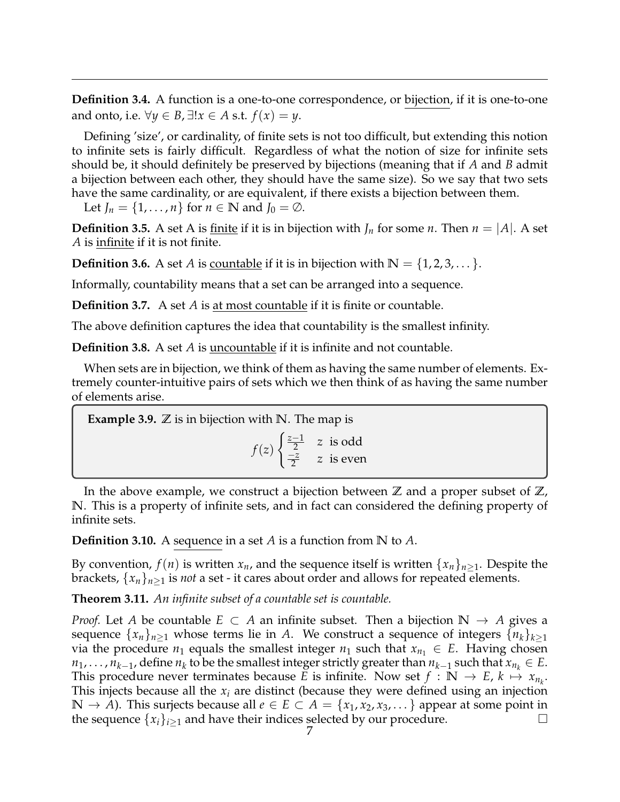**Definition 3.4.** A function is a one-to-one correspondence, or bijection, if it is one-to-one and onto, i.e.  $\forall y \in B$ ,  $\exists !x \in A$  s.t.  $f(x) = y$ .

Defining 'size', or cardinality, of finite sets is not too difficult, but extending this notion to infinite sets is fairly difficult. Regardless of what the notion of size for infinite sets should be, it should definitely be preserved by bijections (meaning that if *A* and *B* admit a bijection between each other, they should have the same size). So we say that two sets have the same cardinality, or are equivalent, if there exists a bijection between them.

Let  $J_n = \{1, \ldots, n\}$  for  $n \in \mathbb{N}$  and  $J_0 = \emptyset$ .

**Definition 3.5.** A set A is finite if it is in bijection with  $J_n$  for some *n*. Then  $n = |A|$ . A set *A* is infinite if it is not finite.

**Definition 3.6.** A set *A* is <u>countable</u> if it is in bijection with  $\mathbb{N} = \{1, 2, 3, \dots\}$ .

Informally, countability means that a set can be arranged into a sequence.

**Definition 3.7.** A set *A* is at most countable if it is finite or countable.

The above definition captures the idea that countability is the smallest infinity.

**Definition 3.8.** A set *A* is uncountable if it is infinite and not countable.

When sets are in bijection, we think of them as having the same number of elements. Extremely counter-intuitive pairs of sets which we then think of as having the same number of elements arise.

**Example 3.9.**  $\mathbb Z$  is in bijection with N. The map is *f*(*z*) ( *z*−1  $\frac{-1}{2}$  z is odd −*z*  $\frac{-z}{2}$  *z* is even

In the above example, we construct a bijection between  $\mathbb Z$  and a proper subset of  $\mathbb Z$ , **N**. This is a property of infinite sets, and in fact can considered the defining property of infinite sets.

**Definition 3.10.** A sequence in a set *A* is a function from **N** to *A*.

By convention,  $f(n)$  is written  $x_n$ , and the sequence itself is written  $\{x_n\}_{n\geq 1}$ . Despite the brackets,  $\{x_n\}_{n\geq 1}$  is *not* a set - it cares about order and allows for repeated elements.

**Theorem 3.11.** *An infinite subset of a countable set is countable.*

*Proof.* Let *A* be countable  $E \subset A$  an infinite subset. Then a bijection  $\mathbb{N} \to A$  gives a sequence  $\{x_n\}_{n\geq 1}$  whose terms lie in *A*. We construct a sequence of integers  $\{n_k\}_{k\geq 1}$ via the procedure  $n_1$  equals the smallest integer  $n_1$  such that  $x_{n_1} \in E$ . Having chosen  $n_1, \ldots, n_{k-1}$ , define  $n_k$  to be the smallest integer strictly greater than  $n_{k-1}$  such that  $x_{n_k} \in E$ . This procedure never terminates because *E* is infinite. Now set  $f : \mathbb{N} \to E$ ,  $k \mapsto x_{n_k}$ . This injects because all the *x<sup>i</sup>* are distinct (because they were defined using an injection **N** → *A*). This surjects because all  $e \in E \subset A = \{x_1, x_2, x_3, \dots\}$  appear at some point in the sequence  $\{x_i\}_{i>1}$  and have their indices selected by our procedure.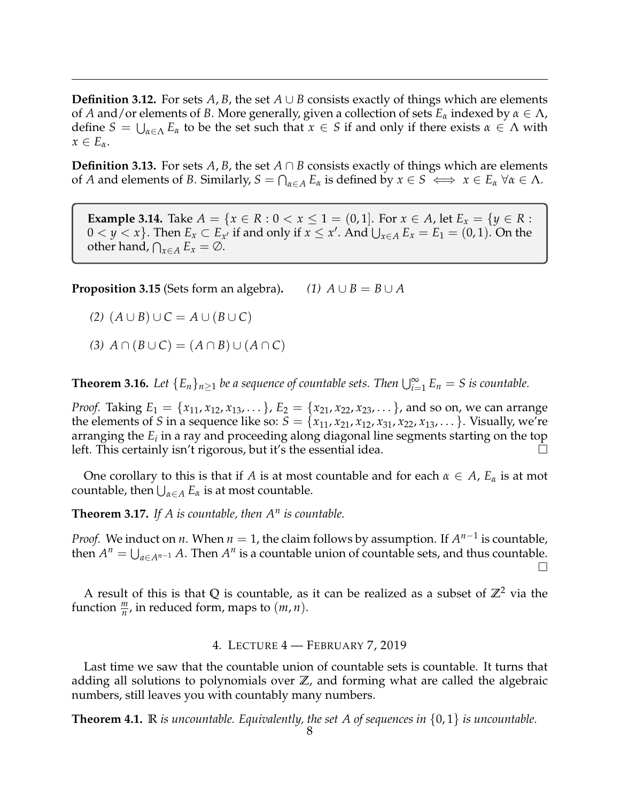**Definition 3.12.** For sets *A*, *B*, the set  $A \cup B$  consists exactly of things which are elements of *A* and/or elements of *B*. More generally, given a collection of sets *E<sup>α</sup>* indexed by *α* ∈ Λ, define  $S = \bigcup_{\alpha \in \Lambda} E_{\alpha}$  to be the set such that  $x \in S$  if and only if there exists  $\alpha \in \Lambda$  with  $x \in E_\alpha$ .

**Definition 3.13.** For sets *A*, *B*, the set  $A \cap B$  consists exactly of things which are elements of *A* and elements of *B*. Similarly,  $S = \bigcap_{\alpha \in A} E_{\alpha}$  is defined by  $x \in S \iff x \in E_{\alpha} \ \forall \alpha \in \Lambda$ .

**Example 3.14.** Take  $A = \{x \in R : 0 < x \le 1 = (0, 1]$ . For  $x \in A$ , let  $E_x = \{y \in R : 0 < x \le 1 \}$  $0 < y < x$ }. Then  $E_x \subset E_{x'}$  if and only if  $x \leq x'$ . And  $\bigcup_{x \in A} E_x = E_1 = (0, 1)$ . On the other hand,  $\bigcap_{x \in A} E_x = \emptyset$ .

**Proposition 3.15** (Sets form an algebra).  $(1)$   $A \cup B = B \cup A$ 

*(2)*  $(A ∪ B) ∪ C = A ∪ (B ∪ C)$ 

 $(A)$   $A \cap (B \cup C) = (A \cap B) \cup (A \cap C)$ 

**Theorem 3.16.** Let  ${E_n}_{n\geq1}$  be a sequence of countable sets. Then  $\bigcup_{i=1}^{\infty} E_n = S$  is countable.

*Proof.* Taking  $E_1 = \{x_{11}, x_{12}, x_{13}, \ldots\}$ ,  $E_2 = \{x_{21}, x_{22}, x_{23}, \ldots\}$ , and so on, we can arrange the elements of *S* in a sequence like so:  $\overline{S} = \{x_{11}, x_{21}, x_{12}, x_{31}, x_{22}, x_{13}, \ldots\}$ . Visually, we're arranging the *E<sup>i</sup>* in a ray and proceeding along diagonal line segments starting on the top left. This certainly isn't rigorous, but it's the essential idea.

One corollary to this is that if *A* is at most countable and for each  $\alpha \in A$ ,  $E_{\alpha}$  is at mot countable, then  $\bigcup_{\alpha \in A} E_{\alpha}$  is at most countable.

**Theorem 3.17.** *If A is countable, then A<sup>n</sup> is countable.*

*Proof.* We induct on *n*. When  $n = 1$ , the claim follows by assumption. If  $A^{n-1}$  is countable, then  $A^n = \bigcup_{a \in A^{n-1}} A$ . Then  $A^n$  is a countable union of countable sets, and thus countable.  $\Box$ 

A result of this is that Q is countable, as it can be realized as a subset of  $\mathbb{Z}^2$  via the function  $\frac{m}{n}$ , in reduced form, maps to  $(m, n)$ .

## 4. LECTURE 4 — FEBRUARY 7, 2019

<span id="page-7-0"></span>Last time we saw that the countable union of countable sets is countable. It turns that adding all solutions to polynomials over **Z**, and forming what are called the algebraic numbers, still leaves you with countably many numbers.

**Theorem 4.1. R** *is uncountable. Equivalently, the set A of sequences in* {0, 1} *is uncountable.*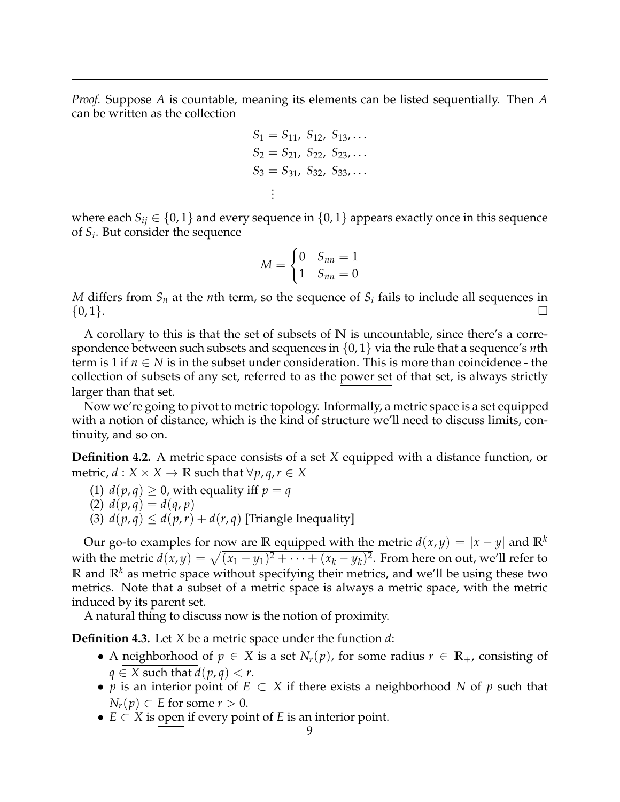*Proof.* Suppose *A* is countable, meaning its elements can be listed sequentially. Then *A* can be written as the collection

$$
S_1 = S_{11}, S_{12}, S_{13}, \dots
$$
  
\n
$$
S_2 = S_{21}, S_{22}, S_{23}, \dots
$$
  
\n
$$
S_3 = S_{31}, S_{32}, S_{33}, \dots
$$
  
\n
$$
\vdots
$$

where each  $S_{ij} \in \{0,1\}$  and every sequence in  $\{0,1\}$  appears exactly once in this sequence of *S<sup>i</sup>* . But consider the sequence

$$
M = \begin{cases} 0 & S_{nn} = 1 \\ 1 & S_{nn} = 0 \end{cases}
$$

*M* differs from *S<sup>n</sup>* at the *n*th term, so the sequence of *S<sup>i</sup>* fails to include all sequences in  $\{0,1\}.$ 

A corollary to this is that the set of subsets of **N** is uncountable, since there's a correspondence between such subsets and sequences in {0, 1} via the rule that a sequence's *n*th term is 1 if  $n \in N$  is in the subset under consideration. This is more than coincidence - the collection of subsets of any set, referred to as the power set of that set, is always strictly larger than that set.

Now we're going to pivot to metric topology. Informally, a metric space is a set equipped with a notion of distance, which is the kind of structure we'll need to discuss limits, continuity, and so on.

**Definition 4.2.** A metric space consists of a set *X* equipped with a distance function, or  $\text{metric}, d: X \times X \to \mathbb{R} \text{ such that } \forall p, q, r \in X$ 

- (1)  $d(p,q) \geq 0$ , with equality iff  $p = q$
- (2)  $d(p,q) = d(q,p)$
- (3)  $d(p,q) \leq d(p,r) + d(r,q)$  [Triangle Inequality]

Our go-to examples for now are **R** equipped with the metric  $d(x, y) = |x - y|$  and  $\mathbb{R}^k$ with the metric  $d(x,y) = \sqrt{(x_1 - y_1)^2 + \cdots + (x_k - y_k)^2}$ . From here on out, we'll refer to  $\mathbb{R}$  and  $\mathbb{R}^k$  as metric space without specifying their metrics, and we'll be using these two metrics. Note that a subset of a metric space is always a metric space, with the metric induced by its parent set.

A natural thing to discuss now is the notion of proximity.

**Definition 4.3.** Let *X* be a metric space under the function *d*:

- A neighborhood of  $p \in X$  is a set  $N_r(p)$ , for some radius  $r \in \mathbb{R}_+$ , consisting of *q* ∈ *X* such that *d*(*p*, *q*) < *r*.
- *p* is an interior point of *E* ⊂ *X* if there exists a neighborhood *N* of *p* such that *N*<sup>*r*</sup>(*p*) ⊂ *E* for some *r* > 0.
- *E* ⊂ *X* is open if every point of *E* is an interior point.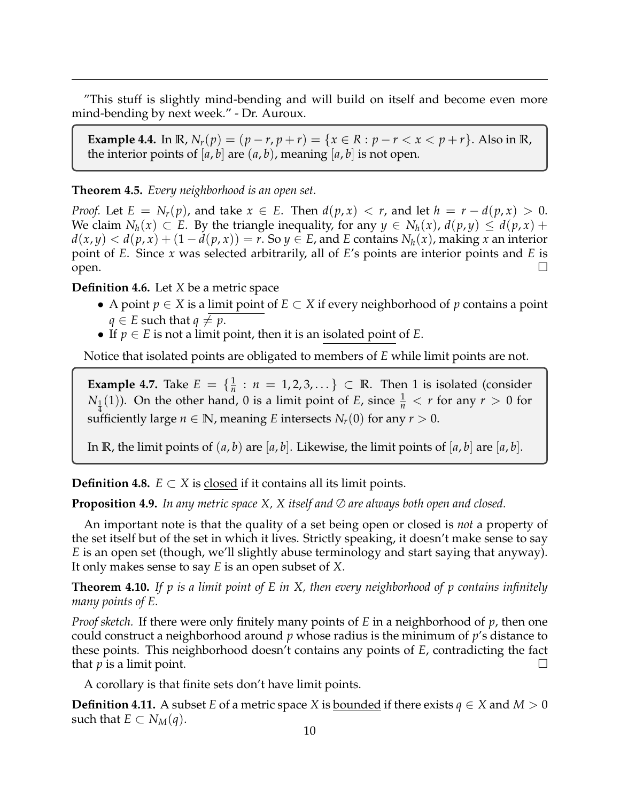"This stuff is slightly mind-bending and will build on itself and become even more mind-bending by next week." - Dr. Auroux.

**Example 4.4.** In  $\mathbb{R}$ ,  $N_r(p) = (p - r, p + r) = \{x \in \mathbb{R} : p - r < x < p + r\}$ . Also in  $\mathbb{R}$ , the interior points of  $[a, b]$  are  $(a, b)$ , meaning  $[a, b]$  is not open.

# **Theorem 4.5.** *Every neighborhood is an open set.*

*Proof.* Let  $E = N_r(p)$ , and take  $x \in E$ . Then  $d(p, x) < r$ , and let  $h = r - d(p, x) > 0$ . *We claim*  $N_h(x)$  ⊂ *E*. By the triangle inequality, for any  $y$  ∈  $N_h(x)$ ,  $d(p, y)$  ≤  $d(p, x)$  +  $d(x, y) < d(p, x) + (1 - d(p, x)) = r$ . So  $y \in E$ , and *E* contains  $N_h(x)$ , making *x* an interior point of *E*. Since *x* was selected arbitrarily, all of *E*'s points are interior points and *E* is open.

**Definition 4.6.** Let *X* be a metric space

- A point *p* ∈ *X* is a limit point of *E* ⊂ *X* if every neighborhood of *p* contains a point *q* ∈ *E* such that *q*  $\neq$  *p*.
- If  $p \in E$  is not a limit point, then it is an isolated point of  $E$ .

Notice that isolated points are obligated to members of *E* while limit points are not.

**Example 4.7.** Take  $E = \{\frac{1}{n}\}$  $\frac{1}{n}$  :  $n = 1, 2, 3, \ldots$   $\}$   $\subset \mathbb{R}$ . Then 1 is isolated (consider *N*<sub>1</sub>(1)). On the other hand, 0 is a limit point of *E*, since  $\frac{1}{n} < r$  for any  $r > 0$  for sufficiently large  $n \in \mathbb{N}$ , meaning *E* intersects  $N_r(0)$  for any  $r > 0$ .

In **R**, the limit points of  $(a, b)$  are  $[a, b]$ . Likewise, the limit points of  $[a, b]$  are  $[a, b]$ .

**Definition 4.8.**  $E \subset X$  is closed if it contains all its limit points.

**Proposition 4.9.** *In any metric space X, X itself and* ∅ *are always both open and closed.*

An important note is that the quality of a set being open or closed is *not* a property of the set itself but of the set in which it lives. Strictly speaking, it doesn't make sense to say *E* is an open set (though, we'll slightly abuse terminology and start saying that anyway). It only makes sense to say *E* is an open subset of *X*.

**Theorem 4.10.** *If p is a limit point of E in X, then every neighborhood of p contains infinitely many points of E.*

*Proof sketch.* If there were only finitely many points of *E* in a neighborhood of *p*, then one could construct a neighborhood around *p* whose radius is the minimum of *p*'s distance to these points. This neighborhood doesn't contains any points of *E*, contradicting the fact that *p* is a limit point.  $\Box$ 

A corollary is that finite sets don't have limit points.

**Definition 4.11.** A subset *E* of a metric space *X* is <u>bounded</u> if there exists  $q \in X$  and  $M > 0$ such that  $E \subset N_M(q)$ .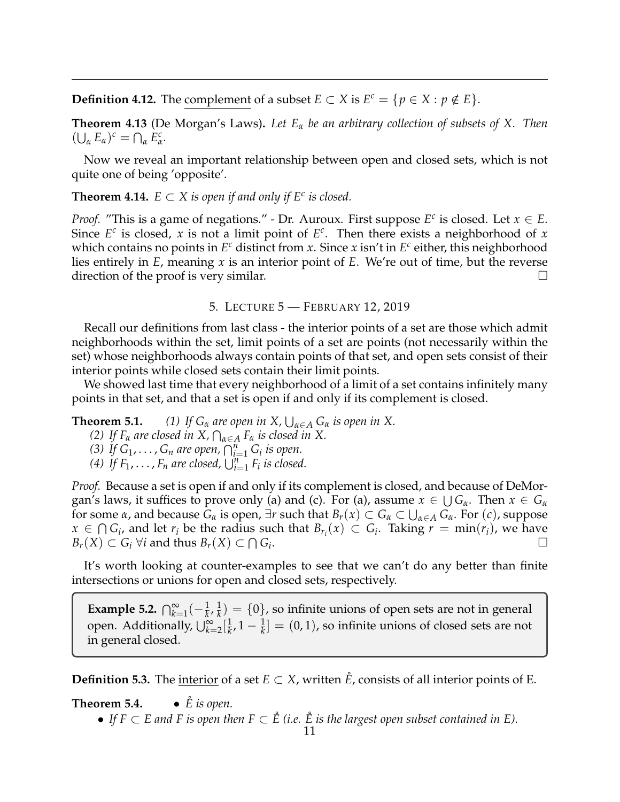**Definition 4.12.** The complement of a subset  $E \subset X$  is  $E^c = \{p \in X : p \notin E\}.$ 

**Theorem 4.13** (De Morgan's Laws)**.** *Let E<sup>α</sup> be an arbitrary collection of subsets of X. Then*  $(\bigcup_{\alpha} E_{\alpha})^c = \bigcap_{\alpha} E_{\alpha}^c$ *α .*

Now we reveal an important relationship between open and closed sets, which is not quite one of being 'opposite'.

**Theorem 4.14.**  $E \subset X$  is open if and only if  $E^c$  is closed.

*Proof.* "This is a game of negations." - Dr. Auroux. First suppose  $E^c$  is closed. Let  $x \in E$ . Since  $E^c$  is closed, *x* is not a limit point of  $E^c$ . Then there exists a neighborhood of *x* which contains no points in *E <sup>c</sup>* distinct from *x*. Since *x* isn't in *E c* either, this neighborhood lies entirely in *E*, meaning *x* is an interior point of *E*. We're out of time, but the reverse direction of the proof is very similar.

## 5. LECTURE 5 — FEBRUARY 12, 2019

<span id="page-10-0"></span>Recall our definitions from last class - the interior points of a set are those which admit neighborhoods within the set, limit points of a set are points (not necessarily within the set) whose neighborhoods always contain points of that set, and open sets consist of their interior points while closed sets contain their limit points.

We showed last time that every neighborhood of a limit of a set contains infinitely many points in that set, and that a set is open if and only if its complement is closed.

**Theorem 5.1.** *(1) If*  $G_{\alpha}$  *are open in*  $X$ ,  $\bigcup_{\alpha \in A} G_{\alpha}$  *is open in*  $X$ .

- *(2)* If  $F_\alpha$  are closed in X,  $\bigcap_{\alpha \in A} F_\alpha$  is closed in X.
- *(3) If*  $G_1, ..., G_n$  are open,  $\bigcap_{i=1}^n G_i$  *is open.*
- (4) If  $F_1, \ldots, F_n$  are closed,  $\bigcup_{i=1}^n F_i$  is closed.

*Proof.* Because a set is open if and only if its complement is closed, and because of DeMorgan's laws, it suffices to prove only (a) and (c). For (a), assume  $x \in \bigcup G_\alpha$ . Then  $x \in G_\alpha$ for some *α*, and because  $G_\alpha$  is open,  $\exists r$  such that  $B_r(x) \subset G_\alpha \subset \bigcup_{\alpha \in A} G_\alpha$ . For  $(c)$ , suppose *x* ∈  $\bigcap G_i$ , and let *r*<sup>*i*</sup> be the radius such that  $B_{r_i}(x) \subset G_i$ . Taking *r* = min(*r<sub>i</sub>*), we have  $B_r(X) \subset G_i$  ∀*i* and thus  $B_r(X) \subset \bigcap G_i$ .

It's worth looking at counter-examples to see that we can't do any better than finite intersections or unions for open and closed sets, respectively.

**Example 5.2.**  $\bigcap_{k=1}^{\infty} (-\frac{1}{k}, \frac{1}{k})$  $\frac{d}{dx}$ ) = {0}, so infinite unions of open sets are not in general open. Additionally,  $\bigcup_{k=2}^{\infty} [\frac{1}{k}]$  $\frac{1}{k}$ ,  $1 - \frac{1}{k}$  =  $(0, 1)$ , so infinite unions of closed sets are not in general closed.

**Definition 5.3.** The interior of a set  $E \subset X$ , written  $\tilde{E}$ , consists of all interior points of E.

**Theorem 5.4.** •  $\check{E}$  *is open.* 

<sup>•</sup> If  $F \subset E$  and F is open then  $F \subset \mathring{E}$  (i.e.  $\mathring{E}$  is the largest open subset contained in E).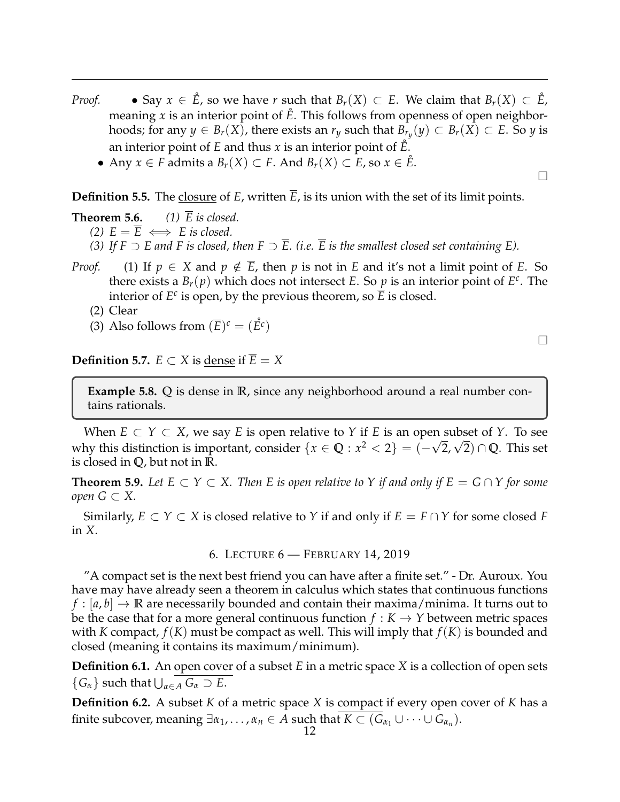- *Proof.* Say  $x \in \mathring{E}$ , so we have *r* such that  $B_r(X) \subset E$ . We claim that  $B_r(X) \subset \mathring{E}$ , meaning  $x$  is an interior point of  $\hat{E}$ . This follows from openness of open neighborhoods; for any  $y \in B_r(X)$ , there exists an  $r_y$  such that  $B_{r_y}(y) \subset B_r(X) \subset E$ . So  $y$  is an interior point of *E* and thus *x* is an interior point of *E*˚.
	- Any *x* ∈ *F* admits a *Br*(*X*) ⊂ *F*. And *Br*(*X*) ⊂ *E*, so *x* ∈ *E*˚.

**Definition 5.5.** The closure of *E*, written  $\overline{E}$ , is its union with the set of its limit points.

**Theorem 5.6.** *(1)*  $\overline{E}$  *is closed.* 

- *(2)*  $E = E \iff E$  *is closed.*
- *(3)* If  $F \supset E$  and F is closed, then  $F \supset \overline{E}$ . *(i.e.*  $\overline{E}$  is the smallest closed set containing E).
- *Proof.* (1) If  $p \in X$  and  $p \notin \overline{E}$ , then *p* is not in *E* and it's not a limit point of *E*. So there exists a  $B_r(p)$  which does not intersect *E*. So *p* is an interior point of *E<sup>c</sup>*. The interior of  $E^c$  is open, by the previous theorem, so  $\overline{E}$  is closed.
	- (2) Clear
	- (3) Also follows from  $(\overline{E})^c = (\mathring{E}^c)$

**Definition 5.7.**  $E \subset X$  is dense if  $E = X$ 

**Example 5.8. Q** is dense in **R**, since any neighborhood around a real number contains rationals.

When  $E \subset Y \subset X$ , we say  $E$  is open relative to  $Y$  if  $E$  is an open subset of  $Y$ . To see when  $E \subset Y \subset X$ , we say E is open relative to Y if E is an open subset of Y. To see<br>why this distinction is important, consider  $\{x \in \mathbb{Q} : x^2 < 2\} = (-\sqrt{2}, \sqrt{2}) \cap \mathbb{Q}$ . This set is closed in **Q**, but not in **R**.

**Theorem 5.9.** Let  $E \subset Y \subset X$ . Then  $E$  is open relative to  $Y$  if and only if  $E = G \cap Y$  for some *open G* ⊂ *X.*

Similarly,  $E \subset Y \subset X$  is closed relative to *Y* if and only if  $E = F \cap Y$  for some closed *F* in *X*.

6. LECTURE 6 — FEBRUARY 14, 2019

<span id="page-11-0"></span>"A compact set is the next best friend you can have after a finite set." - Dr. Auroux. You have may have already seen a theorem in calculus which states that continuous functions  $f : |a, b| \to \mathbb{R}$  are necessarily bounded and contain their maxima/minima. It turns out to be the case that for a more general continuous function  $f : K \to Y$  between metric spaces with *K* compact,  $f(K)$  must be compact as well. This will imply that  $f(K)$  is bounded and closed (meaning it contains its maximum/minimum).

**Definition 6.1.** An open cover of a subset *E* in a metric space *X* is a collection of open sets  ${G_{\alpha}}$  such that  $\bigcup_{\alpha \in A} G_{\alpha} \supset E$ .

**Definition 6.2.** A subset *K* of a metric space *X* is compact if every open cover of *K* has a finite subcover, meaning  $\exists \alpha_1, \ldots, \alpha_n \in A$  such that  $K \subset (G_{\alpha_1} \cup \cdots \cup G_{\alpha_n}).$ 

 $\Box$ 

 $\Box$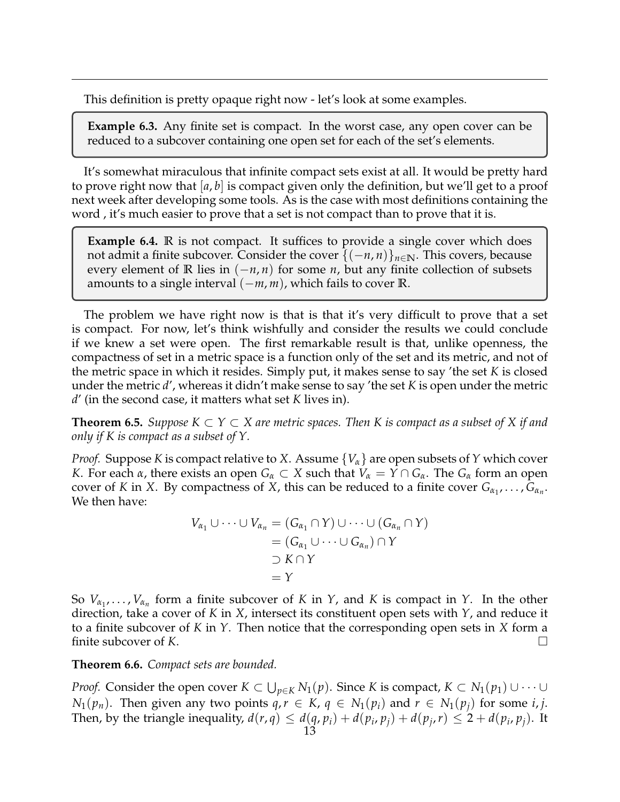This definition is pretty opaque right now - let's look at some examples.

**Example 6.3.** Any finite set is compact. In the worst case, any open cover can be reduced to a subcover containing one open set for each of the set's elements.

It's somewhat miraculous that infinite compact sets exist at all. It would be pretty hard to prove right now that [*a*, *b*] is compact given only the definition, but we'll get to a proof next week after developing some tools. As is the case with most definitions containing the word , it's much easier to prove that a set is not compact than to prove that it is.

**Example 6.4. R** is not compact. It suffices to provide a single cover which does not admit a finite subcover. Consider the cover  $\{(-n, n)\}_{n\in\mathbb{N}}$ . This covers, because every element of **R** lies in (−*n*, *n*) for some *n*, but any finite collection of subsets amounts to a single interval (−*m*, *m*), which fails to cover **R**.

The problem we have right now is that is that it's very difficult to prove that a set is compact. For now, let's think wishfully and consider the results we could conclude if we knew a set were open. The first remarkable result is that, unlike openness, the compactness of set in a metric space is a function only of the set and its metric, and not of the metric space in which it resides. Simply put, it makes sense to say 'the set *K* is closed under the metric *d*', whereas it didn't make sense to say 'the set *K* is open under the metric *d*' (in the second case, it matters what set *K* lives in).

**Theorem 6.5.** *Suppose*  $K ⊂ Y ⊂ X$  are metric spaces. Then K is compact as a subset of X if and *only if K is compact as a subset of Y.*

*Proof.* Suppose *K* is compact relative to *X*. Assume {*Vα*} are open subsets of *Y* which cover *K*. For each *α*, there exists an open  $G_\alpha \subset X$  such that  $V_\alpha = Y \cap G_\alpha$ . The  $G_\alpha$  form an open cover of *K* in *X*. By compactness of *X*, this can be reduced to a finite cover  $G_{\alpha_1}, \ldots, G_{\alpha_n}$ . We then have:

$$
V_{\alpha_1} \cup \cdots \cup V_{\alpha_n} = (G_{\alpha_1} \cap Y) \cup \cdots \cup (G_{\alpha_n} \cap Y)
$$
  
=  $(G_{\alpha_1} \cup \cdots \cup G_{\alpha_n}) \cap Y$   
 $\supset K \cap Y$   
=  $Y$ 

So  $V_{\alpha_1}, \ldots, V_{\alpha_n}$  form a finite subcover of *K* in *Y*, and *K* is compact in *Y*. In the other direction, take a cover of *K* in *X*, intersect its constituent open sets with *Y*, and reduce it to a finite subcover of *K* in *Y*. Then notice that the corresponding open sets in *X* form a finite subcover of *K*.

**Theorem 6.6.** *Compact sets are bounded.*

*Proof.* Consider the open cover  $K \subset \bigcup_{p \in K} N_1(p)$ . Since *K* is compact,  $K \subset N_1(p_1) \cup \cdots \cup$ *N*<sub>1</sub>( $p_n$ ). Then given any two points  $q, r \in K$ ,  $q \in N_1(p_i)$  and  $r \in N_1(p_i)$  for some *i*, *j*. Then, by the triangle inequality,  $d(r, q) \leq d(q, p_i) + d(p_i, p_j) + d(p_j, r) \leq 2 + d(p_i, p_j)$ . It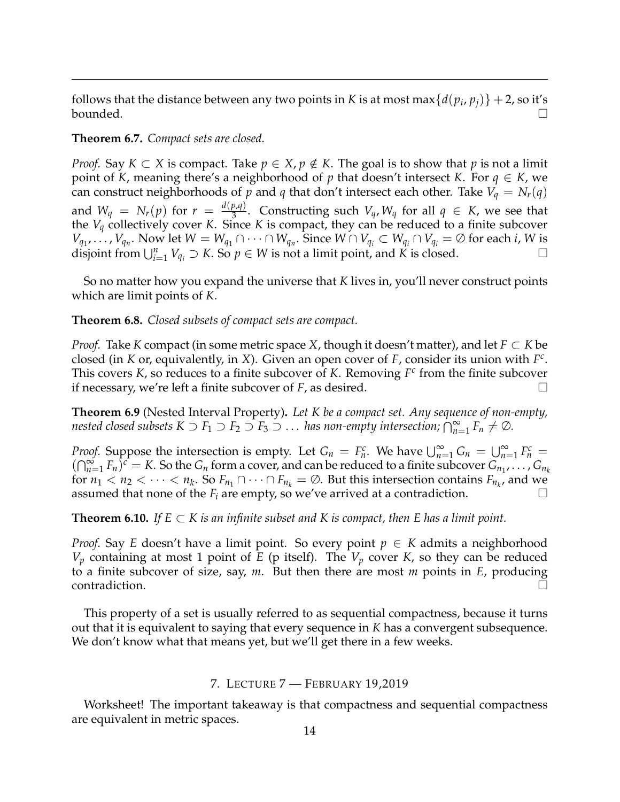follows that the distance between any two points in *K* is at most  $\max\{d(p_i, p_j)\} + 2$ , so it's bounded.  $\Box$ 

## **Theorem 6.7.** *Compact sets are closed.*

*Proof.* Say  $K \subset X$  is compact. Take  $p \in X$ ,  $p \notin K$ . The goal is to show that p is not a limit point of *K*, meaning there's a neighborhood of *p* that doesn't intersect *K*. For *q* ∈ *K*, we can construct neighborhoods of *p* and *q* that don't intersect each other. Take  $V_q = N_r(q)$ and  $W_q = N_r(p)$  for  $r = \frac{d(p,q)}{3}$  $\frac{p_i q_j}{3}$ . Constructing such  $V_q$ ,  $W_q$  for all  $q \in K$ , we see that the  $V_q$  collectively cover *K*. Since *K* is compact, they can be reduced to a finite subcover  $V_{q_1}, \ldots, V_{q_n}$ . Now let  $W = W_{q_1} \cap \cdots \cap W_{q_n}$ . Since  $W \cap V_{q_i} \subset W_{q_i} \cap V_{q_i} = \emptyset$  for each *i*, *W* is disjoint from  $\bigcup_{i=1}^n V_{q_i} \supset K$ . So  $p \in W$  is not a limit point, and K is closed.

So no matter how you expand the universe that *K* lives in, you'll never construct points which are limit points of *K*.

**Theorem 6.8.** *Closed subsets of compact sets are compact.*

*Proof.* Take *K* compact (in some metric space *X*, though it doesn't matter), and let *F* ⊂ *K* be closed (in *K* or, equivalently, in *X*). Given an open cover of *F*, consider its union with *F c* . This covers *K*, so reduces to a finite subcover of *K*. Removing *F c* from the finite subcover if necessary, we're left a finite subcover of *F*, as desired.

**Theorem 6.9** (Nested Interval Property)**.** *Let K be a compact set. Any sequence of non-empty, nested closed subsets*  $K \supset F_1 \supset F_2 \supset F_3 \supset \dots$  *has non-empty intersection;*  $\bigcap_{n=1}^{\infty} F_n \neq \emptyset$ *.* 

*Proof.* Suppose the intersection is empty. Let  $G_n = F_n^c$ . We have  $\bigcup_{n=1}^{\infty} G_n = \bigcup_{n=1}^{\infty} F_n^c$  $(\bigcap_{n=1}^{\infty} F_n)^c = K$ . So the  $G_n$  form a cover, and can be reduced to a finite subcover  $G_{n_1}, \ldots, G_{n_k}$ for  $n_1 < n_2 < \cdots < n_k$ . So  $F_{n_1} \cap \cdots \cap F_{n_k} = \emptyset$ . But this intersection contains  $F_{n_k}$ , and we assumed that none of the  $F_i$  are empty, so we've arrived at a contradiction.

**Theorem 6.10.** *If*  $E \subset K$  *is an infinite subset and*  $K$  *is compact, then*  $E$  *has a limit point.* 

*Proof.* Say *E* doesn't have a limit point. So every point  $p \in K$  admits a neighborhood  $V_p$  containing at most 1 point of *E* (p itself). The  $V_p$  cover *K*, so they can be reduced to a finite subcover of size, say, *m*. But then there are most *m* points in *E*, producing contradiction.  $\Box$ 

This property of a set is usually referred to as sequential compactness, because it turns out that it is equivalent to saying that every sequence in *K* has a convergent subsequence. We don't know what that means yet, but we'll get there in a few weeks.

## 7. LECTURE 7 — FEBRUARY 19,2019

<span id="page-13-0"></span>Worksheet! The important takeaway is that compactness and sequential compactness are equivalent in metric spaces.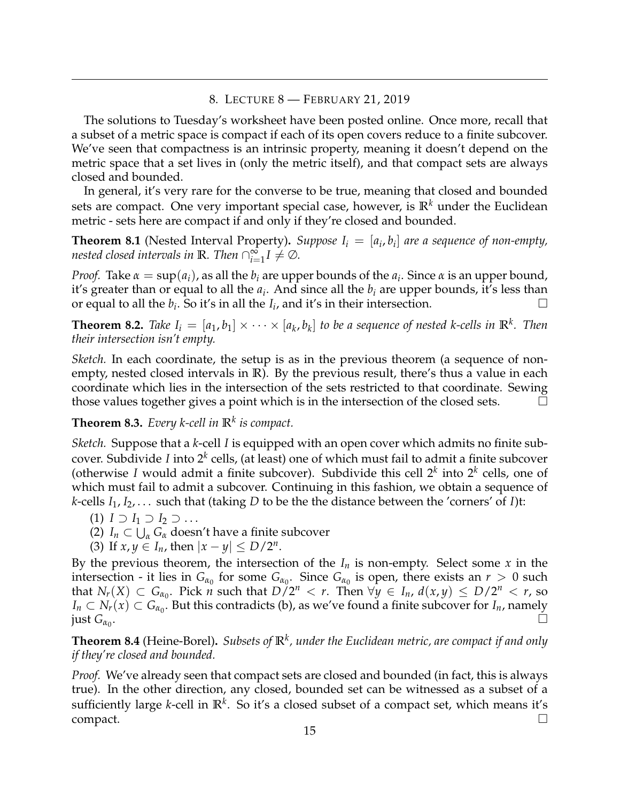## 8. LECTURE 8 — FEBRUARY 21, 2019

<span id="page-14-0"></span>The solutions to Tuesday's worksheet have been posted online. Once more, recall that a subset of a metric space is compact if each of its open covers reduce to a finite subcover. We've seen that compactness is an intrinsic property, meaning it doesn't depend on the metric space that a set lives in (only the metric itself), and that compact sets are always closed and bounded.

In general, it's very rare for the converse to be true, meaning that closed and bounded sets are compact. One very important special case, however, is  $\mathbb{R}^k$  under the Euclidean metric - sets here are compact if and only if they're closed and bounded.

**Theorem 8.1** (Nested Interval Property). *Suppose*  $I_i = [a_i, b_i]$  are a sequence of non-empty, *nested closed intervals in*  $\mathbb{R}$ *. Then*  $\bigcap_{i=1}^{\infty} I \neq \emptyset$ *.* 

*Proof.* Take  $\alpha = \sup(a_i)$ , as all the  $b_i$  are upper bounds of the  $a_i$ . Since  $\alpha$  is an upper bound, it's greater than or equal to all the *a<sup>i</sup>* . And since all the *b<sup>i</sup>* are upper bounds, it's less than or equal to all the  $b_i$ . So it's in all the  $I_i$ , and it's in their intersection.

**Theorem 8.2.** Take  $I_i = [a_1, b_1] \times \cdots \times [a_k, b_k]$  to be a sequence of nested k-cells in  $\mathbb{R}^k$ . Then *their intersection isn't empty.*

*Sketch.* In each coordinate, the setup is as in the previous theorem (a sequence of nonempty, nested closed intervals in **R**). By the previous result, there's thus a value in each coordinate which lies in the intersection of the sets restricted to that coordinate. Sewing those values together gives a point which is in the intersection of the closed sets.  $\Box$ 

**Theorem 8.3.** *Every k-cell in* **R***<sup>k</sup> is compact.*

*Sketch.* Suppose that a *k*-cell *I* is equipped with an open cover which admits no finite subcover. Subdivide *I* into 2*<sup>k</sup>* cells, (at least) one of which must fail to admit a finite subcover (otherwise *I* would admit a finite subcover). Subdivide this cell  $2^k$  into  $2^k$  cells, one of which must fail to admit a subcover. Continuing in this fashion, we obtain a sequence of *k*-cells *I*1, *I*2, . . . such that (taking *D* to be the the distance between the 'corners' of *I*)t:

- $(1)$  *I* ⊃ *I*<sub>1</sub> ⊃ *I*<sub>2</sub> ⊃ ...
- (2)  $I_n \subset \bigcup_{\alpha} G_{\alpha}$  doesn't have a finite subcover
- (3) If  $x, y \in I_n$ , then  $|x y| \le D/2^n$ .

By the previous theorem, the intersection of the  $I_n$  is non-empty. Select some x in the intersection - it lies in  $G_{\alpha_0}$  for some  $G_{\alpha_0}$ . Since  $G_{\alpha_0}$  is open, there exists an  $r > 0$  such that  $N_r(X) \subset G_{\alpha_0}$ . Pick *n* such that  $D/2^n < r$ . Then  $\forall y \in I_n$ ,  $d(x,y) \le D/2^n < r$ , so  $I_n \subset N_r(x) \subset G_{\alpha_0}$ . But this contradicts (b), as we've found a finite subcover for  $I_n$ , namely  $\int$ *just*  $G_{\alpha_0}$ . .

**Theorem 8.4** (Heine-Borel)**.** *Subsets of* **R***<sup>k</sup> , under the Euclidean metric, are compact if and only if they're closed and bounded.*

*Proof.* We've already seen that compact sets are closed and bounded (in fact, this is always true). In the other direction, any closed, bounded set can be witnessed as a subset of a sufficiently large *k*-cell in **R***<sup>k</sup>* . So it's a closed subset of a compact set, which means it's  $\Box$ compact.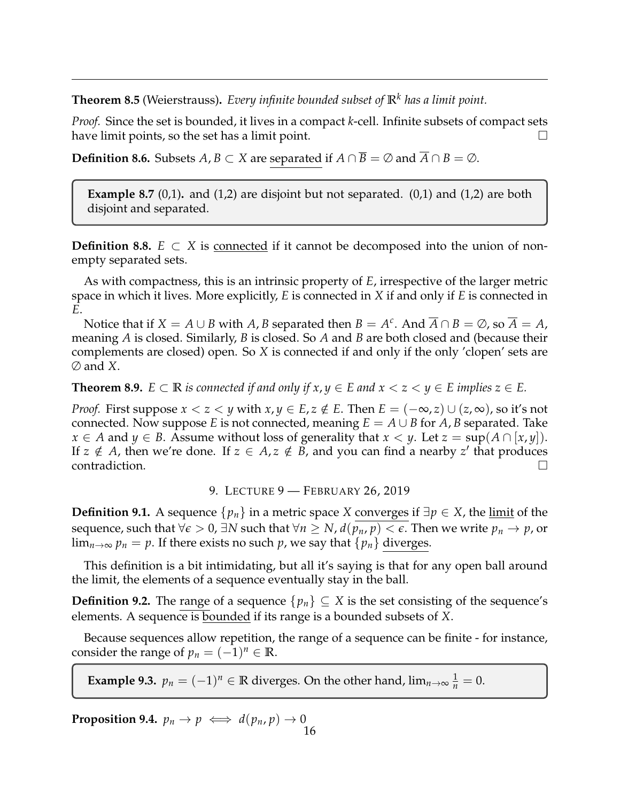**Theorem 8.5** (Weierstrauss)**.** *Every infinite bounded subset of* **R***<sup>k</sup> has a limit point.*

*Proof.* Since the set is bounded, it lives in a compact *k*-cell. Infinite subsets of compact sets have limit points, so the set has a limit point.  $\Box$ 

**Definition 8.6.** Subsets *A*, *B* ⊂ *X* are separated if *A* ∩ *B* = ∅ and  $\overline{A} \cap B = \emptyset$ .

**Example 8.7** (0,1)**.** and (1,2) are disjoint but not separated. (0,1) and (1,2) are both disjoint and separated.

**Definition 8.8.**  $E \subset X$  is connected if it cannot be decomposed into the union of nonempty separated sets.

As with compactness, this is an intrinsic property of *E*, irrespective of the larger metric space in which it lives. More explicitly, *E* is connected in *X* if and only if *E* is connected in *E*.

Notice that if  $X = A \cup B$  with  $A$ ,  $B$  separated then  $B = A^c$ . And  $\overline{A} \cap B = \emptyset$ , so  $\overline{A} = A$ , meaning *A* is closed. Similarly, *B* is closed. So *A* and *B* are both closed and (because their complements are closed) open. So *X* is connected if and only if the only 'clopen' sets are ∅ and *X*.

**Theorem 8.9.**  $E \subset \mathbb{R}$  *is connected if and only if x, y*  $\in$  *E and x*  $\lt$  *z*  $\lt$  *y*  $\in$  *E implies z*  $\in$  *E.* 

*Proof.* First suppose  $x < z < y$  with  $x, y \in E$ ,  $z \notin E$ . Then  $E = (-\infty, z) \cup (z, \infty)$ , so it's not connected. Now suppose *E* is not connected, meaning  $E = A \cup B$  for *A*, *B* separated. Take *x* ∈ *A* and *y* ∈ *B*. Assume without loss of generality that *x* < *y*. Let *z* = sup(*A* ∩ [*x*, *y*]). If  $z \notin A$ , then we're done. If  $z \in A$ ,  $z \notin B$ , and you can find a nearby  $z'$  that produces  $\Box$ contradiction.

# 9. LECTURE 9 — FEBRUARY 26, 2019

<span id="page-15-0"></span>**Definition 9.1.** A sequence  $\{p_n\}$  in a metric space *X* converges if  $\exists p \in X$ , the <u>limit</u> of the sequence, such that  $\forall \epsilon > 0$ ,  $\exists N$  such that  $\forall n \geq N$ ,  $d(p_n, p) < \epsilon$ . Then we write  $p_n \to p$ , or  $\lim_{n\to\infty} p_n = p$ . If there exists no such p, we say that  $\{p_n\}$  diverges.

This definition is a bit intimidating, but all it's saying is that for any open ball around the limit, the elements of a sequence eventually stay in the ball.

**Definition 9.2.** The range of a sequence  $\{p_n\} \subseteq X$  is the set consisting of the sequence's elements. A sequence is bounded if its range is a bounded subsets of *X*.

Because sequences allow repetition, the range of a sequence can be finite - for instance, consider the range of  $p_n = (-1)^n \in \mathbb{R}$ .

**Example 9.3.**  $p_n = (-1)^n \in \mathbb{R}$  diverges. On the other hand,  $\lim_{n \to \infty} \frac{1}{n} = 0$ .

**Proposition 9.4.**  $p_n \to p \iff d(p_n, p) \to 0$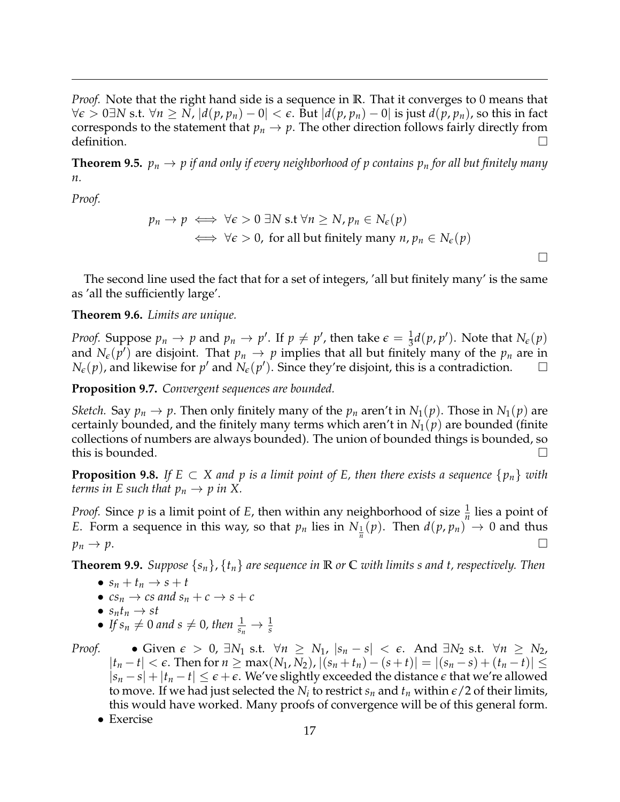*Proof.* Note that the right hand side is a sequence in **R**. That it converges to 0 means that *∀* $\epsilon$  > 0∃*N* s.t.  $\forall n \ge N$ ,  $|d(p, p_n) - 0| < \epsilon$ . But  $|d(p, p_n) - 0|$  is just  $d(p, p_n)$ , so this in fact corresponds to the statement that  $p_n \to p$ . The other direction follows fairly directly from definition.

**Theorem 9.5.**  $p_n \to p$  if and only if every neighborhood of p contains  $p_n$  for all but finitely many *n.*

*Proof.*

$$
p_n \to p \iff \forall \epsilon > 0 \exists N \text{ s.t } \forall n \ge N, p_n \in N_{\epsilon}(p)
$$
  

$$
\iff \forall \epsilon > 0, \text{ for all but finitely many } n, p_n \in N_{\epsilon}(p)
$$

 $\Box$ 

The second line used the fact that for a set of integers, 'all but finitely many' is the same as 'all the sufficiently large'.

## **Theorem 9.6.** *Limits are unique.*

*Proof.* Suppose  $p_n \to p$  and  $p_n \to p'$ . If  $p \neq p'$ , then take  $\epsilon = \frac{1}{3}d(p,p')$ . Note that  $N_{\epsilon}(p)$ and  $N_{\epsilon}(p')$  are disjoint. That  $p_n \to p$  implies that all but finitely many of the  $p_n$  are in  $N_{\epsilon}(p)$ , and likewise for  $p'$  and  $N_{\epsilon}(p')$ . Since they're disjoint, this is a contradiction.

**Proposition 9.7.** *Convergent sequences are bounded.*

*Sketch.* Say  $p_n \to p$ . Then only finitely many of the  $p_n$  aren't in  $N_1(p)$ . Those in  $N_1(p)$  are certainly bounded, and the finitely many terms which aren't in  $N_1(p)$  are bounded (finite collections of numbers are always bounded). The union of bounded things is bounded, so this is bounded.  $\Box$ 

**Proposition 9.8.** If  $E \subset X$  and p is a limit point of E, then there exists a sequence  $\{p_n\}$  with *terms in E such that*  $p_n \to p$  *in X.* 

*Proof.* Since  $p$  is a limit point of  $E$ , then within any neighborhood of size  $\frac{1}{n}$  lies a point of *E*. Form a sequence in this way, so that  $p_n$  lies in  $N_{\frac{1}{n}}(p)$ . Then  $d(p, p_n) \to 0$  and thus  $p_n \to p.$ 

**Theorem 9.9.** *Suppose* {*sn*}, {*tn*} *are sequence in* **R** *or* **C** *with limits s and t, respectively. Then*

- $s_n + t_n \rightarrow s + t$
- $cs_n \rightarrow cs$  and  $s_n + c \rightarrow s + c$
- $s_n t_n \to st$
- If  $s_n \neq 0$  and  $s \neq 0$ , then  $\frac{1}{s_n} \to \frac{1}{s}$

*Proof.* • Given  $\epsilon > 0$ , ∃*N*<sub>1</sub> s.t.  $\forall n \geq N_1$ ,  $|s_n - s| < \epsilon$ . And ∃*N*<sub>2</sub> s.t.  $\forall n \geq N_2$ ,  $|t_n-t| < \epsilon$ . Then for *n* ≥ max(*N*<sub>1</sub>, *N*<sub>2</sub>),  $|(s_n + t_n) - (s + t)| = |(s_n - s) + (t_n - t)|$  ≤  $|s_n - s| + |t_n - t| \leq \epsilon + \epsilon$ . We've slightly exceeded the distance  $\epsilon$  that we're allowed to move. If we had just selected the  $N_i$  to restrict  $s_n$  and  $t_n$  within  $\epsilon/2$  of their limits, this would have worked. Many proofs of convergence will be of this general form.

• Exercise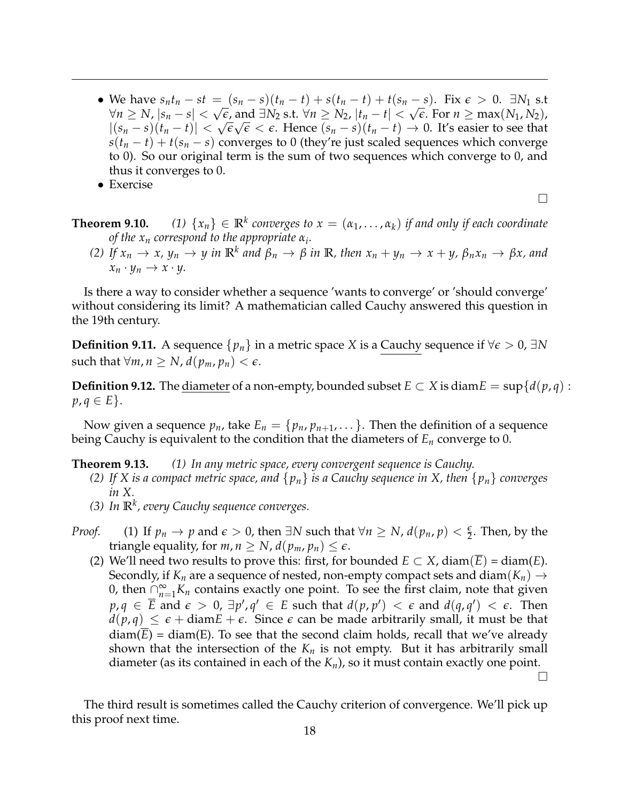• We have  $s_n t_n - st = (s_n - s)(t_n - t) + s(t_n - t) + t(s_n - s)$ . Fix  $\epsilon > 0$ .  $\exists N_1$  s.t  $\forall n \ge N, |s_n - s| < \sqrt{\epsilon}$ , and ∃*N*<sub>2</sub> s.t.  $\forall n \ge N_2, |t_n - t| < \sqrt{\epsilon}$ . For  $n \ge \max(N_1, N_2)$ ,  $|(s_n - s)(t_n - t)| < √\epsilon \sqrt{\epsilon} < \epsilon$ . Hence  $(s_n - s)(t_n - t)$  → 0. It's easier to see that  $s(t_n - t) + t(s_n - s)$  converges to 0 (they're just scaled sequences which converge to 0). So our original term is the sum of two sequences which converge to 0, and thus it converges to 0.

• Exercise

 $\Box$ 

- **Theorem 9.10.** *(1)*  $\{x_n\} \in \mathbb{R}^k$  converges to  $x = (\alpha_1, \ldots, \alpha_k)$  if and only if each coordinate *of the x<sup>n</sup> correspond to the appropriate α<sup>i</sup> .*
	- (2) If  $x_n \to x$ ,  $y_n \to y$  in  $\mathbb{R}^k$  and  $\beta_n \to \beta$  in  $\mathbb{R}$ , then  $x_n + y_n \to x + y$ ,  $\beta_n x_n \to \beta x$ , and  $x_n \cdot y_n \to x \cdot y$ .

Is there a way to consider whether a sequence 'wants to converge' or 'should converge' without considering its limit? A mathematician called Cauchy answered this question in the 19th century.

**Definition 9.11.** A sequence  $\{p_n\}$  in a metric space *X* is a Cauchy sequence if  $\forall \epsilon > 0$ , ∃*N* such that  $\forall m, n \geq N$ ,  $d(p_m, p_n) < \epsilon$ .

**Definition 9.12.** The <u>diameter</u> of a non-empty, bounded subset  $E \subset X$  is diam $E = \sup \{d(p, q) :$ *p*, *q* ∈ *E* }.

Now given a sequence  $p_n$ , take  $E_n = \{p_n, p_{n+1}, \ldots\}$ . Then the definition of a sequence being Cauchy is equivalent to the condition that the diameters of *E<sup>n</sup>* converge to 0.

**Theorem 9.13.** *(1) In any metric space, every convergent sequence is Cauchy.*

- *(2) If X is a compact metric space, and* {*pn*} *is a Cauchy sequence in X, then* {*pn*} *converges in X.*
- *(3) In* **R***<sup>k</sup> , every Cauchy sequence converges.*
- *Proof.* (1) If  $p_n \to p$  and  $\epsilon > 0$ , then  $\exists N$  such that  $\forall n \ge N$ ,  $d(p_n, p) < \frac{\epsilon}{2}$ . Then, by the triangle equality, for  $m, n \geq N$ ,  $d(p_m, p_n) \leq \epsilon$ .
	- (2) We'll need two results to prove this: first, for bounded  $E \subset X$ , diam( $E$ ) = diam( $E$ ). Secondly, if  $K_n$  are a sequence of nested, non-empty compact sets and diam( $K_n$ )  $\rightarrow$ 0, then  $\bigcap_{n=1}^{\infty} K_n$  contains exactly one point. To see the first claim, note that given  $p, q \in \overline{E}$  and  $\epsilon > 0$ ,  $\exists p', q' \in E$  such that  $d(p, p') < \epsilon$  and  $d(q, q') < \epsilon$ . Then  $d(p,q) \leq \epsilon + \text{diam } E + \epsilon$ . Since  $\epsilon$  can be made arbitrarily small, it must be that  $diam(E) = diam(E)$ . To see that the second claim holds, recall that we've already shown that the intersection of the  $K_n$  is not empty. But it has arbitrarily small diameter (as its contained in each of the *Kn*), so it must contain exactly one point.

 $\Box$ 

The third result is sometimes called the Cauchy criterion of convergence. We'll pick up this proof next time.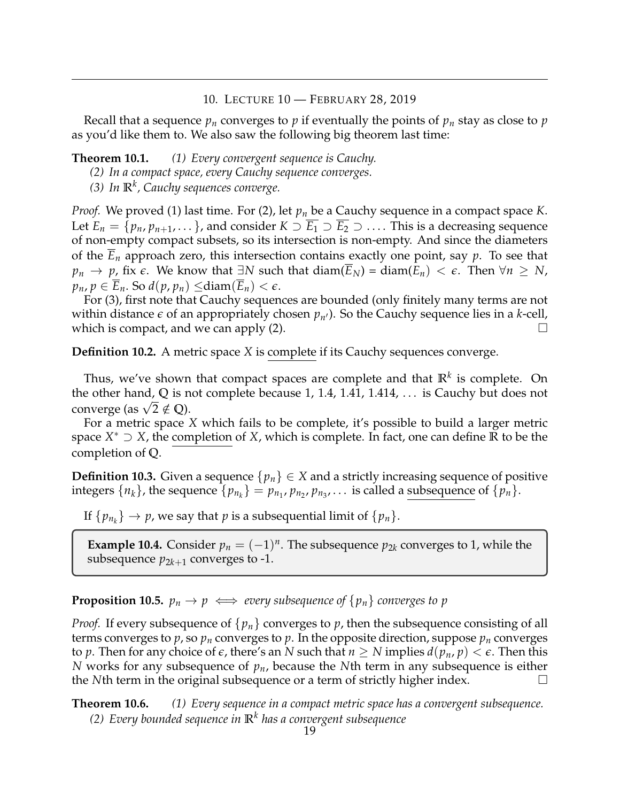### 10. LECTURE 10 — FEBRUARY 28, 2019

<span id="page-18-0"></span>Recall that a sequence  $p_n$  converges to  $p$  if eventually the points of  $p_n$  stay as close to  $p$ as you'd like them to. We also saw the following big theorem last time:

**Theorem 10.1.** *(1) Every convergent sequence is Cauchy.*

- *(2) In a compact space, every Cauchy sequence converges.*
- *(3) In* **R***<sup>k</sup> , Cauchy sequences converge.*

*Proof.* We proved (1) last time. For (2), let *p<sup>n</sup>* be a Cauchy sequence in a compact space *K*. Let  $E_n = \{p_n, p_{n+1}, \ldots\}$ , and consider  $K \supset \overline{E_1} \supset \overline{E_2} \supset \ldots$ . This is a decreasing sequence of non-empty compact subsets, so its intersection is non-empty. And since the diameters of the *E<sup>n</sup>* approach zero, this intersection contains exactly one point, say *p*. To see that *p*<sup>*n*</sup> → *p*, fix  $\epsilon$ . We know that  $\exists N$  such that diam( $E_N$ ) = diam( $E_n$ ) <  $\epsilon$ . Then  $\forall n \geq N$ ,  $p_n$ ,  $p \in E_n$ . So  $d(p, p_n) \leq \text{diam}(E_n) < \epsilon$ .

For (3), first note that Cauchy sequences are bounded (only finitely many terms are not within distance  $\epsilon$  of an appropriately chosen  $p_{n'}$ ). So the Cauchy sequence lies in a *k*-cell, which is compact, and we can apply (2).  $\Box$ 

**Definition 10.2.** A metric space *X* is complete if its Cauchy sequences converge.

Thus, we've shown that compact spaces are complete and that **R***<sup>k</sup>* is complete. On the other hand, **Q** is not complete because 1, 1.4, 1.41, 1.414, . . . is Cauchy but does not  $\alpha$  converge (as  $\sqrt{2} \notin \mathbb{Q}$ ).

For a metric space *X* which fails to be complete, it's possible to build a larger metric space *X* <sup>∗</sup> ⊃ *X*, the completion of *X*, which is complete. In fact, one can define **R** to be the completion of **Q**.

**Definition 10.3.** Given a sequence  $\{p_n\} \in X$  and a strictly increasing sequence of positive integers  $\{n_k\}$ , the sequence  $\{p_{n_k}\} = p_{n_1}, p_{n_2}, p_{n_3}, \ldots$  is called a subsequence of  $\{p_n\}$ .

If  $\{p_{n_k}\}\to p$ , we say that  $p$  is a subsequential limit of  $\{p_n\}.$ 

**Example 10.4.** Consider  $p_n = (-1)^n$ . The subsequence  $p_{2k}$  converges to 1, while the subsequence  $p_{2k+1}$  converges to -1.

# **Proposition 10.5.**  $p_n \to p \iff$  *every subsequence of*  $\{p_n\}$  *converges to p*

*Proof.* If every subsequence of  $\{p_n\}$  converges to p, then the subsequence consisting of all terms converges to  $p$ , so  $p_n$  converges to  $p$ . In the opposite direction, suppose  $p_n$  converges to p. Then for any choice of  $\epsilon$ , there's an N such that  $n \geq N$  implies  $d(p_n, p) < \epsilon$ . Then this *N* works for any subsequence of *pn*, because the *N*th term in any subsequence is either the *N*th term in the original subsequence or a term of strictly higher index.

**Theorem 10.6.** *(1) Every sequence in a compact metric space has a convergent subsequence. (2) Every bounded sequence in* **R***<sup>k</sup> has a convergent subsequence*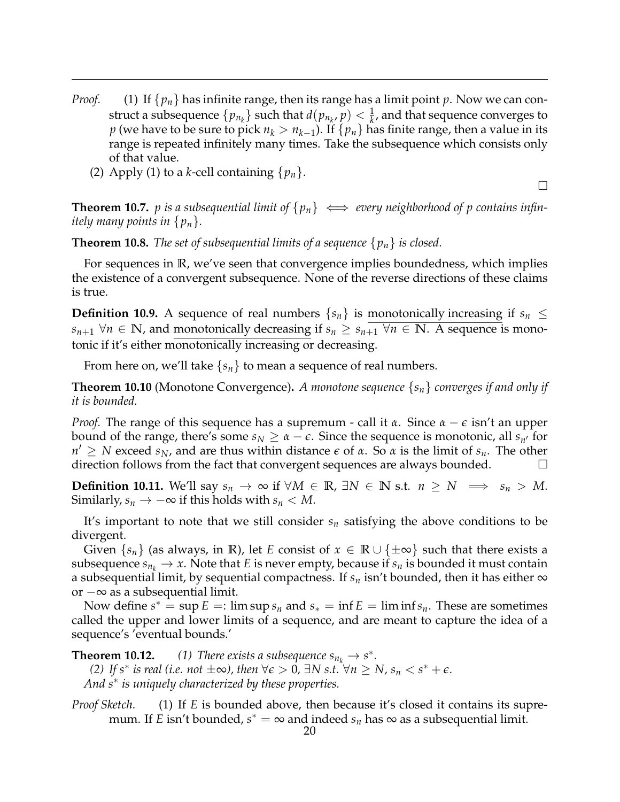- *Proof.* (1) If  $\{p_n\}$  has infinite range, then its range has a limit point *p*. Now we can construct a subsequence  $\{p_{n_k}\}$  such that  $d(p_{n_k}, p) < \frac{1}{k}$ , and that sequence converges to  $p$  (we have to be sure to pick  $n_k > n_{k-1}$ ). If  $\{p_n\}$  has finite range, then a value in its range is repeated infinitely many times. Take the subsequence which consists only of that value.
	- (2) Apply (1) to a *k*-cell containing  $\{p_n\}$ .

**Theorem 10.7.** *p* is a subsequential limit of  $\{p_n\} \iff$  every neighborhood of *p* contains infin*itely many points in* {*pn*}*.*

 $\Box$ 

**Theorem 10.8.** *The set of subsequential limits of a sequence* {*pn*} *is closed.*

For sequences in **R**, we've seen that convergence implies boundedness, which implies the existence of a convergent subsequence. None of the reverse directions of these claims is true.

**Definition 10.9.** A sequence of real numbers  $\{s_n\}$  is monotonically increasing if  $s_n \leq$ *s*<sub>*n*+1</sub> ∀*n* ∈ **N**, and monotonically decreasing if  $s_n \geq s_{n+1}$  ∀*n* ∈ **N**. A sequence is monotonic if it's either monotonically increasing or decreasing.

From here on, we'll take  $\{s_n\}$  to mean a sequence of real numbers.

**Theorem 10.10** (Monotone Convergence)**.** *A monotone sequence* {*sn*} *converges if and only if it is bounded.*

*Proof.* The range of this sequence has a supremum - call it *α*. Since *α* − *ε* isn't an upper bound of the range, there's some  $s_N \geq \alpha - \epsilon$ . Since the sequence is monotonic, all  $s_{n'}$  for *n*<sup> $′$ </sup> ≥ *N* exceed *s*<sub>*N*</sub>, and are thus within distance *ε* of *α*. So *α* is the limit of *s<sub>n</sub>*. The other direction follows from the fact that convergent sequences are always bounded.  $\Box$ 

**Definition 10.11.** We'll say  $s_n \to \infty$  if  $\forall M \in \mathbb{R}$ ,  $\exists N \in \mathbb{N}$  s.t.  $n \geq N \implies s_n > M$ . Similarly,  $s_n \to -\infty$  if this holds with  $s_n \lt M$ .

It's important to note that we still consider *s<sup>n</sup>* satisfying the above conditions to be divergent.

Given  $\{s_n\}$  (as always, in R), let *E* consist of  $x \in \mathbb{R} \cup \{\pm \infty\}$  such that there exists a subsequence  $s_{n_k} \to x$ . Note that *E* is never empty, because if  $s_n$  is bounded it must contain a subsequential limit, by sequential compactness. If  $s_n$  isn't bounded, then it has either  $\infty$ or −∞ as a subsequential limit.

Now define  $s^* = \sup E =: \limsup s_n$  and  $s_* = \inf E = \liminf s_n$ . These are sometimes called the upper and lower limits of a sequence, and are meant to capture the idea of a sequence's 'eventual bounds.'

**Theorem 10.12.** *(1) There exists a subsequence*  $s_{n_k} \to s^*$ *. (2) If s*<sup>\*</sup> *is real* (*i.e. not* ±∞*)*, *then* ∀ $\epsilon > 0$ , ∃*N s.t.*  $\forall n \ge N$ ,  $s_n < s^* + \epsilon$ . *And s*<sup>∗</sup> *is uniquely characterized by these properties.*

*Proof Sketch.* (1) If *E* is bounded above, then because it's closed it contains its supremum. If *E* isn't bounded*, s*<sup>∗</sup> = ∞ and indeed *s<sub>n</sub>* has ∞ as a subsequential limit.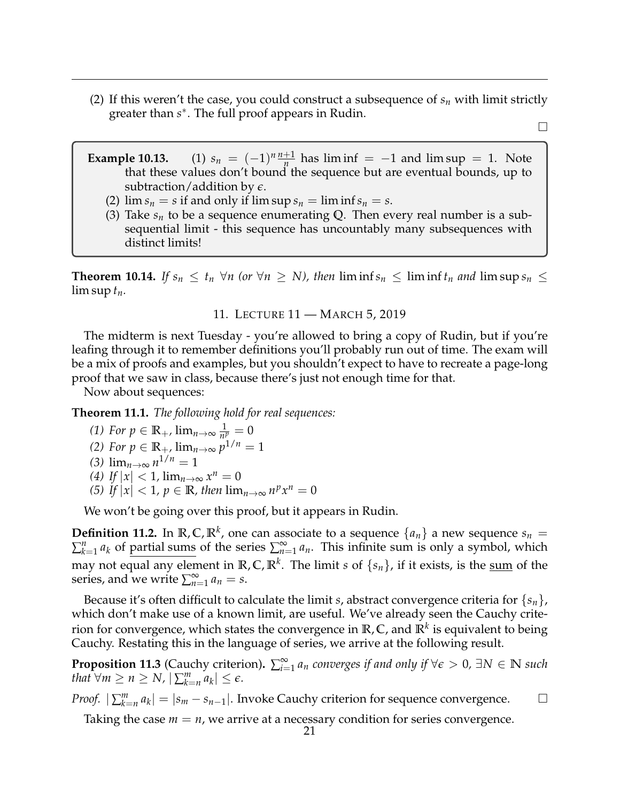(2) If this weren't the case, you could construct a subsequence of  $s_n$  with limit strictly greater than *s* ∗ . The full proof appears in Rudin.

 $\Box$ 

- **Example 10.13.** (1)  $s_n = (-1)^n \frac{n+1}{n}$  $\frac{+1}{n}$  has lim inf = −1 and lim sup = 1. Note that these values don't bound the sequence but are eventual bounds, up to subtraction/addition by *e*.
	- (2)  $\lim s_n = s$  if and only if  $\limsup s_n = \liminf s_n = s$ .
	- (3) Take  $s_n$  to be a sequence enumerating Q. Then every real number is a subsequential limit - this sequence has uncountably many subsequences with distinct limits!

**Theorem 10.14.** *If*  $s_n \le t_n \forall n$  (or  $\forall n \ge N$ ), then  $\liminf s_n \le \liminf t_n$  and  $\limsup s_n \le$ lim sup  $t_n$ .

11. LECTURE 11 — MARCH 5, 2019

<span id="page-20-0"></span>The midterm is next Tuesday - you're allowed to bring a copy of Rudin, but if you're leafing through it to remember definitions you'll probably run out of time. The exam will be a mix of proofs and examples, but you shouldn't expect to have to recreate a page-long proof that we saw in class, because there's just not enough time for that.

Now about sequences:

**Theorem 11.1.** *The following hold for real sequences:*

(1) For 
$$
p \in \mathbb{R}_+
$$
,  $\lim_{n \to \infty} \frac{1}{n^p} = 0$ 

(2) For 
$$
p \in \mathbb{R}_+
$$
,  $\lim_{n \to \infty} p^{1/n} = 1$ 

$$
(3) \lim_{n\to\infty} n^{1/n} = 1
$$

$$
(4) \tIf |x| < 1, \lim_{n \to \infty} x^n = 0
$$

*(5) If*  $|x| < 1$ *,*  $p \in \mathbb{R}$ *, then*  $\lim_{n\to\infty} n^p x^n = 0$ 

We won't be going over this proof, but it appears in Rudin.

**Definition 11.2.** In  $\mathbb{R}, \mathbb{C}, \mathbb{R}^k$ , one can associate to a sequence  $\{a_n\}$  a new sequence  $s_n =$  $\sum_{k=1}^{n} a_k$  of partial sums of the series  $\sum_{n=1}^{\infty} a_n$ . This infinite sum is only a symbol, which may not equal any element in **R**, **C**, **R***<sup>k</sup>* . The limit *s* of {*sn*}, if it exists, is the sum of the series, and we write  $\sum_{n=1}^{\infty} a_n = s$ .

Because it's often difficult to calculate the limit *s*, abstract convergence criteria for  $\{s_n\}$ , which don't make use of a known limit, are useful. We've already seen the Cauchy criterion for convergence, which states the convergence in **R**, **C**, and **R***<sup>k</sup>* is equivalent to being Cauchy. Restating this in the language of series, we arrive at the following result.

**Proposition 11.3** (Cauchy criterion).  $\sum_{i=1}^{\infty} a_n$  *converges if and only if*  $\forall \epsilon > 0$ *,*  $\exists N \in \mathbb{N}$  *such that*  $\forall m \ge n \ge N$ ,  $|\sum_{k=n}^{m} a_k| \le \epsilon$ .

*Proof.*  $|\sum_{k=n}^{m} a_k| = |s_m - s_{n-1}|$ . Invoke Cauchy criterion for sequence convergence. □

Taking the case  $m = n$ , we arrive at a necessary condition for series convergence.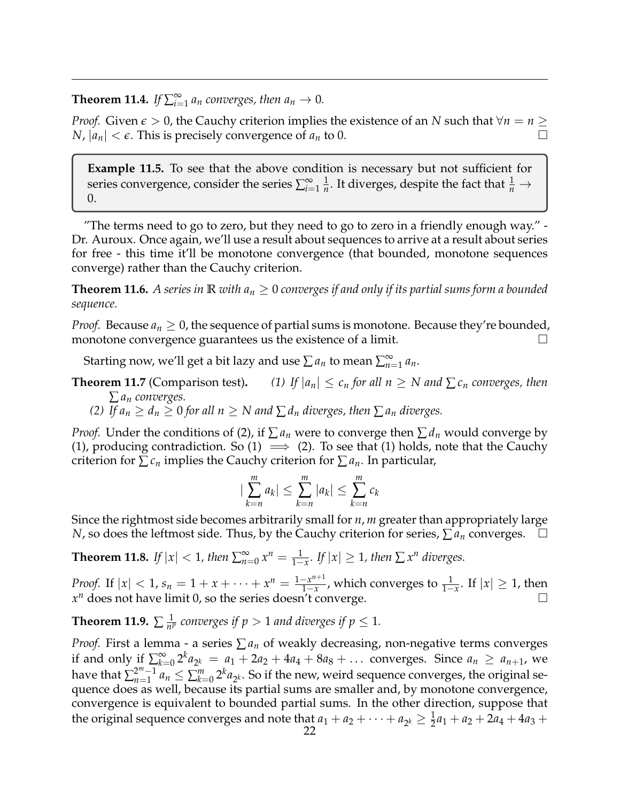**Theorem 11.4.** *If*  $\sum_{i=1}^{\infty} a_n$  converges, then  $a_n \to 0$ .

*Proof.* Given  $\epsilon > 0$ , the Cauchy criterion implies the existence of an *N* such that  $\forall n = n \geq 1$ *N*,  $|a_n| < \epsilon$ . This is precisely convergence of  $a_n$  to 0.

**Example 11.5.** To see that the above condition is necessary but not sufficient for series convergence, consider the series  $\sum_{i=1}^{\infty} \frac{1}{n}$  $\frac{1}{n}$ . It diverges, despite the fact that  $\frac{1}{n} \rightarrow$ 0.

"The terms need to go to zero, but they need to go to zero in a friendly enough way." - Dr. Auroux. Once again, we'll use a result about sequences to arrive at a result about series for free - this time it'll be monotone convergence (that bounded, monotone sequences converge) rather than the Cauchy criterion.

**Theorem 11.6.** A series in  $\mathbb R$  *with*  $a_n \geq 0$  *converges if and only if its partial sums form a bounded sequence.*

*Proof.* Because  $a_n \geq 0$ , the sequence of partial sums is monotone. Because they're bounded, monotone convergence guarantees us the existence of a limit.  $\Box$ 

Starting now, we'll get a bit lazy and use  $\sum a_n$  to mean  $\sum_{n=1}^{\infty} a_n$ .

- **Theorem 11.7** (Comparison test). *(1) If*  $|a_n| \leq c_n$  *for all n*  $\geq N$  *and*  $\sum c_n$  *converges, then* ∑ *a<sup>n</sup> converges.*
	- *(2) If*  $a_n \geq d_n \geq 0$  *for all*  $n \geq N$  *and*  $\sum d_n$  *diverges, then*  $\sum a_n$  *diverges.*

*Proof.* Under the conditions of (2), if  $\sum a_n$  were to converge then  $\sum a_n$  would converge by (1), producing contradiction. So (1)  $\implies$  (2). To see that (1) holds, note that the Cauchy criterion for  $\sum c_n$  implies the Cauchy criterion for  $\sum a_n$ . In particular,

$$
|\sum_{k=n}^m a_k| \leq \sum_{k=n}^m |a_k| \leq \sum_{k=n}^m c_k
$$

Since the rightmost side becomes arbitrarily small for *n*, *m* greater than appropriately large *N*, so does the leftmost side. Thus, by the Cauchy criterion for series,  $\sum a_n$  converges.

**Theorem 11.8.** *If*  $|x| < 1$ *, then*  $\sum_{n=0}^{\infty} x^n = \frac{1}{1-x}$ *. If*  $|x| \geq 1$ *, then*  $\sum x^n$  *diverges.* 

*Proof.* If  $|x| < 1$ ,  $s_n = 1 + x + \cdots + x^n = \frac{1 - x^{n+1}}{1 - x}$  $\frac{-x^{n+1}}{1-x}$ , which converges to  $\frac{1}{1-x}$ . If  $|x|\geq 1$ , then  $x^n$  does not have limit 0, so the series doesn't converge.

Theorem 11.9.  $\sum \frac{1}{n!}$  $\frac{1}{n^p}$  *converges if*  $p > 1$  *and diverges if*  $p \leq 1$ *.* 

*Proof.* First a lemma - a series  $\sum a_n$  of weakly decreasing, non-negative terms converges if and only if  $\sum_{k=1}^{\infty}$  $\sum_{k=0}^{\infty} 2^{k} a_{2^{k}} = a_{1} + 2a_{2} + 4a_{4} + 8a_{8} + \dots$  converges. Since  $a_{n} \ge a_{n+1}$ , we have that  $\sum_{n=1}^{2^m-1}$  $\sum_{n=1}^{2^m-1} a_n \leq \sum_{k=0}^m 2^k a_{2^k}$ . So if the new, weird sequence converges, the original sequence does as well, because its partial sums are smaller and, by monotone convergence, convergence is equivalent to bounded partial sums. In the other direction, suppose that the original sequence converges and note that  $a_1 + a_2 + \cdots + a_{2^k} \geq \frac{1}{2}a_1 + a_2 + 2a_4 + 4a_3 +$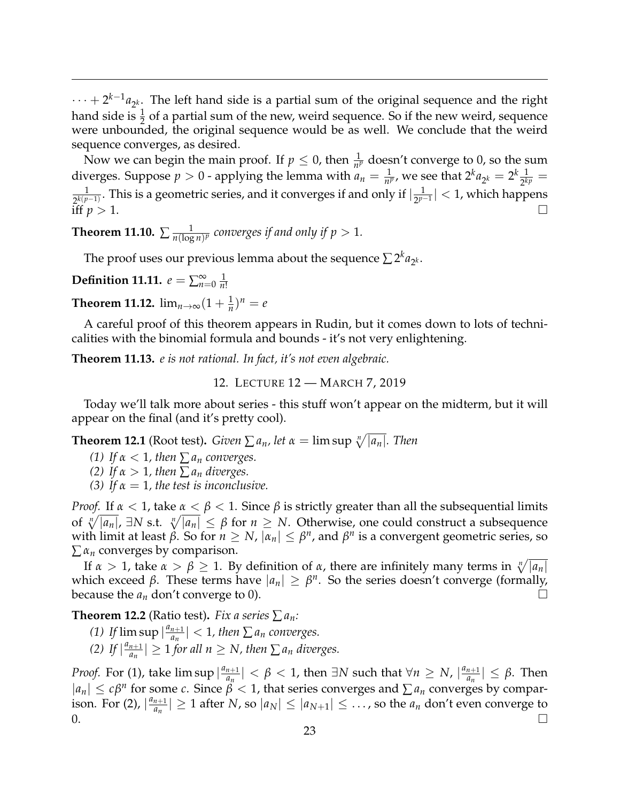$\cdots + 2^{k-1} a_{2^k}$ . The left hand side is a partial sum of the original sequence and the right hand side is  $\frac{1}{2}$  of a partial sum of the new, weird sequence. So if the new weird, sequence were unbounded, the original sequence would be as well. We conclude that the weird sequence converges, as desired.

Now we can begin the main proof. If  $p \leq 0$ , then  $\frac{1}{n^p}$  doesn't converge to 0, so the sum diverges. Suppose  $p > 0$  - applying the lemma with  $a_n = \frac{1}{n^p}$ , we see that  $2^k a_{2^k} = 2^k \frac{1}{2^k}$  $\frac{1}{2^{kp}} =$ 1 <u><sub>2</sub>k(p-1</u>). This is a geometric series, and it converges if and only if  $\frac{1}{2^{p}}$ 2 *p*−1 | < 1, which happens iff  $p > 1$ .

**Theorem 11.10.**  $\sum_{n=1}^{\infty} \frac{1}{n(\log n)^n}$  $\frac{1}{n(\log n)^p}$  converges if and only if  $p>1$ .

The proof uses our previous lemma about the sequence  $\sum 2^k a_{2^k}$ .

**Definition 11.11.**  $e = \sum_{n=0}^{\infty} \frac{1}{n}$ *n*!

**Theorem 11.12.**  $\lim_{n\to\infty} (1 + \frac{1}{n})^n = e$ 

A careful proof of this theorem appears in Rudin, but it comes down to lots of technicalities with the binomial formula and bounds - it's not very enlightening.

<span id="page-22-0"></span>**Theorem 11.13.** *e is not rational. In fact, it's not even algebraic.*

12. LECTURE 12 — MARCH 7, 2019

Today we'll talk more about series - this stuff won't appear on the midterm, but it will appear on the final (and it's pretty cool).

**Theorem 12.1** (Root test). *Given*  $\sum a_n$ *, let*  $\alpha = \limsup \sqrt[n]{|a_n|}$ *. Then* 

*(1) If*  $\alpha < 1$ *, then*  $\sum a_n$  *converges.* 

*(2) If*  $\alpha > 1$ *, then*  $\sum a_n$  *diverges.* 

*(3)* If  $\alpha = 1$ , the test is inconclusive.

*Proof.* If  $\alpha < 1$ , take  $\alpha < \beta < 1$ . Since  $\beta$  is strictly greater than all the subsequential limits of  $\sqrt[n]{|a_n|}$ ,  $\exists N$  s.t.  $\sqrt[n]{|a_n|} \leq \beta$  for  $n \geq N$ . Otherwise, one could construct a subsequence  $\mu$  *w*ith limit at least *β*. So for  $n \geq N$ ,  $|\alpha_n| \leq \beta^n$ , and  $\beta^n$  is a convergent geometric series, so  $\sum \alpha_n$  converges by comparison.

If  $\alpha > 1$ , take  $\alpha > \beta \geq 1$ . By definition of *α*, there are infinitely many terms in  $\sqrt[n]{|a_n|}$ which exceed  $\beta$ . These terms have  $|a_n| \geq \beta^n$ . So the series doesn't converge (formally, because the  $a_n$  don't converge to 0).

**Theorem 12.2** (Ratio test). *Fix a series*  $\sum a_n$ *:* 

- (1) *If*  $\limsup \left| \frac{a_{n+1}}{a_n} \right|$  $\left| \frac{n+1}{a_n} \right|$  < 1, then  $\sum a_n$  converges.
- (2) If  $\left| \frac{a_{n+1}}{a_n} \right|$  $\left| \frac{n+1}{a_n} \right| \geq 1$  for all  $n \geq N$ , then  $\sum a_n$  diverges.

*Proof.* For (1), take  $\limsup \left| \frac{a_{n+1}}{a_n} \right|$  $\left|\frac{a+1}{a_n}\right| < \beta < 1$ , then  $\exists N$  such that  $\forall n \geq N$ ,  $\left|\frac{a_{n+1}}{a_n}\right|$  $\left|\frac{n+1}{a_n}\right| \leq \beta$ . Then  $|a_n| \leq c\beta^n$  for some *c*. Since  $\beta < 1$ , that series converges and  $\sum a_n$  converges by comparison. For (2),  $\frac{a_{n+1}}{a_n}$  $|a_{n}^{n+1}| \geq 1$  after *N*, so  $|a_{N}| \leq |a_{N+1}| \leq \ldots$ , so the  $a_{n}$  don't even converge to  $\overline{\mathbf{0}}$ .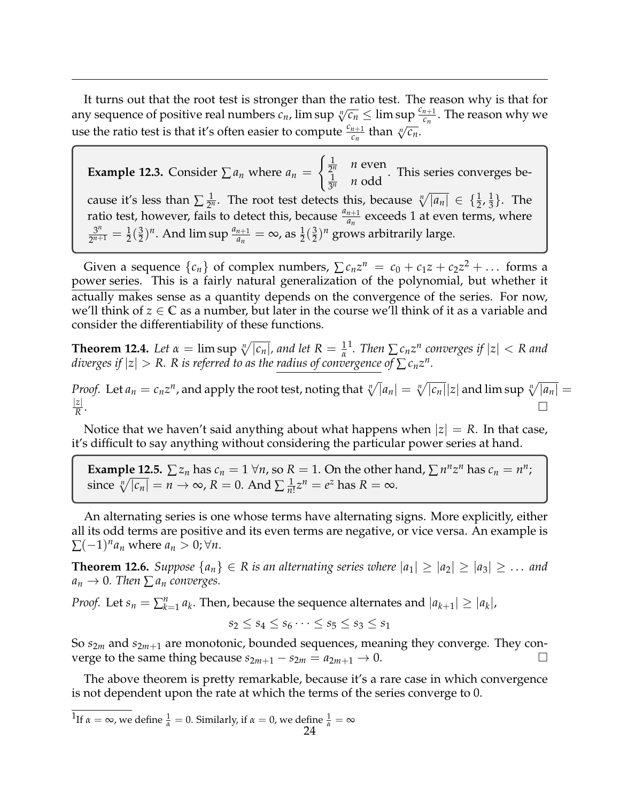It turns out that the root test is stronger than the ratio test. The reason why is that for any sequence of positive real numbers  $c_n$ , lim sup  $\sqrt[n]{c_n} \leq \limsup_{n \to \infty} \frac{c_{n+1}}{c_n}$ . The reason why we use the ratio test is that it's often easier to compute  $\frac{c_{n+1}}{c_n}$  than  $\sqrt[n]{c_n}$ .

**Example 12.3.** Consider  $\sum a_n$  where  $a_n$  =  $\left( \frac{1}{2} \right)$  $\frac{1}{2^n}$  *n* even 1  $rac{1}{3^n}$  *n* odd . This series converges because it's less than  $\sum \frac{1}{2^n}$  $\frac{1}{2^n}$ . The root test detects this, because  $\sqrt[n]{|a_n|} \in \{\frac{1}{2}, \frac{1}{3}\}$  $\frac{1}{3}$ . The ratio test, however, fails to detect this, because  $\frac{a_{n+1}}{a_n}$  exceeds 1 at even terms, where 3 *n*  $\frac{3^n}{2^{n+1}} = \frac{1}{2}(\frac{3}{2})$  $(\frac{3}{2})^n$ . And lim sup  $\frac{a_{n+1}}{a_n} = \infty$ , as  $\frac{1}{2}(\frac{3}{2})$  $(\frac{3}{2})^n$  grows arbitrarily large.

Given a sequence  $\{c_n\}$  of complex numbers,  $\sum c_n z^n = c_0 + c_1 z + c_2 z^2 + \dots$  forms a power series. This is a fairly natural generalization of the polynomial, but whether it actually makes sense as a quantity depends on the convergence of the series. For now, we'll think of  $z \in \mathbb{C}$  as a number, but later in the course we'll think of it as a variable and consider the differentiability of these functions.

**Theorem 12.4.** *Let*  $\alpha = \limsup_{n \to \infty} \sqrt[n]{|c_n|}$ , and let  $R = \frac{1}{\alpha}$  $\int_0^1$  $\int_0^1$ . Then  $\sum c_n z^n$  converges if  $|z| < R$  and *diverges if*  $|z| > R$ *. R is referred to as the radius of convergence of*  $\sum c_n z^n$ *.* 

*Proof.* Let  $a_n = c_n z^n$ , and apply the root test, noting that  $\sqrt[n]{|a_n|} = \sqrt[n]{|c_n|} |z|$  and lim sup  $\sqrt[n]{|a_n|} =$ |*z*| *R* . In the contract of the contract of the contract of the contract of the contract of the contract of the contract of

Notice that we haven't said anything about what happens when  $|z| = R$ . In that case, it's difficult to say anything without considering the particular power series at hand.

**Example 12.5.**  $\sum z_n$  has  $c_n = 1 \forall n$ , so  $R = 1$ . On the other hand,  $\sum n^n z^n$  has  $c_n = n^n$ ; since  $\sqrt[n]{|c_n|} = n \to \infty$ ,  $R = 0$ . And  $\sum \frac{1}{n}$  $\frac{1}{n!}z^n = e^z$  has  $R = \infty$ .

An alternating series is one whose terms have alternating signs. More explicitly, either all its odd terms are positive and its even terms are negative, or vice versa. An example is  $\sum (-1)^n a_n$  where  $a_n > 0$ ;  $\forall n$ .

**Theorem 12.6.** *Suppose*  $\{a_n\} \in R$  *is an alternating series where*  $|a_1| \ge |a_2| \ge |a_3| \ge \ldots$  *and*  $a_n \to 0$ . Then  $\sum a_n$  *converges.* 

*Proof.* Let  $s_n = \sum_{k=1}^n a_k$ . Then, because the sequence alternates and  $|a_{k+1}| \ge |a_k|$ ,

$$
s_2 \leq s_4 \leq s_6 \cdots \leq s_5 \leq s_3 \leq s_1
$$

So *s*2*<sup>m</sup>* and *s*2*m*+<sup>1</sup> are monotonic, bounded sequences, meaning they converge. They converge to the same thing because  $s_{2m+1} - s_{2m} = a_{2m+1} \rightarrow 0$ .

The above theorem is pretty remarkable, because it's a rare case in which convergence is not dependent upon the rate at which the terms of the series converge to 0.

<span id="page-23-0"></span><sup>1</sup>If  $\alpha = \infty$ , we define  $\frac{1}{\alpha} = 0$ . Similarly, if  $\alpha = 0$ , we define  $\frac{1}{\alpha} = \infty$ 24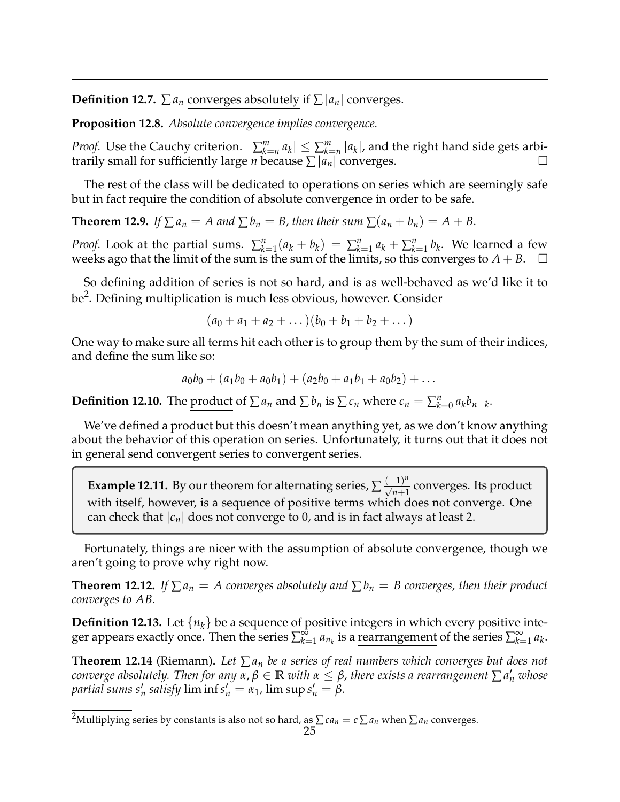**Definition 12.7.**  $\sum a_n$  converges absolutely if  $\sum |a_n|$  converges.

**Proposition 12.8.** *Absolute convergence implies convergence.*

*Proof.* Use the Cauchy criterion.  $|\sum_{k=n}^{m} a_k| \leq \sum_{k=n}^{m} |a_k|$ , and the right hand side gets arbitrarily small for sufficiently large *n* because  $\sum |a_n|$  converges.

The rest of the class will be dedicated to operations on series which are seemingly safe but in fact require the condition of absolute convergence in order to be safe.

**Theorem 12.9.** *If*  $\sum a_n = A$  *and*  $\sum b_n = B$ *, then their sum*  $\sum (a_n + b_n) = A + B$ .

*Proof.* Look at the partial sums.  $\sum_{k=1}^{n} (a_k + b_k) = \sum_{k=1}^{n} a_k + \sum_{k=1}^{n} b_k$ . We learned a few weeks ago that the limit of the sum is the sum of the limits, so this converges to  $A + B$ .  $\square$ 

So defining addition of series is not so hard, and is as well-behaved as we'd like it to be<sup>[2](#page-24-0)</sup>. Defining multiplication is much less obvious, however. Consider

$$
(a_0 + a_1 + a_2 + \dots)(b_0 + b_1 + b_2 + \dots)
$$

One way to make sure all terms hit each other is to group them by the sum of their indices, and define the sum like so:

$$
a_0b_0 + (a_1b_0 + a_0b_1) + (a_2b_0 + a_1b_1 + a_0b_2) + \dots
$$

**Definition 12.10.** The <u>product</u> of  $\sum a_n$  and  $\sum b_n$  is  $\sum c_n$  where  $c_n = \sum_{k=0}^n a_k b_{n-k}$ .

We've defined a product but this doesn't mean anything yet, as we don't know anything about the behavior of this operation on series. Unfortunately, it turns out that it does not in general send convergent series to convergent series.

**Example 12.11.** By our theorem for alternating series,  $\sum \frac{(-1)^n}{\sqrt{n+1}}$  converges. Its product with itself, however, is a sequence of positive terms which does not converge. One can check that  $|c_n|$  does not converge to 0, and is in fact always at least 2.

Fortunately, things are nicer with the assumption of absolute convergence, though we aren't going to prove why right now.

**Theorem 12.12.** *If*  $\sum a_n = A$  converges absolutely and  $\sum b_n = B$  converges, then their product *converges to AB.*

**Definition 12.13.** Let {*nk*} be a sequence of positive integers in which every positive integer appears exactly once. Then the series  $\sum_{k=1}^{\infty}$  $\sum_{k=1}^{\infty} a_{n_k}$  is a <u>rearrangement</u> of the series  $\sum_{k=1}^{\infty} a_{n_k}$  $\sum_{k=1}^{\infty} a_k$ .

**Theorem 12.14** (Riemann)**.** *Let* ∑ *a<sup>n</sup> be a series of real numbers which converges but does not*  $\alpha$  *converge absolutely. Then for any*  $\alpha$ *,*  $\beta \in \mathbb{R}$  *with*  $\alpha \leq \beta$ *, there exists a rearrangement*  $\sum a'_n$  *whose partial sums s'<sub>n</sub> satisfy* lim inf  $s'_n = a_1$ , lim sup  $s'_n = \beta$ .

<span id="page-24-0"></span><sup>&</sup>lt;sup>2</sup>Multiplying series by constants is also not so hard, as  $\sum ca_n = c \sum a_n$  when  $\sum a_n$  converges.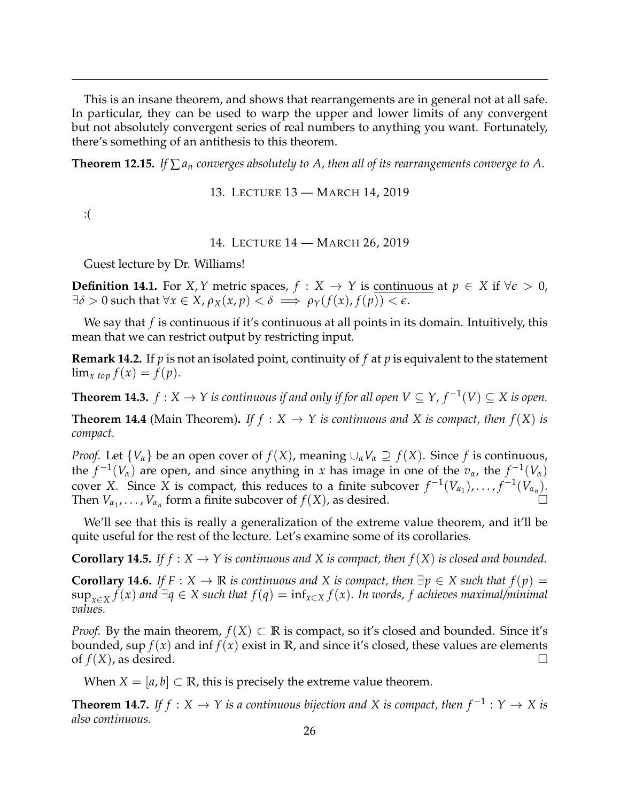This is an insane theorem, and shows that rearrangements are in general not at all safe. In particular, they can be used to warp the upper and lower limits of any convergent but not absolutely convergent series of real numbers to anything you want. Fortunately, there's something of an antithesis to this theorem.

**Theorem 12.15.** *If*  $\sum a_n$  *converges absolutely to A, then all of its rearrangements converge to A.* 

13. LECTURE 13 — MARCH 14, 2019

<span id="page-25-0"></span>:(

14. LECTURE 14 — MARCH 26, 2019

<span id="page-25-1"></span>Guest lecture by Dr. Williams!

**Definition 14.1.** For *X*, *Y* metric spaces,  $f : X \to Y$  is continuous at  $p \in X$  if  $\forall \epsilon > 0$ ,  $\exists \delta > 0$  such that  $\forall x \in X$ ,  $\rho_X(x, p) < \delta \implies \rho_Y(f(x), f(p)) < \epsilon$ .

We say that *f* is continuous if it's continuous at all points in its domain. Intuitively, this mean that we can restrict output by restricting input.

**Remark 14.2.** If *p* is not an isolated point, continuity of *f* at *p* is equivalent to the statement  $\lim_{x \to \infty} f(x) = f(p).$ 

**Theorem 14.3.**  $f: X \to Y$  is continuous if and only if for all open  $V \subseteq Y$ ,  $f^{-1}(V) \subseteq X$  is open.

**Theorem 14.4** (Main Theorem). If  $f : X \to Y$  is continuous and X is compact, then  $f(X)$  is *compact.*

*Proof.* Let  $\{V_\alpha\}$  be an open cover of  $f(X)$ , meaning  $\cup_\alpha V_\alpha \supseteq f(X)$ . Since f is continuous, the  $f^{-1}(V_\alpha)$  are open, and since anything in *x* has image in one of the  $v_\alpha$ , the  $f^{-1}(V_\alpha)$ cover *X*. Since *X* is compact, this reduces to a finite subcover  $f^{-1}(V_{\alpha_1}), \ldots, f^{-1}(V_{\alpha_n}).$ Then  $V_{\alpha_1}, \ldots, V_{\alpha_n}$  form a finite subcover of  $f(X)$ , as desired.

We'll see that this is really a generalization of the extreme value theorem, and it'll be quite useful for the rest of the lecture. Let's examine some of its corollaries.

**Corollary 14.5.** *If f* :  $X \to Y$  *is continuous and* X *is compact, then*  $f(X)$  *is closed and bounded.* 

**Corollary 14.6.** *If*  $F : X \to \mathbb{R}$  *is continuous and X is compact, then*  $\exists p \in X$  *such that*  $f(p) =$ sup*x*∈*<sup>X</sup> f*(*x*) *and* ∃*q* ∈ *X such that f*(*q*) = inf*x*∈*<sup>X</sup> f*(*x*)*. In words, f achieves maximal/minimal values.*

*Proof.* By the main theorem,  $f(X) \subset \mathbb{R}$  is compact, so it's closed and bounded. Since it's bounded, sup  $f(x)$  and inf  $f(x)$  exist in  $\mathbb{R}$ , and since it's closed, these values are elements of  $f(X)$ , as desired.

When  $X = [a, b] \subset \mathbb{R}$ , this is precisely the extreme value theorem.

**Theorem 14.7.** If  $f: X \to Y$  is a continuous bijection and X is compact, then  $f^{-1}: Y \to X$  is *also continuous.*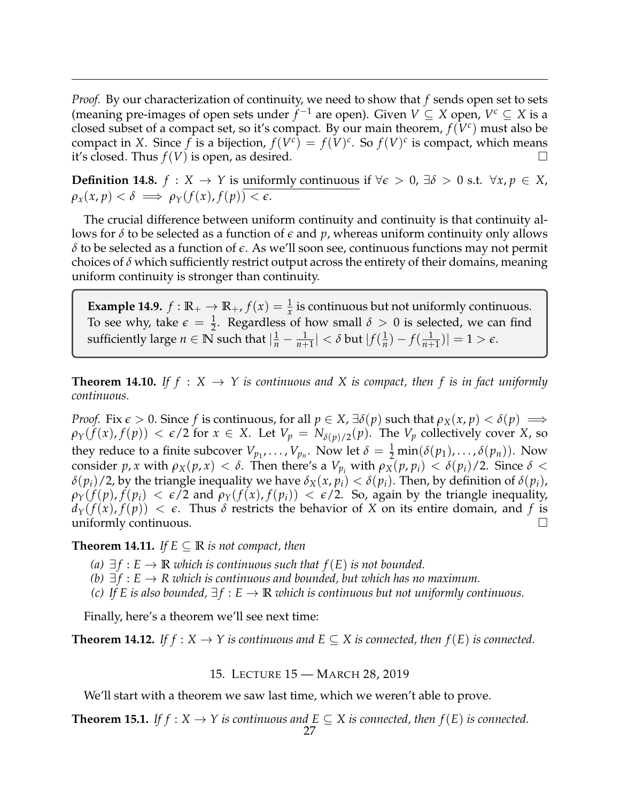*Proof.* By our characterization of continuity, we need to show that *f* sends open set to sets (meaning pre-images of open sets under  $f^{-1}$  are open). Given  $V \subseteq X$  open,  $V^c \subseteq X$  is a closed subset of a compact set, so it's compact. By our main theorem,  $f(V^c)$  must also be compact in *X*. Since  $f$  is a bijection,  $f(V^c) = f(V)^c$ . So  $f(V)^c$  is compact, which means it's closed. Thus  $f(V)$  is open, as desired.

**Definition 14.8.**  $f: X \to Y$  is uniformly continuous if  $\forall \epsilon > 0$ ,  $\exists \delta > 0$  s.t.  $\forall x, p \in X$ ,  $\rho_x(x, p) < \delta \implies \rho_Y(f(x), f(p)) < \epsilon.$ 

The crucial difference between uniform continuity and continuity is that continuity allows for *δ* to be selected as a function of *e* and *p*, whereas uniform continuity only allows *δ* to be selected as a function of *e*. As we'll soon see, continuous functions may not permit choices of *δ* which sufficiently restrict output across the entirety of their domains, meaning uniform continuity is stronger than continuity.

**Example 14.9.**  $f : \mathbb{R}_+ \to \mathbb{R}_+$ ,  $f(x) = \frac{1}{x}$  is continuous but not uniformly continuous. To see why, take  $\epsilon = \frac{1}{2}$ . Regardless of how small  $\delta > 0$  is selected, we can find sufficiently large  $n \in \mathbb{N}$  such that  $\left| \frac{1}{n} - \frac{1}{n+1} \right| < \delta$  but  $|f(\frac{1}{n})|$  $\frac{1}{n}$ ) –  $f(\frac{1}{n+1})$ | = 1 >  $\epsilon$ .

**Theorem 14.10.** If  $f : X \to Y$  is continuous and X is compact, then f is in fact uniformly *continuous.*

*Proof.* Fix  $\epsilon > 0$ . Since *f* is continuous, for all  $p \in X$ ,  $\exists \delta(p)$  such that  $\rho_X(x, p) < \delta(p) \implies$  $\rho_Y(f(x), f(p)) < \epsilon/2$  for  $x \in X$ . Let  $V_p = N_{\delta(p)/2}(p)$ . The  $V_p$  collectively cover *X*, so they reduce to a finite subcover  $V_{p_1}, \ldots, V_{p_n}$ . Now let  $\delta = \frac{1}{2} \min(\delta(p_1), \ldots, \delta(p_n))$ . Now consider *p*, *x* with  $ρ_X(p, x) < δ$ . Then there's a  $V_{p_i}$  with  $ρ_X(p, p_i) < δ(p_i)/2$ . Since  $δ <$ *δ*( $p_i$ )/2, by the triangle inequality we have  $\delta_X(x, p_i) < \delta(p_i)$ . Then, by definition of  $\delta(p_i)$ ,  $\rho_Y(f(p), f(p_i) < \epsilon/2$  and  $\rho_Y(f(x), f(p_i)) < \epsilon/2$ . So, again by the triangle inequality,  $d_Y(f(x), f(p)) < \epsilon$ . Thus  $\delta$  restricts the behavior of *X* on its entire domain, and *f* is uniformly continuous.

**Theorem 14.11.** *If*  $E \subseteq \mathbb{R}$  *is not compact, then* 

- *(a)*  $∃f : E → ℝ$  *which is continuous such that*  $f(E)$  *is not bounded.*
- *(b)*  $\exists f : E \rightarrow R$  which is continuous and bounded, but which has no maximum.
- *(c)* If E is also bounded,  $\exists f : E \to \mathbb{R}$  *which is continuous but not uniformly continuous.*

Finally, here's a theorem we'll see next time:

**Theorem 14.12.** *If f* :  $X \to Y$  *is continuous and*  $E \subseteq X$  *is connected, then*  $f(E)$  *is connected.* 

15. LECTURE 15 — MARCH 28, 2019

<span id="page-26-0"></span>We'll start with a theorem we saw last time, which we weren't able to prove.

**Theorem 15.1.** *If f* :  $X \rightarrow Y$  *is continuous and*  $E \subseteq X$  *is connected, then*  $f(E)$  *is connected.*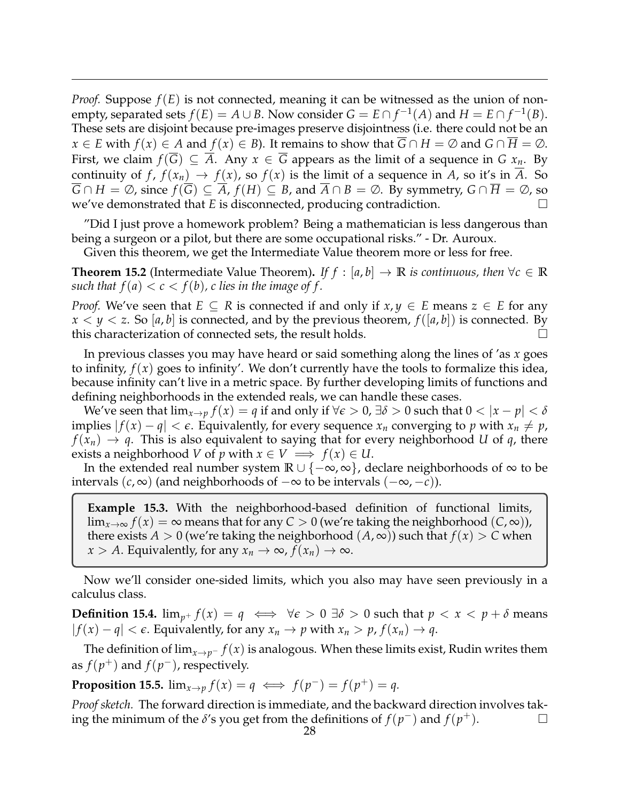*Proof.* Suppose *f*(*E*) is not connected, meaning it can be witnessed as the union of nonempty, separated sets  $f(E) = A \cup B$ . Now consider  $G = E \cap f^{-1}(A)$  and  $H = E \cap f^{-1}(B)$ . These sets are disjoint because pre-images preserve disjointness (i.e. there could not be an *x* ∈ *E* with  $f(x)$  ∈ *A* and  $f(x)$  ∈ *B*). It remains to show that  $G \cap H = \emptyset$  and  $G \cap H = \emptyset$ . First, we claim  $f(G) \subseteq A$ . Any  $x \in G$  appears as the limit of a sequence in  $G x_n$ . By continuity of *f*,  $f(x_n) \to f(x)$ , so  $f(x)$  is the limit of a sequence in *A*, so it's in  $\overline{A}$ . So  $\overline{G} \cap H = \emptyset$ , since  $f(\overline{G}) \subseteq \overline{A}$ ,  $f(H) \subseteq B$ , and  $\overline{A} \cap B = \emptyset$ . By symmetry,  $G \cap \overline{H} = \emptyset$ , so we've demonstrated that *E* is disconnected, producing contradiction.

"Did I just prove a homework problem? Being a mathematician is less dangerous than being a surgeon or a pilot, but there are some occupational risks." - Dr. Auroux.

Given this theorem, we get the Intermediate Value theorem more or less for free.

**Theorem 15.2** (Intermediate Value Theorem). *If f* : [a, b]  $\rightarrow \mathbb{R}$  *is continuous, then*  $\forall c \in \mathbb{R}$ *such that*  $f(a) < c < f(b)$ , *c* lies in the image of f.

*Proof.* We've seen that  $E \subseteq R$  is connected if and only if  $x, y \in E$  means  $z \in E$  for any  $x < y < z$ . So [a, b] is connected, and by the previous theorem,  $f([a, b])$  is connected. By this characterization of connected sets, the result holds.

In previous classes you may have heard or said something along the lines of 'as *x* goes to infinity, *f*(*x*) goes to infinity'. We don't currently have the tools to formalize this idea, because infinity can't live in a metric space. By further developing limits of functions and defining neighborhoods in the extended reals, we can handle these cases.

We've seen that  $\lim_{x\to p} f(x) = q$  if and only if  $\forall \epsilon > 0$ ,  $\exists \delta > 0$  such that  $0 < |x - p| < \delta$ implies  $|f(x) - q| < \epsilon$ . Equivalently, for every sequence  $x_n$  converging to p with  $x_n \neq p$ ,  $f(x_n) \to q$ . This is also equivalent to saying that for every neighborhood *U* of *q*, there exists a neighborhood *V* of *p* with  $x \in V \implies f(x) \in U$ .

In the extended real number system **R** ∪ {−∞, ∞}, declare neighborhoods of ∞ to be intervals (*c*, ∞) (and neighborhoods of −∞ to be intervals (−∞, −*c*)).

**Example 15.3.** With the neighborhood-based definition of functional limits,  $\lim_{x\to\infty} f(x) = \infty$  means that for any  $C > 0$  (we're taking the neighborhood  $(C, \infty)$ ), there exists  $A > 0$  (we're taking the neighborhood  $(A, \infty)$ ) such that  $f(x) > C$  when  $x > A$ . Equivalently, for any  $x_n \to \infty$ ,  $f(x_n) \to \infty$ .

Now we'll consider one-sided limits, which you also may have seen previously in a calculus class.

**Definition 15.4.**  $\lim_{p^+} f(x) = q \iff \forall \epsilon > 0 \exists \delta > 0$  such that  $p < x < p + \delta$  means  $|f(x) - q| < \epsilon$ . Equivalently, for any  $x_n \to p$  with  $x_n > p$ ,  $f(x_n) \to q$ .

The definition of  $\lim_{x\to p^-} f(x)$  is analogous. When these limits exist, Rudin writes them as  $f(p^+)$  and  $f(p^-)$ , respectively.

**Proposition 15.5.**  $\lim_{x\to p} f(x) = q \iff f(p^-) = f(p^+) = q$ .

*Proof sketch.* The forward direction is immediate, and the backward direction involves taking the minimum of the  $\delta$ 's you get from the definitions of  $f(p^-)$  and  $f(p^+)$ .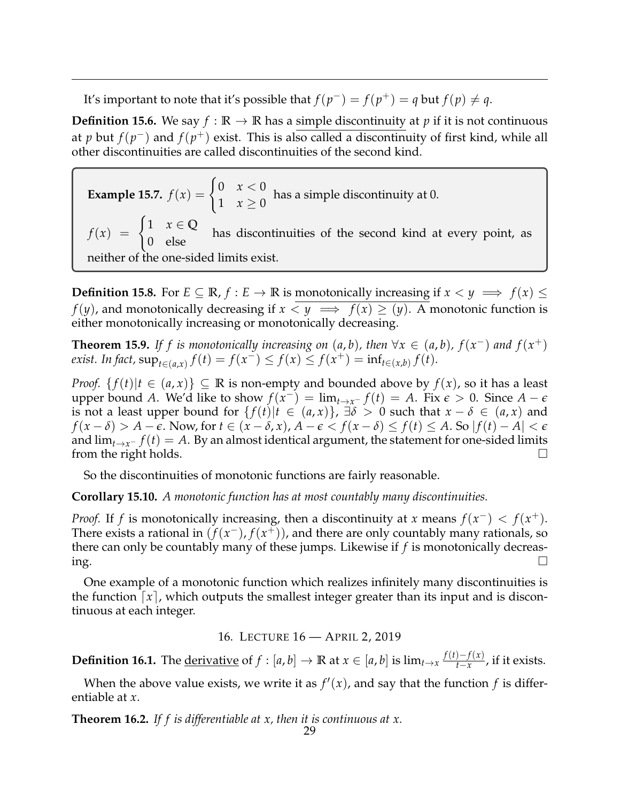It's important to note that it's possible that  $f(p^-) = f(p^+) = q$  but  $f(p) \neq q$ .

**Definition 15.6.** We say  $f : \mathbb{R} \to \mathbb{R}$  has a simple discontinuity at *p* if it is not continuous at *p* but  $f(p^-)$  and  $f(p^+)$  exist. This is also called a discontinuity of first kind, while all other discontinuities are called discontinuities of the second kind.

**Example 15.7.**  $f(x) = \begin{cases} 0 & x < 0 \\ 1 & x > 0 \end{cases}$  $\begin{cases} 1 & x \geq 0 \\ 1 & x \geq 0 \end{cases}$  has a simple discontinuity at 0.  $f(x) = \begin{cases} 1 & x \in \mathbb{Q} \\ 0 & 1 \end{cases}$ 0 else has discontinuities of the second kind at every point, as neither of the one-sided limits exist.

**Definition 15.8.** For  $E \subseteq \mathbb{R}$ ,  $f : E \to \mathbb{R}$  is monotonically increasing if  $x < y \implies f(x) \le$ *f*(*y*), and monotonically decreasing if  $x \le y \implies f(x) \ge (y)$ . A monotonic function is either monotonically increasing or monotonically decreasing.

**Theorem 15.9.** If f is monotonically increasing on  $(a, b)$ , then  $\forall x \in (a, b)$ ,  $f(x^{-})$  and  $f(x^{+})$ *exist. In fact,*  $\sup_{t \in (a,x)} f(t) = f(x^{-}) \leq f(x) \leq f(x^{+}) = \inf_{t \in (x,b)} f(t)$ .

*Proof.*  $\{f(t)|t \in (a, x)\} \subseteq \mathbb{R}$  is non-empty and bounded above by  $f(x)$ , so it has a least upper bound *A*. We'd like to show  $f(x^{-}) = \lim_{t \to x^{-}} f(t) = A$ . Fix  $\epsilon > 0$ . Since  $A - \epsilon$ is not a least upper bound for  $\{f(t)|t \in (a,x)\}$ ,  $\exists \delta > 0$  such that  $x - \delta \in (a,x)$  and  $f(x - \delta) > A - \epsilon$ . Now, for  $t \in (x - \delta, x)$ ,  $A - \epsilon < f(x - \delta) \le f(t) \le A$ . So  $|f(t) - A| < \epsilon$ and  $\lim_{t\to x^-} f(t) = A$ . By an almost identical argument, the statement for one-sided limits from the right holds.  $\square$ 

So the discontinuities of monotonic functions are fairly reasonable.

**Corollary 15.10.** *A monotonic function has at most countably many discontinuities.*

*Proof.* If *f* is monotonically increasing, then a discontinuity at *x* means  $f(x^-) < f(x^+)$ . There exists a rational in  $(f(x^-), f(x^+))$ , and there are only countably many rationals, so there can only be countably many of these jumps. Likewise if *f* is monotonically decreas- $\log$ .

One example of a monotonic function which realizes infinitely many discontinuities is the function  $\lceil x \rceil$ , which outputs the smallest integer greater than its input and is discontinuous at each integer.

16. LECTURE 16 — APRIL 2, 2019

<span id="page-28-0"></span>**Definition 16.1.** The <u>derivative</u> of  $f : [a, b] \to \mathbb{R}$  at  $x \in [a, b]$  is  $\lim_{t \to x} \frac{f(t) - f(x)}{t - x}$  $\frac{f(x)}{f(x)}$ , if it exists.

When the above value exists, we write it as  $f'(x)$ , and say that the function  $f$  is differentiable at *x*.

**Theorem 16.2.** *If f is differentiable at x, then it is continuous at x.*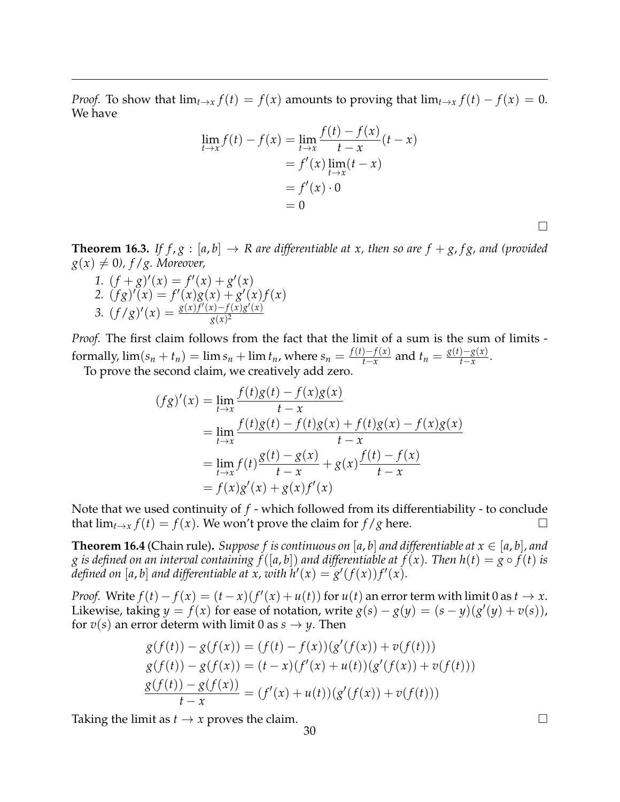*Proof.* To show that  $\lim_{t\to x} f(t) = f(x)$  amounts to proving that  $\lim_{t\to x} f(t) - f(x) = 0$ . We have

$$
\lim_{t \to x} f(t) - f(x) = \lim_{t \to x} \frac{f(t) - f(x)}{t - x}(t - x) \n= f'(x) \lim_{t \to x} (t - x) \n= f'(x) \cdot 0 \n= 0
$$

**Theorem 16.3.** *If f, g* : [a, b]  $\rightarrow$  *R* are differentiable at x, then so are  $f + g$ , fg, and (provided  $g(x) \neq 0$ ,  $f/g$ . Moreover,

1.  $(f+g)'(x) = f'(x) + g'(x)$ 2.  $(fg)'(x) = f'(x)g(x) + g'(x)f(x)$ 3.  $(f/g)'(x) = \frac{g(x)f'(x) - f(x)g'(x)}{g(x)^2}$ *g*(*x*) 2

*Proof.* The first claim follows from the fact that the limit of a sum is the sum of limits formally,  $\lim_{n \to \infty} (s_n + t_n) = \lim_{n \to \infty} s_n + \lim_{n \to \infty} t_n$ , where  $s_n = \frac{f(t) - f(x)}{t - x}$ *t*−*x*</sub> and *t*<sub>*n*</sub> =  $\frac{g(t)-g(x)}{t-x}$  $\frac{y-x(x)}{t-x}$ .

To prove the second claim, we creatively add zero.

$$
(fg)'(x) = \lim_{t \to x} \frac{f(t)g(t) - f(x)g(x)}{t - x}
$$
  
= 
$$
\lim_{t \to x} \frac{f(t)g(t) - f(t)g(x) + f(t)g(x) - f(x)g(x)}{t - x}
$$
  
= 
$$
\lim_{t \to x} f(t) \frac{g(t) - g(x)}{t - x} + g(x) \frac{f(t) - f(x)}{t - x}
$$
  
= 
$$
f(x)g'(x) + g(x)f'(x)
$$

Note that we used continuity of *f* - which followed from its differentiability - to conclude that  $\lim_{t\to x} f(t) = f(x)$ . We won't prove the claim for  $f/g$  here.

**Theorem 16.4** (Chain rule). *Suppose f is continuous on* [a, b] and differentiable at  $x \in [a, b]$ , and *g* is defined on an interval containing  $f([a, b])$  and differentiable at  $f(x)$ . Then  $h(t) = g \circ f(t)$  is defined on [a, b] and differentiable at x, with  $h'(x) = g'(f(x))f'(x)$ .

*Proof.* Write  $f(t) - f(x) = (t - x)(f'(x) + u(t))$  for  $u(t)$  an error term with limit 0 as  $t \to x$ . Likewise, taking  $y = f(x)$  for ease of notation, write  $g(s) - g(y) = (s - y)(g'(y) + v(s))$ , for  $v(s)$  an error determ with limit 0 as  $s \rightarrow y$ . Then

$$
g(f(t)) - g(f(x)) = (f(t) - f(x))(g'(f(x)) + v(f(t)))
$$
  
\n
$$
g(f(t)) - g(f(x)) = (t - x)(f'(x) + u(t))(g'(f(x)) + v(f(t)))
$$
  
\n
$$
\frac{g(f(t)) - g(f(x))}{t - x} = (f'(x) + u(t))(g'(f(x)) + v(f(t)))
$$

Taking the limit as  $t \to x$  proves the claim.

 $\Box$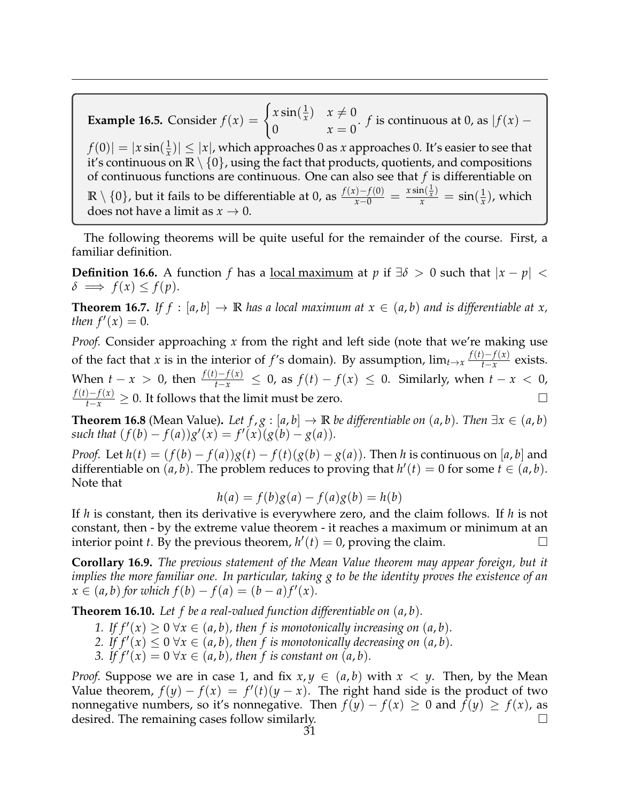**Example 16.5.** Consider  $f(x) = \begin{cases} x \sin(\frac{1}{x}) & \text{if } x \leq 1 \\ 0 & \text{if } x \leq 1 \end{cases}$  $\frac{1}{x}$ )  $x \neq 0$ 0  $x = 0$ . *f* is continuous at 0, as  $|f(x)$  $f(0)| = |x \sin(\frac{1}{x})|$  $\left| \frac{1}{x} \right| |\leq |x|$ , which approaches 0 as *x* approaches 0. It's easier to see that it's continuous on  $\mathbb{R} \setminus \{0\}$ , using the fact that products, quotients, and compositions of continuous functions are continuous. One can also see that *f* is differentiable on **R** \ {0}, but it fails to be differentiable at 0, as  $\frac{f(x)-f(0)}{x-0} = \frac{x \sin(\frac{1}{x})}{x} = \sin(\frac{1}{x})$  $\frac{1}{x}$ ), which does not have a limit as  $x \to 0$ .

The following theorems will be quite useful for the remainder of the course. First, a familiar definition.

**Definition 16.6.** A function *f* has a <u>local maximum</u> at *p* if  $\exists \delta > 0$  such that  $|x - p| <$  $\delta \implies f(x) \leq f(p).$ 

**Theorem 16.7.** If  $f : [a, b] \to \mathbb{R}$  has a local maximum at  $x \in (a, b)$  and is differentiable at x, *then*  $f'(x) = 0$ *.* 

*Proof.* Consider approaching *x* from the right and left side (note that we're making use of the fact that *x* is in the interior of *f*'s domain). By assumption,  $\lim_{t\to x} \frac{f(t)-f(x)}{t-x}$  $\frac{f^{-f(x)}}{f^{-x}}$  exists. When  $t - x > 0$ , then  $\frac{f(t) - f(x)}{t - x} \leq 0$ , as  $f(t) - f(x) \leq 0$ . Similarly, when  $t - x < 0$ , *f*(*t*)−*f*(*x*)</sub>  $\geq$  0. It follows that the limit must be zero.  $\Box$ 

**Theorem 16.8** (Mean Value). *Let*  $f$ ,  $g$  :  $[a, b] \rightarrow \mathbb{R}$  *be differentiable on*  $(a, b)$ *. Then*  $\exists x \in (a, b)$  $such that$   $(f(b) - f(a))g'(x) = f'(x)(g(b) - g(a)).$ 

*Proof.* Let  $h(t) = (f(b) - f(a))g(t) - f(t)(g(b) - g(a))$ . Then *h* is continuous on [*a*, *b*] and differentiable on  $(a, b)$ . The problem reduces to proving that  $h'(t) = 0$  for some  $t \in (a, b)$ . Note that

$$
h(a) = f(b)g(a) - f(a)g(b) = h(b)
$$

If *h* is constant, then its derivative is everywhere zero, and the claim follows. If *h* is not constant, then - by the extreme value theorem - it reaches a maximum or minimum at an interior point *t*. By the previous theorem,  $h'(t) = 0$ , proving the claim.

**Corollary 16.9.** *The previous statement of the Mean Value theorem may appear foreign, but it implies the more familiar one. In particular, taking g to be the identity proves the existence of an*  $x \in (a, b)$  for which  $f(b) - f(a) = (b - a)f'(x)$ .

**Theorem 16.10.** *Let f be a real-valued function differentiable on* (*a*, *b*)*.*

- 1. If  $f'(x) \ge 0 \,\forall x \in (a, b)$ , then f is monotonically increasing on  $(a, b)$ .
- 2. If  $f'(x) \leq 0 \forall x \in (a, b)$ , then f is monotonically decreasing on  $(a, b)$ .
- *3.* If  $f'(x) = 0 \forall x \in (a, b)$ , then f is constant on  $(a, b)$ .

*Proof.* Suppose we are in case 1, and fix  $x, y \in (a, b)$  with  $x < y$ . Then, by the Mean Value theorem,  $f(y) - f(x) = f'(t)(y - x)$ . The right hand side is the product of two nonnegative numbers, so it's nonnegative. Then  $f(y) - f(x) \ge 0$  and  $f(y) \ge f(x)$ , as desired. The remaining cases follow similarly.  $\Box$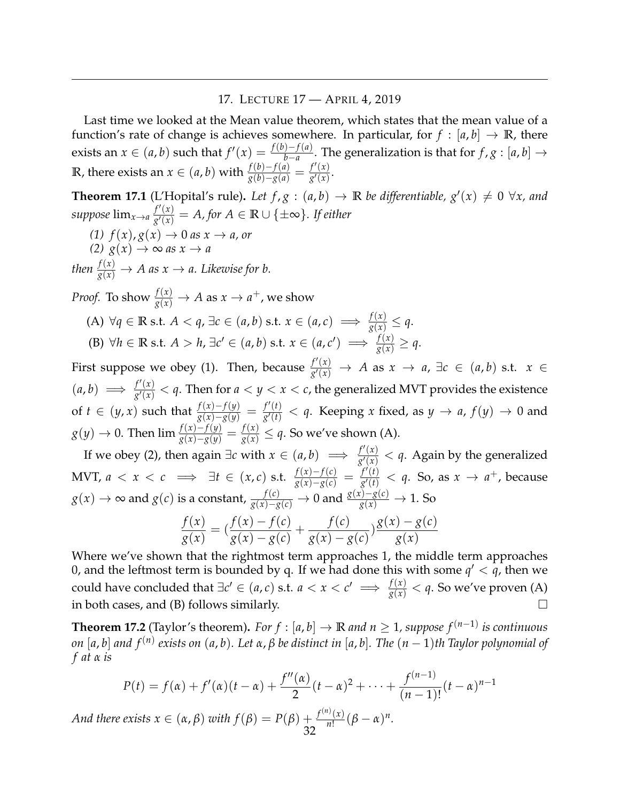## 17. LECTURE 17 — APRIL 4, 2019

<span id="page-31-0"></span>Last time we looked at the Mean value theorem, which states that the mean value of a function's rate of change is achieves somewhere. In particular, for  $f : [a, b] \rightarrow \mathbb{R}$ , there exists an *x* ∈ (*a*, *b*) such that  $f'(x) = \frac{f(b)-f(a)}{b-a}$ . The generalization is that for *f* , *g* : [*a*, *b*] → **R**, there exists an  $x \in (a, b)$  with  $\frac{f(b)-f(a)}{g(b)-g(a)} = \frac{f'(x)}{g'(x)}$  $\frac{f(x)}{g'(x)}$ .

**Theorem 17.1** (L'Hopital's rule). Let  $f, g : (a, b) \rightarrow \mathbb{R}$  be differentiable,  $g'(x) \neq 0 \ \forall x$ , and *suppose*  $\lim_{x\to a} \frac{f'(x)}{g'(x)}$  $\frac{f'(x)}{g'(x)} = A$ , for  $A \in \mathbb{R} \cup \{\pm \infty\}$ . If either  $(1)$   $f(x)$ ,  $g(x) \rightarrow 0$  *as*  $x \rightarrow a$ , *or*  $(2)$   $g(x) \rightarrow \infty$  *as*  $x \rightarrow a$ *then*  $\frac{f(x)}{g(x)} \to A$  as  $x \to a$ . Likewise for b. *Proof.* To show  $\frac{f(x)}{g(x)} \to A$  as  $x \to a^+$ , we show (A) ∀*q* ∈ **R** s.t. *A* < *q*, ∃*c* ∈ (*a*, *b*) s.t. *x* ∈ (*a*, *c*)  $\implies \frac{f(x)}{g(x)} \leq q$ . (B)  $\forall h \in \mathbb{R} \text{ s.t. } A > h$ ,  $\exists c' \in (a, b) \text{ s.t. } x \in (a, c') \implies \frac{f(x)}{g(x)} \geq q$ . First suppose we obey (1). Then, because  $\frac{f'(x)}{g'(x)}$  $\frac{f'(x)}{g'(x)}$  → *A* as  $x \to a$ , ∃*c* ∈ (*a*, *b*) s.t.  $x \in$  $(a, b) \implies \frac{f'(x)}{g'(x)}$  $\frac{f'(x)}{g'(x)} < q$ . Then for  $a < y < x < c$ , the generalized MVT provides the existence of *t* ∈ (*y*, *x*) such that  $\frac{f(x)-f(y)}{g(x)-g(y)} = \frac{f'(t)}{g'(t)}$  $\frac{f(t)}{g'(t)} < q$ . Keeping *x* fixed, as  $y \to a$ ,  $f(y) \to 0$  and *g*(*y*) → 0. Then  $\lim \frac{f(x)-f(y)}{g(x)-g(y)} = \frac{f(x)}{g(x)} \leq q$ . So we've shown (A).

If we obey (2), then again  $\exists c$  with  $x \in (a, b) \implies \frac{f'(x)}{g'(x)}$  $\frac{f(x)}{g'(x)} < q$ . Again by the generalized MVT, *a* < *x* < *c*  $\implies$  ∃*t* ∈ (*x*, *c*) s.t.  $\frac{f(x)-f(c)}{g(x)-g(c)} = \frac{f'(t)}{g'(t)}$  $\frac{f'(t)}{g'(t)} < q$ . So, as  $x \to a^+$ , because  $g(x) \to \infty$  and  $g(c)$  is a constant,  $\frac{f(c)}{g(x)-g(c)} \to 0$  and  $\frac{g(x)-g(c)}{g(x)} \to 1$ . So *f*(*x*) *g*(*x*)  $=$   $\left(\frac{f(x) - f(c)}{f(c)}\right)$ *g*(*x*) − *g*(*c*)  $+\frac{f(c)}{f(c)}$ *g*(*x*) − *g*(*c*)  $\frac{g(x) - g(c)}{g(x)}$ *g*(*x*)

Where we've shown that the rightmost term approaches 1, the middle term approaches 0, and the leftmost term is bounded by q. If we had done this with some  $q' < \overline{q}$ , then we could have concluded that  $∃c' ∈ (a, c)$  s.t.  $a < x < c' \implies ∕(x) < a$ . So we've proven (A) in both cases, and (B) follows similarly.  $\Box$ 

**Theorem 17.2** (Taylor's theorem)**.** *For f* : [*a*, *b*] → **R** *and n* ≥ 1*, suppose f* (*n*−1) *is continuous on* [*a*, *b*] *and f* (*n*) *exists on* (*a*, *b*)*. Let α*, *β be distinct in* [*a*, *b*]*. The* (*n* − 1)*th Taylor polynomial of f at α is*

$$
P(t) = f(\alpha) + f'(\alpha)(t - \alpha) + \frac{f''(\alpha)}{2}(t - \alpha)^2 + \dots + \frac{f^{(n-1)}}{(n-1)!}(t - \alpha)^{n-1}
$$

*And there exists*  $x \in (\alpha, \beta)$  *with*  $f(\beta) = P(\beta) + \frac{f^{(n)}(x)}{n!}$  $\frac{n!}{n!}(\beta-\alpha)^n$ . 32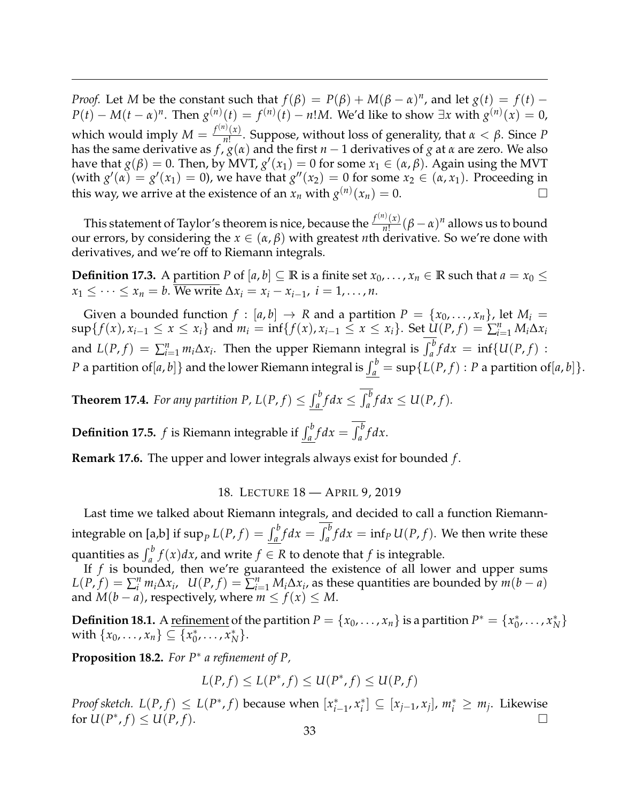*Proof.* Let *M* be the constant such that  $f(\beta) = P(\beta) + M(\beta - \alpha)^n$ , and let  $g(t) = f(t)$  $P(t) - M(t - \alpha)^n$ . Then  $g^{(n)}(t) = f^{(n)}(t) - n!M$ . We'd like to show ∃*x* with  $g^{(n)}(x) = 0$ , which would imply  $M = \frac{f^{(n)}(x)}{n!}$  $\frac{f(x)}{n!}$ . Suppose, without loss of generality, that *α* < *β*. Since *P* has the same derivative as  $f''(g(x))$  and the first  $n-1$  derivatives of  $g$  at  $\alpha$  are zero. We also have that  $g(\beta) = 0$ . Then, by MVT,  $g'(x_1) = 0$  for some  $x_1 \in (\alpha, \beta)$ . Again using the MVT (with  $g'(\alpha) = g'(x_1) = 0$ ), we have that  $g''(x_2) = 0$  for some  $x_2 \in (\alpha, x_1)$ . Proceeding in this way, we arrive at the existence of an  $x_n$  with  $g^{(n)}(x_n) = 0$ .

This statement of Taylor's theorem is nice, because the  $\frac{f^{(n)}(x)}{n!}$  $\frac{n!}{n!}(\beta - \alpha)^n$  allows us to bound our errors, by considering the  $x \in (\alpha, \beta)$  with greatest *n*th derivative. So we're done with derivatives, and we're off to Riemann integrals.

**Definition 17.3.** A partition *P* of  $[a, b] \subseteq \mathbb{R}$  is a finite set  $x_0, \ldots, x_n \in \mathbb{R}$  such that  $a = x_0 \leq$  $x_1 \leq \cdots \leq x_n = b$ . We write  $\Delta x_i = x_i - x_{i-1}$ ,  $i = 1, \ldots, n$ .

Given a bounded function  $f : [a, b] \rightarrow R$  and a partition  $P = \{x_0, \ldots, x_n\}$ , let  $M_i =$  $\sup\{f(x), x_{i-1} \le x \le x_i\}$  and  $m_i = \inf\{f(x), x_{i-1} \le x \le x_i\}$ . Set  $\underline{U}(P, f) = \sum_{i=1}^n M_i \Delta x_i$ and  $L(P, f) = \sum_{i=1}^{n} m_i \Delta x_i$ . Then the upper Riemann integral is  $\int_a^b f dx = \inf \{U(P, f) :$ *P* a partition of  $[a,b]$  } and the lower Riemann integral is  $\int_a^b = \sup \{ L(P,f) : P$  a partition of  $[a,b] \}.$ 

**Theorem 17.4.** For any partition P,  $L(P, f) \leq \int_a^b f dx \leq \int_a^b f dx \leq U(P, f)$ .

**Definition 17.5.** *f* is Riemann integrable if  $\int_a^b f dx = \int_a^b f dx$ .

**Remark 17.6.** The upper and lower integrals always exist for bounded *f* .

18. LECTURE 18 — APRIL 9, 2019

<span id="page-32-0"></span>Last time we talked about Riemann integrals, and decided to call a function Riemannintegrable on [a,b] if  $\sup_{P} L(P, f) = \int_{a}^{b} f dx = \int_{a}^{b} f dx = \inf_{P} U(P, f)$ . We then write these quantities as  $\int_a^b f(x)dx$ , and write  $f \in R$  to denote that *f* is integrable.

If *f* is bounded, then we're guaranteed the existence of all lower and upper sums  $L(P, f) = \sum_{i=1}^{n} m_i \Delta x_i$ ,  $U(P, f) = \sum_{i=1}^{n} M_i \Delta x_i$ , as these quantities are bounded by  $m(b-a)$ and  $M(b - a)$ , respectively, where  $m \le f(x) \le M$ .

**Definition 18.1.** A <u>refinement</u> of the partition  $P = \{x_0, \ldots, x_n\}$  is a partition  $P^* = \{x_0^*\}$  $_{0}^{*},\ldots,x_{N}^{*}$ *N* } with  $\{x_0, ..., x_n\} \subseteq \{x_0^*\}$  $_{0}^{*},\ldots,x_{N}^{*}$ *N* }.

**Proposition 18.2.** *For P*<sup>∗</sup> *a refinement of P,*

$$
L(P, f) \le L(P^*, f) \le U(P^*, f) \le U(P, f)
$$

*Proof sketch.*  $L(P, f) \leq L(P^*, f)$  because when  $[x_i^*]$ *i*−1 , *x* ∗  $\mathbf{x}_i^*$   $\subseteq$   $[x_{j-1}, x_j]$ ,  $m_i^*$   $\geq m_j$ . Likewise for  $U(P^*, f) \le U(P, f)$ .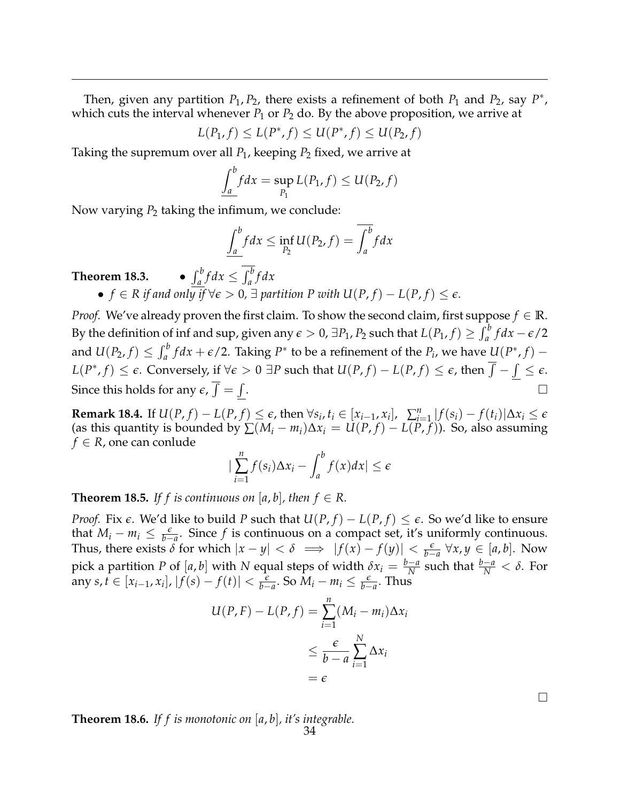Then, given any partition  $P_1$ ,  $P_2$ , there exists a refinement of both  $P_1$  and  $P_2$ , say  $P^*$ , which cuts the interval whenever  $P_1$  or  $P_2$  do. By the above proposition, we arrive at

$$
L(P_1, f) \le L(P^*, f) \le U(P^*, f) \le U(P_2, f)
$$

Taking the supremum over all *P*1, keeping *P*<sup>2</sup> fixed, we arrive at

$$
\int_a^b f dx = \sup_{P_1} L(P_1, f) \leq U(P_2, f)
$$

Now varying  $P_2$  taking the infimum, we conclude:

$$
\underline{\int_a^b} f dx \le \inf_{P_2} U(P_2, f) = \overline{\int_a^b} f dx
$$

**Theorem 18.3.** •  $\int_{a}^{b} f dx \leq \int_{a}^{b} f dx$  $\bullet$  *f* ∈ *R if and only if*  $\forall \epsilon > 0$ , ∃ *partition P with U(P, f)* − *L(P, f)* ≤  $\epsilon$ *.* 

*Proof.* We've already proven the first claim. To show the second claim, first suppose  $f \in \mathbb{R}$ . By the definition of inf and sup, given any  $\epsilon > 0$ ,  $\exists P_1, P_2$  such that  $L(P_1, f) \geq \int_a^b f dx - \epsilon/2$ and  $U(P_2, f) \leq \int_a^b f dx + \epsilon/2$ . Taking  $P^*$  to be a refinement of the  $P_i$ , we have  $U(P^*, f)$  –  $L(P^*, f) \leq \epsilon.$  Conversely, if  $\forall \epsilon > 0$  ∃P such that  $U(P, f) - L(P, f) \leq \epsilon$ , then  $\overline{\int}-\int \leq \epsilon.$ Since this holds for any  $\epsilon$ ,  $\int = \int$ . В последните поставите на селото на селото на селото на селото на селото на селото на селото на селото на се<br>Селото на селото на селото на селото на селото на селото на селото на селото на селото на селото на селото на

**Remark 18.4.** If  $U(P, f) - L(P, f) \leq \epsilon$ , then  $\forall s_i, t_i \in [x_{i-1}, x_i]$ ,  $\sum_{i=1}^n |f(s_i) - f(t_i)| \Delta x_i \leq \epsilon$ (as this quantity is bounded by  $\sum (M_i - m_i) \Delta x_i = U(P, f) - L(P, f)$ ). So, also assuming  $f \in R$ , one can conlude

$$
\left|\sum_{i=1}^n f(s_i)\Delta x_i - \int_a^b f(x)dx\right| \leq \epsilon
$$

**Theorem 18.5.** If f is continuous on [a, b], then  $f \in R$ .

*Proof.* Fix  $\epsilon$ . We'd like to build *P* such that  $U(P, f) - L(P, f) \leq \epsilon$ . So we'd like to ensure that  $M_i - m_i \leq \frac{\epsilon}{b-a}$ . Since *f* is continuous on a compact set, it's uniformly continuous. Thus, there exists  $\delta$  for which  $|x - y| < \delta \implies |f(x) - f(y)| < \frac{\epsilon}{b-a} \forall x, y \in [a, b]$ . Now pick a partition *P* of  $[a, b]$  with *N* equal steps of width  $\delta x_i = \frac{b-a}{N}$  such that  $\frac{b-a}{N} < \delta$ . For any  $s, t \in [x_{i-1}, x_i], |f(s) - f(t)| < \frac{\varepsilon}{b-a}$ . So  $M_i - m_i \le \frac{\varepsilon}{b-a}$ . Thus

$$
U(P, F) - L(P, f) = \sum_{i=1}^{n} (M_i - m_i) \Delta x_i
$$
  

$$
\leq \frac{\epsilon}{b - a} \sum_{i=1}^{N} \Delta x_i
$$
  

$$
= \epsilon
$$

**Theorem 18.6.** *If f is monotonic on* [*a*, *b*]*, it's integrable.*

 $\Box$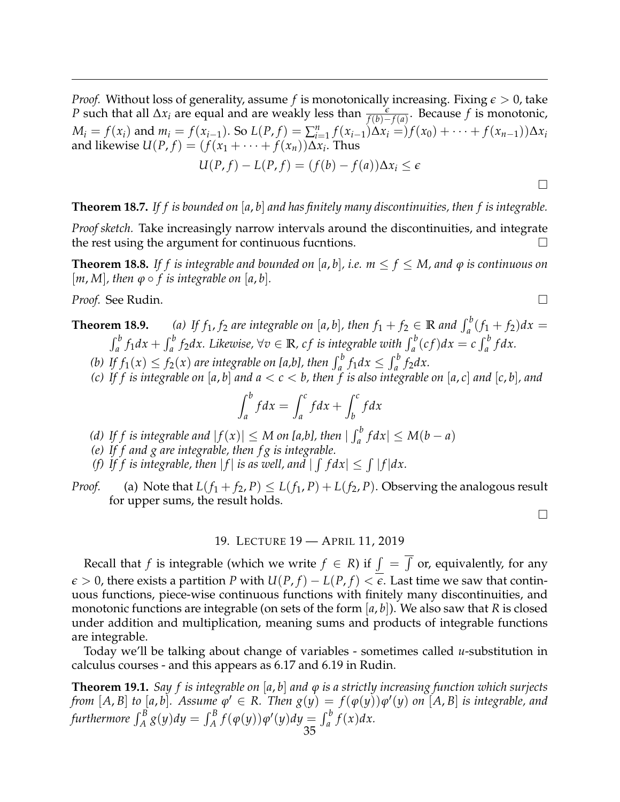*Proof.* Without loss of generality, assume *f* is monotonically increasing. Fixing  $\epsilon > 0$ , take *P* such that all  $\Delta x_i$  are equal and are weakly less than  $\frac{\epsilon}{f(b)-f(a)}$ . Because *f* is monotonic,  $M_i = f(x_i)$  and  $m_i = f(x_{i-1})$ . So  $L(P, f) = \sum_{i=1}^{n} f(x_{i-1}) \Delta x_i = f(x_0) + \cdots + f(x_{n-1}) \Delta x_i$ and likewise  $U(P, f) = (f(x_1 + \cdots + f(x_n))\Delta x_i$ . Thus  $U(P, f) - L(P, f) = (f(b) - f(a))\Delta x_i \leq \epsilon$ 

 $\Box$ 

# **Theorem 18.7.** *If f is bounded on* [*a*, *b*] *and has finitely many discontinuities, then f is integrable.*

*Proof sketch.* Take increasingly narrow intervals around the discontinuities, and integrate the rest using the argument for continuous fucntions.

**Theorem 18.8.** If f is integrable and bounded on [a, b], i.e.  $m \le f \le M$ , and  $\varphi$  is continuous on  $[m, M]$ , then  $\varphi \circ f$  is integrable on  $[a, b]$ .

*Proof.* See Rudin.

**Theorem 18.9.** *(a)* If  $f_1$ ,  $f_2$  are integrable on [a, b], then  $f_1 + f_2 \in \mathbb{R}$  and  $\int_a^b (f_1 + f_2) dx =$  $\int_a^b f_1 dx + \int_a^b f_2 dx$ . Likewise,  $\forall v \in \mathbb{R}$ , cf is integrable with  $\int_a^b (cf) dx = c \int_a^b f dx$ .

- *(b) If*  $f_1(x) \le f_2(x)$  *are integrable on [a,b], then*  $\int_a^b f_1 dx \le \int_a^b f_2 dx$ .
- *(c) If f is integrable on* [*a*, *b*] *and a* < *c* < *b, then f is also integrable on* [*a*, *c*] *and* [*c*, *b*]*, and*

$$
\int_{a}^{b} f dx = \int_{a}^{c} f dx + \int_{b}^{c} f dx
$$

- *(d)* If f is integrable and  $|f(x)| \leq M$  on [a,b], then  $| \int_a^b f dx | \leq M(b-a)$
- *(e) If f and g are integrable, then f g is integrable.*
- *(f)* If *f* is integrable, then  $|f|$  is as well, and  $| \int f dx | \leq \int |f| dx$ .

*Proof.* (a) Note that  $L(f_1 + f_2, P) \le L(f_1, P) + L(f_2, P)$ . Observing the analogous result for upper sums, the result holds.

## 19. LECTURE 19 — APRIL 11, 2019

<span id="page-34-0"></span>Recall that *f* is integrable (which we write  $f \in R$ ) if  $\int = \int$  or, equivalently, for any  $\epsilon > 0$ , there exists a partition *P* with  $U(P, f) - L(P, f) < \epsilon$ . Last time we saw that continuous functions, piece-wise continuous functions with finitely many discontinuities, and monotonic functions are integrable (on sets of the form  $|a, b|$ ). We also saw that *R* is closed under addition and multiplication, meaning sums and products of integrable functions are integrable.

Today we'll be talking about change of variables - sometimes called *u*-substitution in calculus courses - and this appears as 6.17 and 6.19 in Rudin.

**Theorem 19.1.** *Say f is integrable on* [*a*, *b*] *and ϕ is a strictly increasing function which surjects* from  $[A,B]$  to  $[a,b]$ . Assume  $\varphi' \in R$ . Then  $g(y) = f(\varphi(y)) \varphi'(y)$  on  $[A,B]$  is integrable, and  $\int_A^B g(y) dy = \int_A^B f(\varphi(y)) \varphi'(y) dy = \int_a^b f(x) dx.$ 35

$$
\overline{}
$$

 $\Box$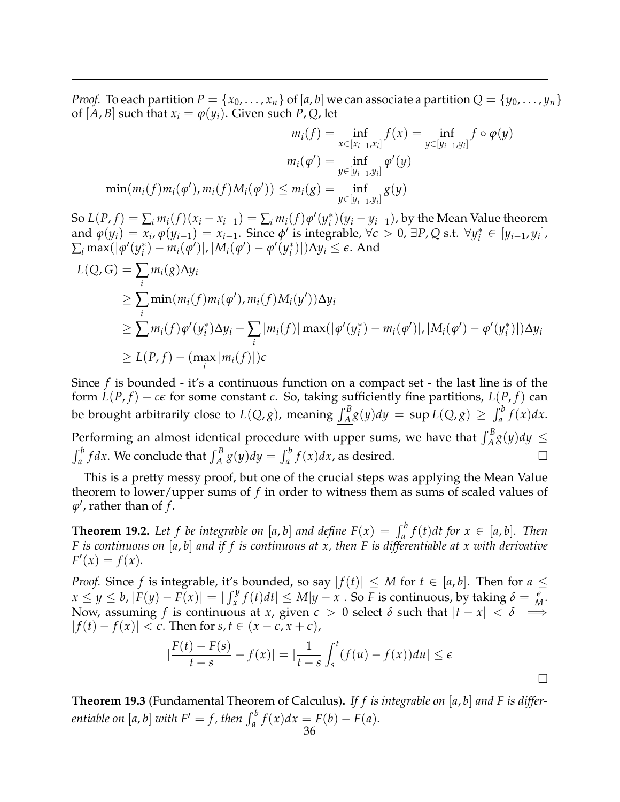*Proof.* To each partition  $P = \{x_0, \ldots, x_n\}$  of  $[a, b]$  we can associate a partition  $Q = \{y_0, \ldots, y_n\}$ of  $[A, B]$  such that  $x_i = \varphi(y_i)$ . Given such *P*, *Q*, let

$$
m_i(f) = \inf_{x \in [x_{i-1}, x_i]} f(x) = \inf_{y \in [y_{i-1}, y_i]} f \circ \varphi(y)
$$

$$
m_i(\varphi') = \inf_{y \in [y_{i-1}, y_i]} \varphi'(y)
$$

$$
\min(m_i(f)m_i(\varphi'), m_i(f)M_i(\varphi')) \le m_i(g) = \inf_{y \in [y_{i-1}, y_i]} g(y)
$$

So  $L(P, f) = \sum_i m_i(f)(x_i - x_{i-1}) = \sum_i m_i(f)\varphi'(y_i^*)$  $\binom{*}{i}(y_i - y_{i-1})$ , by the Mean Value theorem and  $\varphi(y_i) = x_i$ ,  $\varphi(y_{i-1}) = x_{i-1}$ . Since  $\varphi'$  is integrable,  $\forall \epsilon > 0$ ,  $\exists P, Q$  s.t.  $\forall y_i^* \in [y_{i-1}, y_i]$ ,  $\sum_i \max(|\varphi'(y_i^*)|$  $\phi_i^*$ ) –  $m_i(\phi')$ |, | $M_i(\phi') - \phi'(y_i^*)$  $\binom{*}{i}$ |)∆ $y_i$  ≤  $\epsilon$ . And

$$
L(Q, G) = \sum_{i} m_i(g) \Delta y_i
$$
  
\n
$$
\geq \sum_{i} \min(m_i(f) m_i(\varphi'), m_i(f) M_i(y')) \Delta y_i
$$
  
\n
$$
\geq \sum_{i} m_i(f) \varphi'(y_i^*) \Delta y_i - \sum_{i} |m_i(f)| \max(|\varphi'(y_i^*) - m_i(\varphi')|, |M_i(\varphi') - \varphi'(y_i^*)|) \Delta y_i
$$
  
\n
$$
\geq L(P, f) - (\max_i |m_i(f)|) \varepsilon
$$

Since *f* is bounded - it's a continuous function on a compact set - the last line is of the form  $L(P, f) - c\epsilon$  for some constant *c*. So, taking sufficiently fine partitions,  $L(P, f)$  can be brought arbitrarily close to  $L(Q, g)$ , meaning  $\int_A^B g(y) dy = \sup L(Q, g) \geq \int_a^b f(x) dx$ . Performing an almost identical procedure with upper sums, we have that  $\int_A^B g(y) dy \leq$  $\int_a^b f dx$ . We conclude that  $\int_A^B g(y) dy = \int_a^b f(x) dx$ , as desired.

This is a pretty messy proof, but one of the crucial steps was applying the Mean Value theorem to lower/upper sums of *f* in order to witness them as sums of scaled values of  $\varphi'$ , rather than of  $f$ .

**Theorem 19.2.** Let f be integrable on [a, b] and define  $F(x) = \int_a^b f(t) dt$  for  $x \in [a, b]$ . Then *F is continuous on* [*a*, *b*] *and if f is continuous at x, then F is differentiable at x with derivative*  $F'(x) = f(x)$ .

*Proof.* Since *f* is integrable, it's bounded, so say  $|f(t)| \leq M$  for  $t \in [a, b]$ . Then for  $a \leq$  $x \le y \le b$ ,  $|F(y) - F(x)| = |\int_x^y f(t)dt| \le M|y - x|$ . So F is continuous, by taking  $\delta = \frac{\epsilon}{M}$ . Now, assuming  $f$  is continuous at  $x$ , given  $\epsilon > 0$  select  $\delta$  such that  $|t - x| < \delta \implies$  $| f(t) - f(x) | < \epsilon$ . Then for *s*, *t* ∈ (*x* −  $\epsilon$ , *x* +  $\epsilon$ ),

$$
\left|\frac{F(t)-F(s)}{t-s}-f(x)\right|=\left|\frac{1}{t-s}\int_{s}^{t}(f(u)-f(x))du\right|\leq\epsilon
$$

 $\Box$ 

**Theorem 19.3** (Fundamental Theorem of Calculus)**.** *If f is integrable on* [*a*, *b*] *and F is differentiable on* [*a*, *b*] *with*  $F' = f$ , *then*  $\int_a^b f(x) dx = F(b) - F(a)$ *.*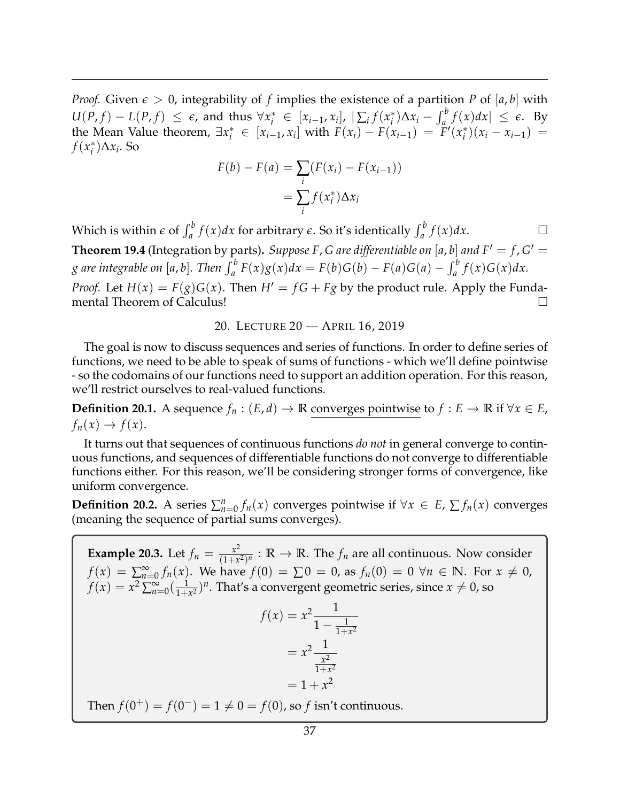*Proof.* Given  $\epsilon > 0$ , integrability of f implies the existence of a partition P of [a, b] with  $U(P, f) - L(P, f) \leq \epsilon$ , and thus  $\forall x_i^* \in [x_{i-1}, x_i]$ ,  $|\sum_i f(x_i^*)|$  $\int_a^a \frac{1}{2} f(x) dx$  ≤ *e*. By the Mean Value theorem,  $\exists x_i^* \in [x_{i-1}, x_i]$  with  $F(x_i) - F(x_{i-1}) = F'(x_i^*)$  $f_i^*$  $(x_i - x_{i-1}) =$ *f*(*x* ∗ *i* )∆*x<sup>i</sup>* . So

$$
F(b) - F(a) = \sum_{i} (F(x_i) - F(x_{i-1}))
$$

$$
= \sum_{i} f(x_i^*) \Delta x_i
$$

Which is within  $\epsilon$  of  $\int_a^b f(x)dx$  for arbitrary  $\epsilon$ . So it's identically  $\int_a^b f(x)dx$ . **Theorem 19.4** (Integration by parts). Suppose F, G are differentiable on [a, b] and  $F' = f$ ,  $G' = f$ g are integrable on [a, b]. Then  $\int_a^b F(x)g(x)dx = F(b)G(b) - F(a)G(a) - \int_a^b f(x)G(x)dx$ . *Proof.* Let  $H(x) = F(g)G(x)$ . Then  $H' = fG + Fg$  by the product rule. Apply the Funda-

<span id="page-36-0"></span>mental Theorem of Calculus!

20. LECTURE 20 — APRIL 16, 2019

The goal is now to discuss sequences and series of functions. In order to define series of functions, we need to be able to speak of sums of functions - which we'll define pointwise - so the codomains of our functions need to support an addition operation. For this reason, we'll restrict ourselves to real-valued functions.

**Definition 20.1.** A sequence  $f_n$  :  $(E,d)$  → **R** converges pointwise to  $f$  :  $E$  → **R** if  $\forall x \in E$ ,  $f_n(x) \to f(x)$ .

It turns out that sequences of continuous functions *do not* in general converge to continuous functions, and sequences of differentiable functions do not converge to differentiable functions either. For this reason, we'll be considering stronger forms of convergence, like uniform convergence.

**Definition 20.2.** A series  $\sum_{n=0}^{n} f_n(x)$  converges pointwise if  $\forall x \in E$ ,  $\sum f_n(x)$  converges (meaning the sequence of partial sums converges).

**Example 20.3.** Let  $f_n = \frac{x^2}{(1+x^2)^2}$  $\frac{x^2}{(1+x^2)^n}$ :  $\mathbb{R} \to \mathbb{R}$ . The  $f_n$  are all continuous. Now consider *f*(*x*) =  $\sum_{n=0}^{\infty} f_n(x)$ . We have *f*(0) = ∑ 0 = 0, as *f<sub>n</sub>*(0) = 0 ∀*n* ∈ **N**. For *x* ≠ 0,  $f(x) = x^2 \sum_{n=0}^{\infty} \left(\frac{1}{1+x}\right)$  $\frac{1}{1+x^2}$ <sup>*n*</sup>. That's a convergent geometric series, since  $x \neq 0$ , so  $f(x) = x^2 - \frac{1}{4}$  $1 - \frac{1}{1+x^2}$  $=x^2-\frac{1}{x^2}$ *x* 2  $1+x^2$  $= 1 + x^2$ Then  $f(0^+) = f(0^-) = 1 \neq 0 = f(0)$ , so *f* isn't continuous.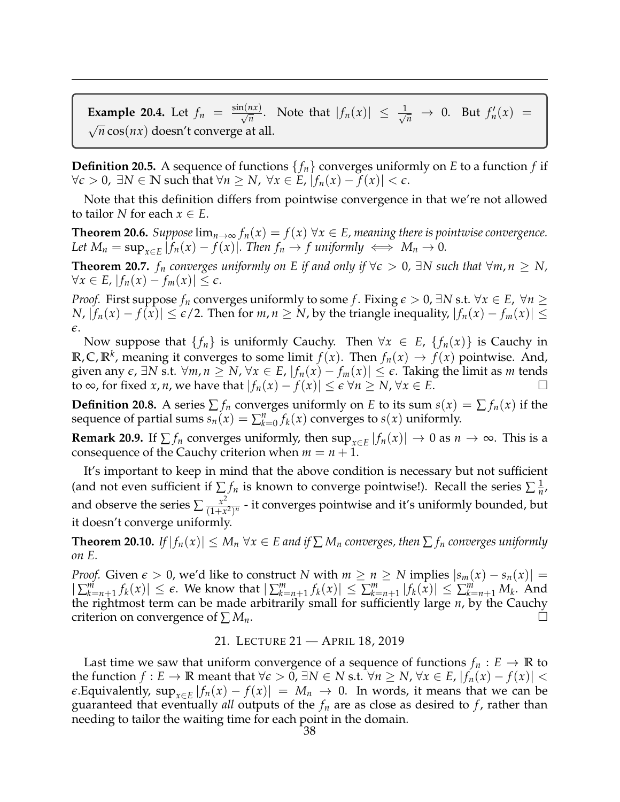**Example 20.4.** Let  $f_n = \frac{\sin(nx)}{\sqrt{n}}$ . Note that  $|f_n(x)| \leq \frac{1}{\sqrt{n}} \to 0$ . But  $f'_n(x) =$ √  $\sqrt{n}$  cos(*nx*) doesn't converge at all.

**Definition 20.5.** A sequence of functions  $\{f_n\}$  converges uniformly on *E* to a function *f* if *∀* $\epsilon$  > 0, ∃*N* ∈ **N** such that  $\forall n \geq N$ ,  $\forall x \in E$ ,  $|f_n(x) - f(x)| < \epsilon$ .

Note that this definition differs from pointwise convergence in that we're not allowed to tailor *N* for each  $x \in E$ .

**Theorem 20.6.** *Suppose*  $\lim_{n\to\infty} f_n(x) = f(x)$   $\forall x \in E$ , meaning there is pointwise convergence. *Let*  $M_n = \sup_{x \in E} |f_n(x) - f(x)|$ *. Then*  $f_n \to f$  *uniformly*  $\iff M_n \to 0$ *.* 

**Theorem 20.7.** *f<sub>n</sub>* converges uniformly on E if and only if  $\forall e > 0$ ,  $\exists N$  such that  $\forall m, n \geq N$ ,  $\forall x \in E, |f_n(x) - f_m(x)| \leq \epsilon.$ 

*Proof.* First suppose  $f_n$  converges uniformly to some  $f$ . Fixing  $\epsilon > 0$ ,  $\exists N$  s.t.  $\forall x \in E$ ,  $\forall n \geq 0$ *N*,  $|f_n(x) - f(x)| \le \epsilon/2$ . Then for *m*, *n* ≥ *N*, by the triangle inequality,  $|f_n(x) - f_m(x)|$  ≤ *e*.

Now suppose that  $\{f_n\}$  is uniformly Cauchy. Then  $\forall x \in E$ ,  $\{f_n(x)\}\$ is Cauchy in **R**, **C**, **R**<sup>*k*</sup>, meaning it converges to some limit  $f(x)$ . Then  $f_n(x) \to f(x)$  pointwise. And, *given any*  $\epsilon$ *,* ∃*N* s.t.  $\forall m, n \geq N$ ,  $\forall x \in E$ ,  $|f_n(x) - f_m(x)| \leq \epsilon$ . Taking the limit as *m* tends to ∞, for fixed *x*, *n*, we have that  $|f_n(x) - f(x)| \le \epsilon \ \forall n \ge N$ ,  $\forall x \in E$ . □

**Definition 20.8.** A series  $\sum f_n$  converges uniformly on *E* to its sum  $s(x) = \sum f_n(x)$  if the sequence of partial sums  $s_n(x) = \sum_{k=0}^n f_k(x)$  converges to  $s(x)$  uniformly.

**Remark 20.9.** If  $\sum f_n$  converges uniformly, then  $\sup_{x \in E} |f_n(x)| \to 0$  as  $n \to \infty$ . This is a consequence of the Cauchy criterion when  $m = n + 1$ .

It's important to keep in mind that the above condition is necessary but not sufficient (and not even sufficient if  $\sum f_n$  is known to converge pointwise!). Recall the series  $\sum \frac{1}{n}$  $\frac{1}{n}$ , and observe the series  $\sum \frac{x^2}{(1+x^2)^2}$  $\frac{x^2}{(1+x^2)^n}$  - it converges pointwise and it's uniformly bounded, but it doesn't converge uniformly.

**Theorem 20.10.** *If*  $|f_n(x)| \leq M_n \,\forall x \in E$  and if  $\sum M_n$  converges, then  $\sum f_n$  converges uniformly *on E.*

*Proof.* Given  $\epsilon > 0$ , we'd like to construct *N* with  $m \ge n \ge N$  implies  $|s_m(x) - s_n(x)| =$  $|\sum_{k=n+1}^{m} f_k(x)| \leq \epsilon$ . We know that  $|\sum_{k=n+1}^{m} f_k(x)| \leq \sum_{k=n+1}^{m} |f_k(x)| \leq \sum_{k=n+1}^{m} M_k$ . And the rightmost term can be made arbitrarily small for sufficiently large *n*, by the Cauchy criterion on convergence of  $\sum M_n$ .

## 21. LECTURE 21 — APRIL 18, 2019

<span id="page-37-0"></span>Last time we saw that uniform convergence of a sequence of functions  $f_n : E \to \mathbb{R}$  to the function *f* : *E* → **R** meant that  $\forall \epsilon > 0$ ,  $\exists N \in N$  s.t.  $\forall n \geq N$ ,  $\forall x \in E$ ,  $|f_n(x) - f(x)|$  < *e*.Equivalently,  $\sup_{x \in E} |f_n(x) - f(x)| = M_n \to 0$ . In words, it means that we can be guaranteed that eventually *all* outputs of the  $f_n$  are as close as desired to  $f$ , rather than needing to tailor the waiting time for each point in the domain.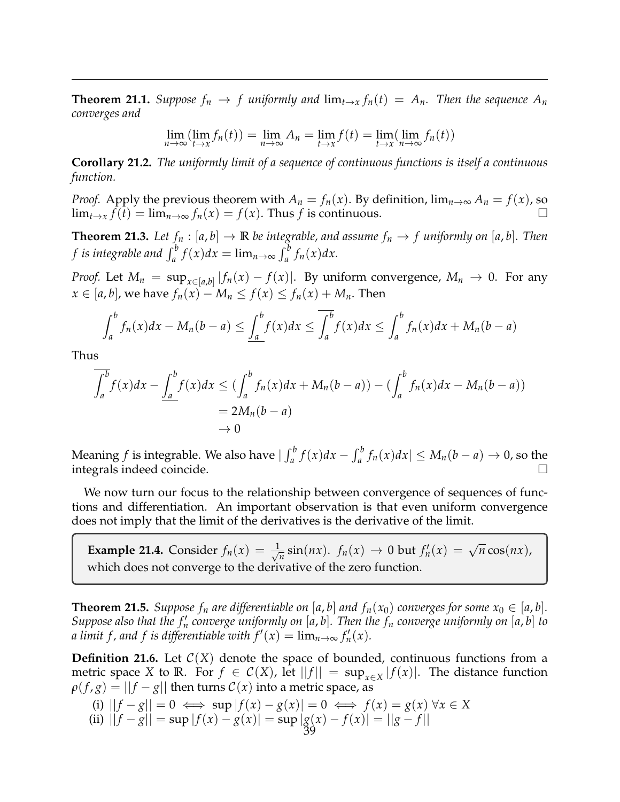**Theorem 21.1.** *Suppose*  $f_n \to f$  *uniformly and*  $\lim_{t\to x} f_n(t) = A_n$ *. Then the sequence*  $A_n$ *converges and*

$$
\lim_{n \to \infty} (\lim_{t \to x} f_n(t)) = \lim_{n \to \infty} A_n = \lim_{t \to x} f(t) = \lim_{t \to x} (\lim_{n \to \infty} f_n(t))
$$

**Corollary 21.2.** *The uniformly limit of a sequence of continuous functions is itself a continuous function.*

*Proof.* Apply the previous theorem with  $A_n = f_n(x)$ . By definition,  $\lim_{n\to\infty} A_n = f(x)$ , so  $\lim_{t\to x} \hat{f}(t) = \lim_{n\to\infty} f_n(x) = f(x)$ . Thus *f* is continuous.

**Theorem 21.3.** *Let*  $f_n : [a, b] \to \mathbb{R}$  *be integrable, and assume*  $f_n \to f$  *uniformly on* [a, b]. *Then f* is integrable and  $\int_a^b f(x)dx = \lim_{n \to \infty} \int_a^b f_n(x)dx$ .

*Proof.* Let  $M_n = \sup_{x \in [a,b]} |f_n(x) - f(x)|$ . By uniform convergence,  $M_n \to 0$ . For any *x* ∈ [*a*, *b*], we have  $f_n(x) - M_n \le f(x) \le f_n(x) + M_n$ . Then

$$
\int_a^b f_n(x)dx - M_n(b-a) \leq \underline{\int_a^b} f(x)dx \leq \overline{\int_a^b} f(x)dx \leq \int_a^b f_n(x)dx + M_n(b-a)
$$

Thus

$$
\overline{\int_a^b} f(x)dx - \underline{\int_a^b} f(x)dx \leq (\int_a^b f_n(x)dx + M_n(b-a)) - (\int_a^b f_n(x)dx - M_n(b-a))
$$
  
= 2M<sub>n</sub>(b-a)  
 $\rightarrow 0$ 

Meaning *f* is integrable. We also have  $|\int_a^b f(x)dx - \int_a^b f_n(x)dx| \le M_n(b-a) \to 0$ , so the integrals indeed coincide.

We now turn our focus to the relationship between convergence of sequences of functions and differentiation. An important observation is that even uniform convergence does not imply that the limit of the derivatives is the derivative of the limit.

**Example 21.4.** Consider  $f_n(x) = \frac{1}{\sqrt{2}}$  $f_n$  sin(*nx*).  $f_n(x) \to 0$  but  $f'_n(x) = \sqrt{n} \cos(nx)$ , which does not converge to the derivative of the zero function.

**Theorem 21.5.** *Suppose*  $f_n$  *are differentiable on* [*a*, *b*] *and*  $f_n(x_0)$  *converges for some*  $x_0 \in [a, b]$ *. Suppose also that the*  $f'_n$  *converge uniformly on* [*a*, *b*]. Then the  $f_n$  converge uniformly on [*a*, *b*] to *a limit f, and f is differentiable with*  $f'(x) = \lim_{n \to \infty} f'_n(x)$ *.* 

**Definition 21.6.** Let  $C(X)$  denote the space of bounded, continuous functions from a metric space *X* to **R**. For  $f \in C(X)$ , let  $||f|| = \sup_{x \in X} |f(x)|$ . The distance function  $\rho(f, g) = ||f - g||$  then turns  $C(x)$  into a metric space, as

(i) 
$$
||f - g|| = 0 \iff \sup |f(x) - g(x)| = 0 \iff f(x) = g(x) \forall x \in X
$$

(ii) 
$$
||f - g|| = \sup |f(x) - g(x)| = \sup \frac{|g(x) - f(x)|}{39} = ||g - f||
$$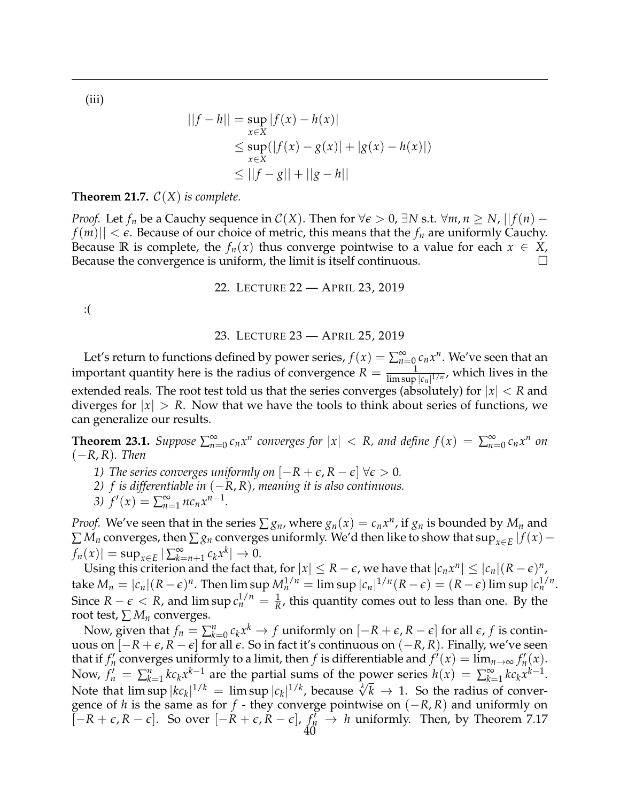(iii)

$$
||f - h|| = \sup_{x \in X} |f(x) - h(x)|
$$
  
\n
$$
\leq \sup_{x \in X} (|f(x) - g(x)| + |g(x) - h(x)|)
$$
  
\n
$$
\leq ||f - g|| + ||g - h||
$$

**Theorem 21.7.**  $C(X)$  *is complete.* 

*Proof.* Let  $f_n$  be a Cauchy sequence in  $\mathcal{C}(X)$ . Then for  $\forall \epsilon > 0$ ,  $\exists N$  s.t.  $\forall m, n \geq N$ ,  $||f(n) - f(n)||$  $f(m)$   $| \langle \epsilon \epsilon$ . Because of our choice of metric, this means that the  $f_n$  are uniformly Cauchy. Because **R** is complete, the  $f_n(x)$  thus converge pointwise to a value for each  $x \in X$ , Because the convergence is uniform, the limit is itself continuous.

22. LECTURE 22 — APRIL 23, 2019

<span id="page-39-0"></span>:(

### 23. LECTURE 23 — APRIL 25, 2019

<span id="page-39-1"></span>Let's return to functions defined by power series,  $f(x) = \sum_{n=0}^{\infty} c_n x^n$ . We've seen that an important quantity here is the radius of convergence  $R = \frac{1}{\limsup |c_n|^{1/n}}$ , which lives in the extended reals. The root test told us that the series converges (absolutely) for |*x*| < *R* and diverges for |*x*| > *R*. Now that we have the tools to think about series of functions, we can generalize our results.

**Theorem 23.1.** Suppose  $\sum_{n=0}^{\infty} c_n x^n$  converges for  $|x| < R$ , and define  $f(x) = \sum_{n=0}^{\infty} c_n x^n$  on (−*R*, *R*)*. Then*

- *1) The series converges uniformly on*  $[-R + \epsilon, R \epsilon] \ \forall \epsilon > 0$ *.*
- *2) f is differentiable in* (−*R*, *R*)*, meaning it is also continuous.*
- 3)  $f'(x) = \sum_{n=1}^{\infty} n c_n x^{n-1}$ .

*Proof.* We've seen that in the series  $\sum g_n$ , where  $g_n(x) = c_n x^n$ , if  $g_n$  is bounded by  $M_n$  and  $\sum M_n$  converges, then  $\sum g_n$  converges uniformly. We'd then like to show that  $\sup_{x \in E} |f(x) - f(x)|$  $f_n(x)| = \sup_{x \in E} |\sum_{k=1}^{\infty}$  $\sum_{k=n+1}^{\infty} c_k x^k \vert \to 0.$ 

Using this criterion and the fact that, for  $|x| \le R - \epsilon$ , we have that  $|c_n x^n| \le |c_n| (R - \epsilon)^n$ , take  $M_n = |c_n|(R-\epsilon)^n$ . Then  $\limsup M_n^{1/n} = \limsup |c_n|^{1/n}(R-\epsilon) = (R-\epsilon) \limsup |c_n^{1/n}$ . Since  $R - \epsilon < R$ , and  $\limsup c_n^{1/n} = \frac{1}{R}$ , this quantity comes out to less than one. By the root test,  $\sum M_n$  converges.

Now, given that  $f_n = \sum_{k=0}^n c_k x^k \rightarrow f$  uniformly on  $[-R + \epsilon, R - \epsilon]$  for all  $\epsilon$ ,  $f$  is continuous on [−*R* + *e*, *R* − *e*] for all *e*. So in fact it's continuous on (−*R*, *R*). Finally, we've seen that if  $f'_n$  converges uniformly to a limit, then *f* is differentiable and  $f'(x) = \lim_{n \to \infty} f'_n(x)$ . Now,  $f'_n = \sum_{k=1}^n k c_k x^{k-1}$  are the partial sums of the power series  $h(x) = \sum_{k=1}^{\infty} k x^{k-1}$  $\sum_{k=1}^{\infty}$   $kc_kx^{k-1}$ . Now,  $f_n = \sum_{k=1}^k k c_k x^{n-2}$  are the partial sums of the power series  $n(x) = \sum_{k=1}^k k c_k x^{n-2}$ .<br>Note that  $\limsup |kc_k|^{1/k} = \limsup |c_k|^{1/k}$ , because  $\sqrt[k]{k} \to 1$ . So the radius of convergence of *h* is the same as for *f* - they converge pointwise on (−*R*, *R*) and uniformly on  $[-R + \epsilon, R - \epsilon]$ . So over  $[-R + \epsilon, R - \epsilon]$ ,  $f'_R \to h$  uniformly. Then, by Theorem 7.17 40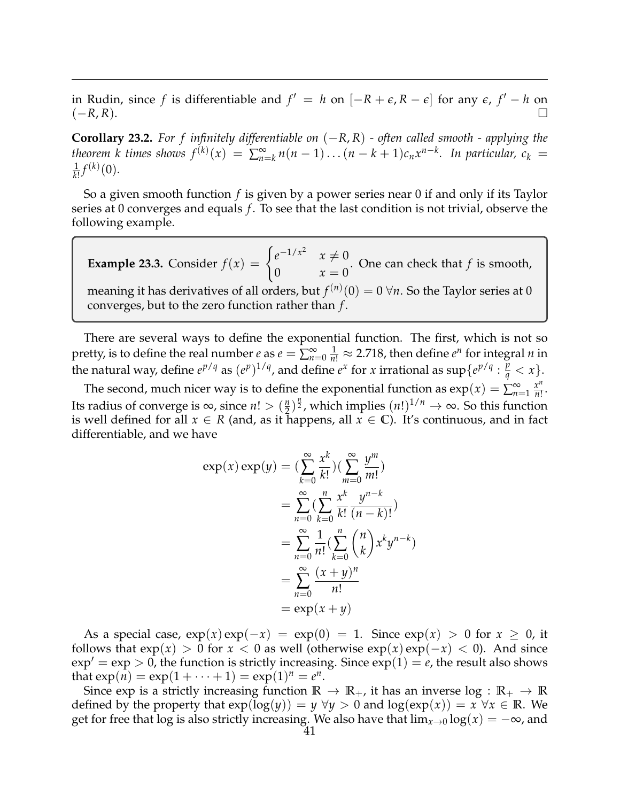in Rudin, since *f* is differentiable and  $f' = h$  on  $[-R + \epsilon, R - \epsilon]$  for any  $\epsilon$ ,  $f' - h$  on (−*R*, *R*).

**Corollary 23.2.** *For f infinitely differentiable on* (−*R*, *R*) *- often called smooth - applying the theorem k times shows*  $f^{(k)}(x) = \sum_{n=1}^{\infty}$  $\sum_{n=k}^{\infty} n(n-1)...(n-k+1)c_n x^{n-k}$ . In particular,  $c_k =$ 1  $\frac{1}{k!} f^{(k)}(0)$ .

So a given smooth function *f* is given by a power series near 0 if and only if its Taylor series at 0 converges and equals *f* . To see that the last condition is not trivial, observe the following example.

**Example 23.3.** Consider  $f(x) = \begin{cases} e^{-1/x^2} & x \neq 0 \\ 0 & x = 0 \end{cases}$ 0  $x = 0$ . One can check that *f* is smooth, meaning it has derivatives of all orders, but  $f^{(n)}(0)=0$   $\forall n.$  So the Taylor series at  $0$ converges, but to the zero function rather than *f* .

There are several ways to define the exponential function. The first, which is not so pretty, is to define the real number *e* as  $e = \sum_{n=0}^{\infty} \frac{1}{n!} \approx 2.718$ , then define  $e^n$  for integral *n* in the natural way, define  $e^{p/q}$  as  $(e^p)^{1/q}$ , and define  $e^x$  for *x* irrational as sup $\{e^{p/q} : \frac{p}{q} < x\}$ .

The second, much nicer way is to define the exponential function as  $exp(x) = \sum_{n=1}^{\infty} \frac{x^n}{n!}$  $\frac{x^{\cdots}}{n!}$ . Its radius of converge is  $\infty$ , since  $n! > \left(\frac{n}{2}\right)$  $\frac{n}{2}$ , which implies  $(n!)^{1/n} \to \infty$ . So this function is well defined for all  $x \in R$  (and, as it happens, all  $x \in \mathbb{C}$ ). It's continuous, and in fact differentiable, and we have

$$
\exp(x) \exp(y) = \left(\sum_{k=0}^{\infty} \frac{x^k}{k!}\right) \left(\sum_{m=0}^{\infty} \frac{y^m}{m!}\right)
$$
  
= 
$$
\sum_{n=0}^{\infty} \left(\sum_{k=0}^n \frac{x^k}{k!} \frac{y^{n-k}}{(n-k)!}\right)
$$
  
= 
$$
\sum_{n=0}^{\infty} \frac{1}{n!} \left(\sum_{k=0}^n {n \choose k} x^k y^{n-k}\right)
$$
  
= 
$$
\sum_{n=0}^{\infty} \frac{(x+y)^n}{n!}
$$
  
= 
$$
\exp(x+y)
$$

As a special case,  $exp(x)exp(-x) = exp(0) = 1$ . Since  $exp(x) > 0$  for  $x \ge 0$ , it follows that  $\exp(x) > 0$  for  $x < 0$  as well (otherwise  $\exp(x) \exp(-x) < 0$ ). And since  $\exp' = \exp > 0$ , the function is strictly increasing. Since  $\exp(1) = e$ , the result also shows that  $exp(i) = exp(1 + \cdots + 1) = exp(1)^n = e^n$ .

Since exp is a strictly increasing function  $\mathbb{R} \to \mathbb{R}_+$ , it has an inverse  $\log : \mathbb{R}_+ \to \mathbb{R}$ defined by the property that  $exp(log(y)) = y \ \forall y > 0$  and  $log(exp(x)) = x \ \forall x \in \mathbb{R}$ . We get for free that log is also strictly increasing. We also have that  $\lim_{x\to 0} \log(x) = -\infty$ , and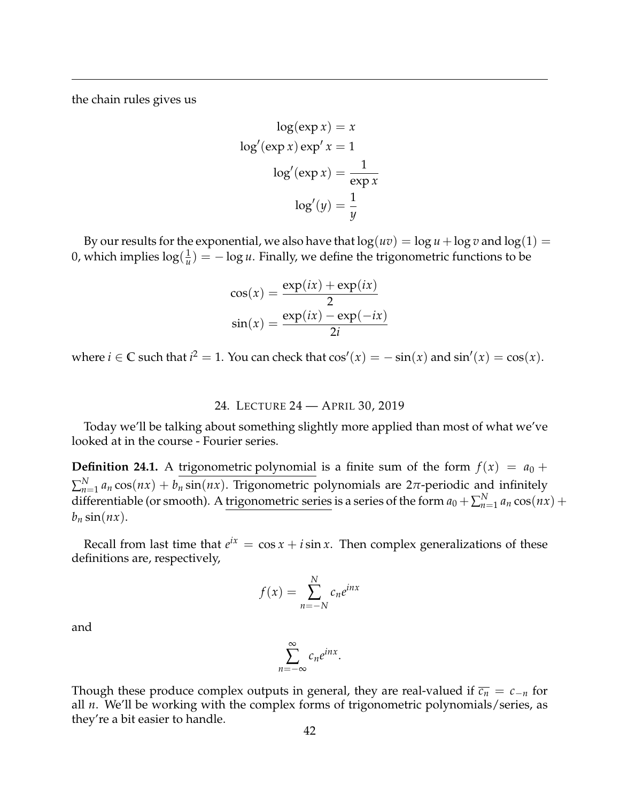the chain rules gives us

$$
\log(\exp x) = x
$$

$$
\log'(\exp x) \exp' x = 1
$$

$$
\log'(\exp x) = \frac{1}{\exp x}
$$

$$
\log'(y) = \frac{1}{y}
$$

By our results for the exponential, we also have that  $log(uv) = log u + log v$  and  $log(1) =$ 0, which implies  $\log(\frac{1}{u})$  $\frac{1}{u}$ ) =  $-\log u$ . Finally, we define the trigonometric functions to be

$$
\cos(x) = \frac{\exp(ix) + \exp(ix)}{2}
$$

$$
\sin(x) = \frac{\exp(ix) - \exp(-ix)}{2i}
$$

where  $i \in \mathbb{C}$  such that  $i^2 = 1$ . You can check that  $\cos'(x) = -\sin(x)$  and  $\sin'(x) = \cos(x)$ .

## 24. LECTURE 24 — APRIL 30, 2019

<span id="page-41-0"></span>Today we'll be talking about something slightly more applied than most of what we've looked at in the course - Fourier series.

**Definition 24.1.** A trigonometric polynomial is a finite sum of the form  $f(x) = a_0 +$  $\sum_{n=1}^{N} a_n \cos(nx) + b_n \sin(nx)$ . Trigonometric polynomials are 2*π*-periodic and infinitely differentiable (or smooth). A <u>trigonometric series</u> is a series of the form  $a_0 + \sum_{n=1}^{N} a_n \cos(nx) +$  $b_n$  sin( $nx$ ).

Recall from last time that  $e^{ix} = \cos x + i \sin x$ . Then complex generalizations of these definitions are, respectively,

$$
f(x) = \sum_{n=-N}^{N} c_n e^{inx}
$$

∞

and

Though these produce complex outputs in general, they are real-valued if 
$$
\overline{c_n} = c_{-n}
$$
 for all *n*. We'll be working with the complex forms of trigonometric polynomials/series, as they're a bit easier to handle.

 $\sum_{n=-\infty}^{\infty} c_n e^{inx}.$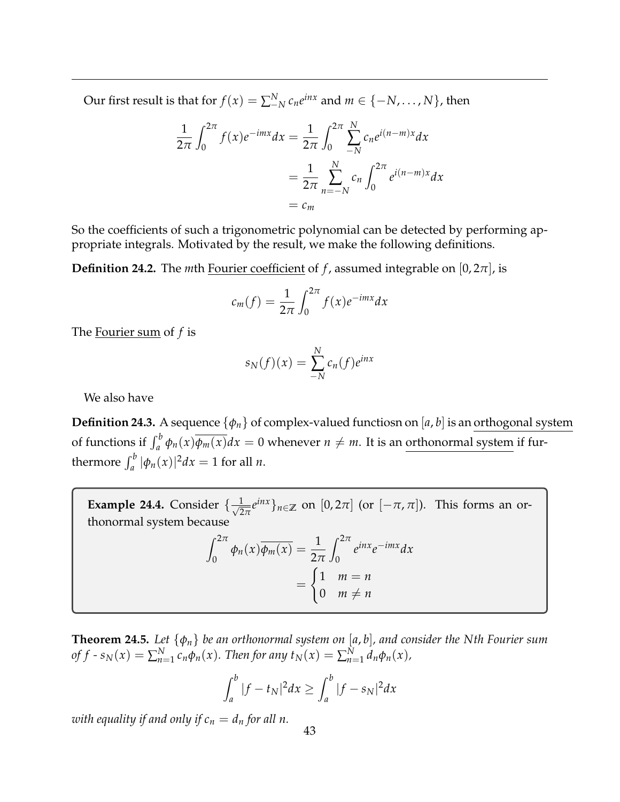Our first result is that for  $f(x) = \sum_{i=1}^{N} c_n e^{inx}$  and  $m \in \{-N, \ldots, N\}$ , then

$$
\frac{1}{2\pi} \int_0^{2\pi} f(x) e^{-imx} dx = \frac{1}{2\pi} \int_0^{2\pi} \sum_{-N}^N c_n e^{i(n-m)x} dx
$$

$$
= \frac{1}{2\pi} \sum_{n=-N}^N c_n \int_0^{2\pi} e^{i(n-m)x} dx
$$

$$
= c_m
$$

So the coefficients of such a trigonometric polynomial can be detected by performing appropriate integrals. Motivated by the result, we make the following definitions.

**Definition 24.2.** The *m*th Fourier coefficient of *f*, assumed integrable on  $[0, 2\pi]$ , is

$$
c_m(f) = \frac{1}{2\pi} \int_0^{2\pi} f(x) e^{-imx} dx
$$

The Fourier sum of *f* is

$$
s_N(f)(x) = \sum_{-N}^{N} c_n(f)e^{inx}
$$

We also have

**Definition 24.3.** A sequence {*φn*} of complex-valued functiosn on [*a*, *b*] is an orthogonal system of functions if  $\int_a^b \phi_n(x) \overline{\phi_m(x)} dx = 0$  whenever  $n \neq m$ . It is an <u>orthonormal system</u> if furthermore  $\int_a^b |\phi_n(x)|^2 dx = 1$  for all *n*.

**Example 24.4.** Consider  $\{\frac{1}{\sqrt{2}}\}$  $\frac{1}{2\pi}e^{inx}\}_n \in \mathbb{Z}$  on  $[0, 2\pi]$  (or  $[-\pi, \pi]$ ). This forms an orthonormal system because

$$
\int_0^{2\pi} \phi_n(x) \overline{\phi_m(x)} = \frac{1}{2\pi} \int_0^{2\pi} e^{inx} e^{-imx} dx
$$

$$
= \begin{cases} 1 & m = n \\ 0 & m \neq n \end{cases}
$$

**Theorem 24.5.** *Let* {*φn*} *be an orthonormal system on* [*a*, *b*]*, and consider the Nth Fourier sum*  $of f \cdot s_N(x) = \sum_{n=1}^N c_n \phi_n(x)$ . Then for any  $t_N(x) = \sum_{n=1}^N d_n \phi_n(x)$ ,

$$
\int_a^b |f - t_N|^2 dx \ge \int_a^b |f - s_N|^2 dx
$$

*with equality if and only if*  $c_n = d_n$  *for all n.*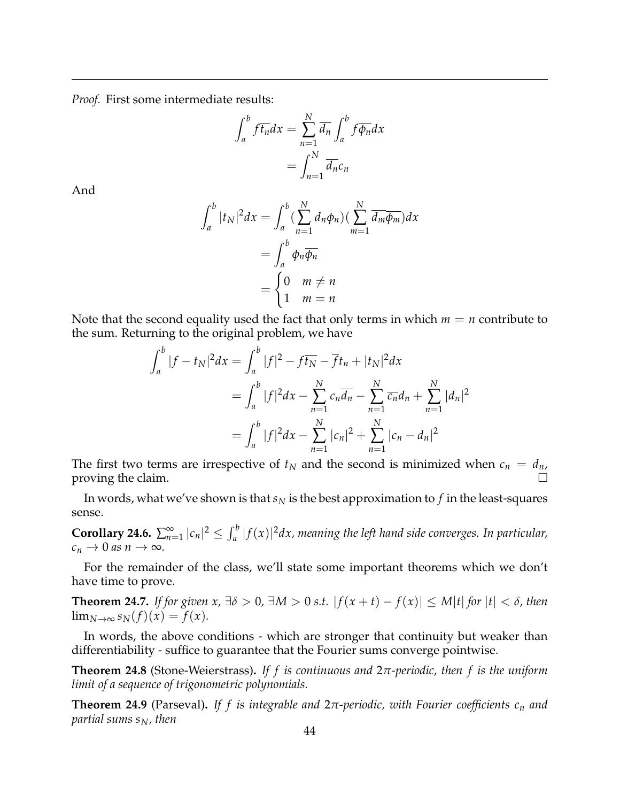*Proof.* First some intermediate results:

$$
\int_{a}^{b} f \overline{t_{n}} dx = \sum_{n=1}^{N} \overline{d_{n}} \int_{a}^{b} f \overline{\phi_{n}} dx
$$

$$
= \int_{n=1}^{N} \overline{d_{n}} c_{n}
$$

And

$$
\int_{a}^{b} |t_N|^2 dx = \int_{a}^{b} \left(\sum_{n=1}^{N} d_n \phi_n\right) \left(\sum_{m=1}^{N} \overline{d_m} \overline{\phi_m}\right) dx
$$

$$
= \int_{a}^{b} \phi_n \overline{\phi_n}
$$

$$
= \begin{cases} 0 & m \neq n \\ 1 & m = n \end{cases}
$$

Note that the second equality used the fact that only terms in which  $m = n$  contribute to the sum. Returning to the original problem, we have

$$
\int_{a}^{b} |f - t_N|^2 dx = \int_{a}^{b} |f|^2 - f\overline{t_N} - \overline{f}t_n + |t_N|^2 dx
$$
  
= 
$$
\int_{a}^{b} |f|^2 dx - \sum_{n=1}^{N} c_n \overline{d_n} - \sum_{n=1}^{N} \overline{c_n} d_n + \sum_{n=1}^{N} |d_n|^2
$$
  
= 
$$
\int_{a}^{b} |f|^2 dx - \sum_{n=1}^{N} |c_n|^2 + \sum_{n=1}^{N} |c_n - d_n|^2
$$

The first two terms are irrespective of  $t_N$  and the second is minimized when  $c_n = d_n$ , proving the claim.  $\Box$ 

In words, what we've shown is that  $s_N$  is the best approximation to  $f$  in the least-squares sense.

**Corollary 24.6.**  $\sum_{n=1}^{\infty} |c_n|^2 \leq \int_a^b |f(x)|^2 dx$ , meaning the left hand side converges. In particular,  $c_n \to 0$  *as*  $n \to \infty$ *.* 

For the remainder of the class, we'll state some important theorems which we don't have time to prove.

**Theorem 24.7.** *If for given x,* ∃*δ* > 0*,* ∃*M* > 0 *s.t.* | *f*(*x* + *t*) − *f*(*x*)| ≤ *M*|*t*| *for* |*t*| < *δ, then*  $\lim_{N\to\infty} s_N(f)(x) = f(x).$ 

In words, the above conditions - which are stronger that continuity but weaker than differentiability - suffice to guarantee that the Fourier sums converge pointwise.

**Theorem 24.8** (Stone-Weierstrass)**.** *If f is continuous and* 2*π-periodic, then f is the uniform limit of a sequence of trigonometric polynomials.*

**Theorem 24.9** (Parseval)**.** *If f is integrable and* 2*π-periodic, with Fourier coefficients c<sup>n</sup> and partial sums sN, then*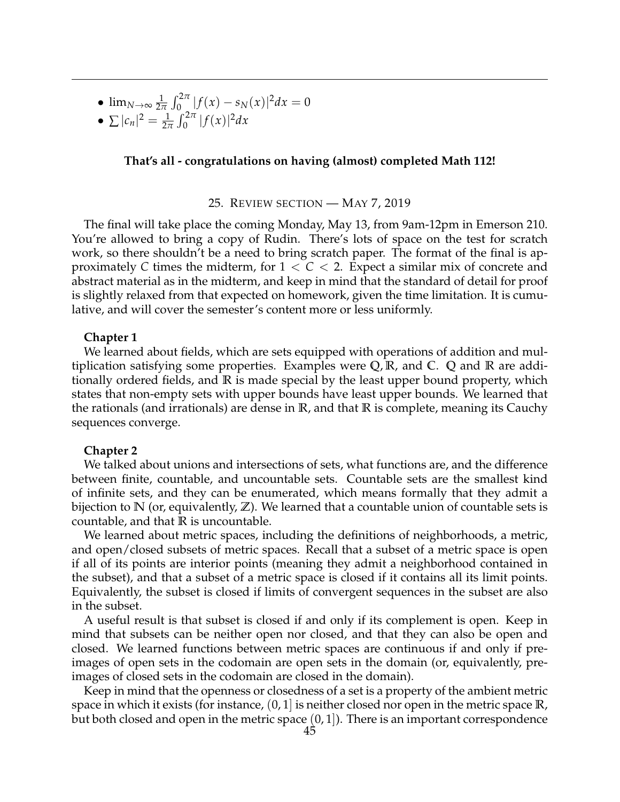•  $\lim_{N\to\infty}\frac{1}{2N}$  $\frac{1}{2\pi} \int_0^{2\pi} |f(x) - s_N(x)|^2 dx = 0$ 

• 
$$
\sum |c_n|^2 = \frac{1}{2\pi} \int_0^{2\pi} |f(x)|^2 dx
$$

## **That's all - congratulations on having (almost) completed Math 112!**

### 25. REVIEW SECTION — MAY 7, 2019

<span id="page-44-0"></span>The final will take place the coming Monday, May 13, from 9am-12pm in Emerson 210. You're allowed to bring a copy of Rudin. There's lots of space on the test for scratch work, so there shouldn't be a need to bring scratch paper. The format of the final is approximately C times the midterm, for  $1 < C < 2$ . Expect a similar mix of concrete and abstract material as in the midterm, and keep in mind that the standard of detail for proof is slightly relaxed from that expected on homework, given the time limitation. It is cumulative, and will cover the semester's content more or less uniformly.

### **Chapter 1**

We learned about fields, which are sets equipped with operations of addition and multiplication satisfying some properties. Examples were **Q**, **R**, and **C**. **Q** and **R** are additionally ordered fields, and **R** is made special by the least upper bound property, which states that non-empty sets with upper bounds have least upper bounds. We learned that the rationals (and irrationals) are dense in **R**, and that **R** is complete, meaning its Cauchy sequences converge.

### **Chapter 2**

We talked about unions and intersections of sets, what functions are, and the difference between finite, countable, and uncountable sets. Countable sets are the smallest kind of infinite sets, and they can be enumerated, which means formally that they admit a bijection to **N** (or, equivalently, **Z**). We learned that a countable union of countable sets is countable, and that **R** is uncountable.

We learned about metric spaces, including the definitions of neighborhoods, a metric, and open/closed subsets of metric spaces. Recall that a subset of a metric space is open if all of its points are interior points (meaning they admit a neighborhood contained in the subset), and that a subset of a metric space is closed if it contains all its limit points. Equivalently, the subset is closed if limits of convergent sequences in the subset are also in the subset.

A useful result is that subset is closed if and only if its complement is open. Keep in mind that subsets can be neither open nor closed, and that they can also be open and closed. We learned functions between metric spaces are continuous if and only if preimages of open sets in the codomain are open sets in the domain (or, equivalently, preimages of closed sets in the codomain are closed in the domain).

Keep in mind that the openness or closedness of a set is a property of the ambient metric space in which it exists (for instance, (0, 1] is neither closed nor open in the metric space **R**, but both closed and open in the metric space  $(0, 1]$ ). There is an important correspondence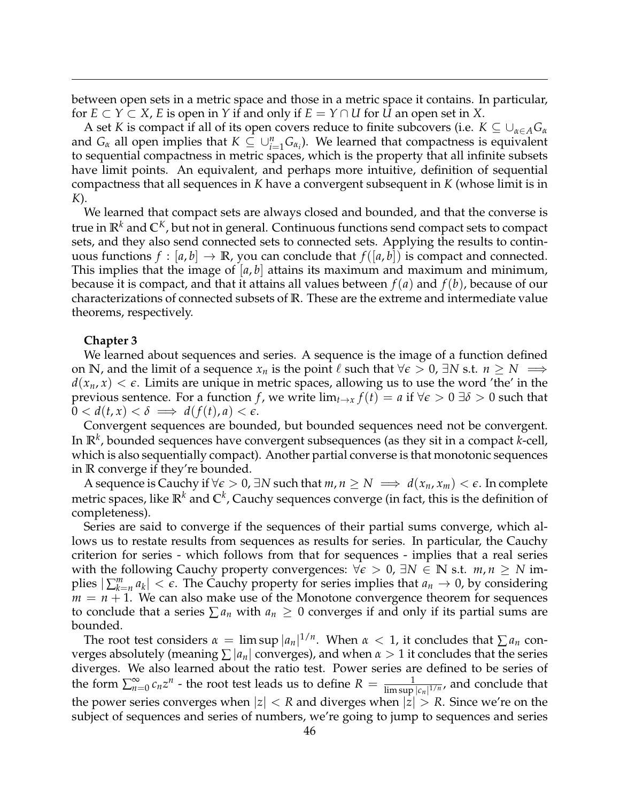between open sets in a metric space and those in a metric space it contains. In particular, for  $E \subset Y \subset X$ , *E* is open in *Y* if and only if  $E = Y \cap U$  for *U* an open set in *X*.

A set *K* is compact if all of its open covers reduce to finite subcovers (i.e.  $K \subseteq \bigcup_{\alpha \in A} G_{\alpha}$ and  $G_\alpha$  all open implies that  $K \subseteq \bigcup_{i=1}^n G_{\alpha_i}$ . We learned that compactness is equivalent to sequential compactness in metric spaces, which is the property that all infinite subsets have limit points. An equivalent, and perhaps more intuitive, definition of sequential compactness that all sequences in *K* have a convergent subsequent in *K* (whose limit is in *K*).

We learned that compact sets are always closed and bounded, and that the converse is true in **R***<sup>k</sup>* and **C***K*, but not in general. Continuous functions send compact sets to compact sets, and they also send connected sets to connected sets. Applying the results to continuous functions  $f : [a, b] \to \mathbb{R}$ , you can conclude that  $f([a, b])$  is compact and connected. This implies that the image of  $[a, b]$  attains its maximum and maximum and minimum, because it is compact, and that it attains all values between *f*(*a*) and *f*(*b*), because of our characterizations of connected subsets of **R**. These are the extreme and intermediate value theorems, respectively.

### **Chapter 3**

We learned about sequences and series. A sequence is the image of a function defined on **N**, and the limit of a sequence  $x_n$  is the point  $\ell$  such that  $\forall \epsilon > 0$ ,  $\exists N \text{ s.t. } n \geq N \implies$  $d(x_n, x) < \epsilon$ . Limits are unique in metric spaces, allowing us to use the word 'the' in the previous sentence. For a function *f*, we write  $\lim_{t\to x} f(t) = a$  if  $\forall \epsilon > 0$   $\exists \delta > 0$  such that  $0 < d(t, x) < \delta \implies d(f(t), a) < \epsilon.$ 

Convergent sequences are bounded, but bounded sequences need not be convergent. In **R***<sup>k</sup>* , bounded sequences have convergent subsequences (as they sit in a compact *k*-cell, which is also sequentially compact). Another partial converse is that monotonic sequences in **R** converge if they're bounded.

A sequence is Cauchy if  $\forall \epsilon > 0$ ,  $\exists N$  such that  $m, n \geq N \implies d(x_n, x_m) < \epsilon$ . In complete metric spaces, like **R***<sup>k</sup>* and **C***<sup>k</sup>* , Cauchy sequences converge (in fact, this is the definition of completeness).

Series are said to converge if the sequences of their partial sums converge, which allows us to restate results from sequences as results for series. In particular, the Cauchy criterion for series - which follows from that for sequences - implies that a real series with the following Cauchy property convergences:  $\forall \epsilon > 0$ ,  $\exists N \in \mathbb{N}$  s.t.  $m, n \geq N$  implies  $|\sum_{k=n}^{m} a_k| < \epsilon$ . The Cauchy property for series implies that  $a_n \to 0$ , by considering  $m = n + 1$ . We can also make use of the Monotone convergence theorem for sequences to conclude that a series  $\sum a_n$  with  $a_n \geq 0$  converges if and only if its partial sums are bounded.

The root test considers  $\alpha = \limsup |a_n|^{1/n}$ . When  $\alpha < 1$ , it concludes that  $\sum a_n$  converges absolutely (meaning  $\sum |a_n|$  converges), and when  $\alpha > 1$  it concludes that the series diverges. We also learned about the ratio test. Power series are defined to be series of the form  $\sum_{n=0}^{\infty} c_n z^n$  - the root test leads us to define  $R = \frac{1}{\limsup |c_n|^{1/n}}$ , and conclude that the power series converges when  $|z| < R$  and diverges when  $|z| > R$ . Since we're on the subject of sequences and series of numbers, we're going to jump to sequences and series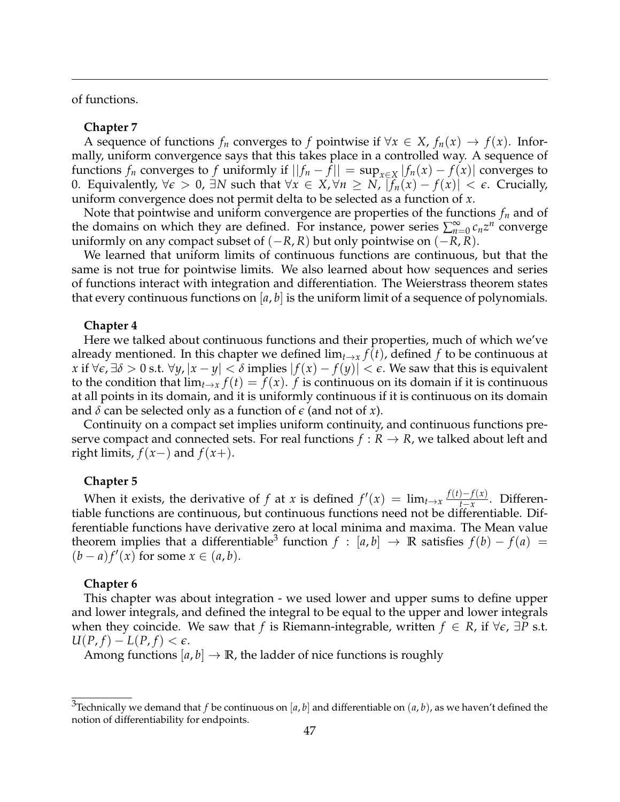of functions.

### **Chapter 7**

A sequence of functions  $f_n$  converges to f pointwise if  $\forall x \in X$ ,  $f_n(x) \to f(x)$ . Informally, uniform convergence says that this takes place in a controlled way. A sequence of functions  $f_n$  converges to  $f$  uniformly if  $||f_n - f|| = \sup_{x \in X} |f_n(x) - f(x)|$  converges to 0. Equivalently,  $\forall \epsilon > 0$ , ∃*N* such that  $\forall x \in X, \forall n \geq N$ ,  $|f_n(x) - f(x)| < \epsilon$ . Crucially, uniform convergence does not permit delta to be selected as a function of *x*.

Note that pointwise and uniform convergence are properties of the functions *f<sup>n</sup>* and of the domains on which they are defined. For instance, power series  $\sum_{n=0}^{\infty} c_n z^n$  converge uniformly on any compact subset of  $(-R, R)$  but only pointwise on  $(-R, R)$ .

We learned that uniform limits of continuous functions are continuous, but that the same is not true for pointwise limits. We also learned about how sequences and series of functions interact with integration and differentiation. The Weierstrass theorem states that every continuous functions on  $[a, b]$  is the uniform limit of a sequence of polynomials.

### **Chapter 4**

Here we talked about continuous functions and their properties, much of which we've already mentioned. In this chapter we defined  $\lim_{t\to x} f(t)$ , defined f to be continuous at *x* if  $\forall \epsilon, \exists \delta > 0$  s.t.  $\forall y, |x - y| < \delta$  implies  $|f(x) - f(y)| < \epsilon$ . We saw that this is equivalent to the condition that  $\lim_{t\to x} f(t) = f(x)$ . *f* is continuous on its domain if it is continuous at all points in its domain, and it is uniformly continuous if it is continuous on its domain and *δ* can be selected only as a function of *e* (and not of *x*).

Continuity on a compact set implies uniform continuity, and continuous functions preserve compact and connected sets. For real functions  $f: R \to R$ , we talked about left and right limits,  $f(x-)$  and  $f(x+)$ .

### **Chapter 5**

When it exists, the derivative of *f* at *x* is defined  $f'(x) = \lim_{t \to x} \frac{f(t) - f(x)}{t - x}$  $\frac{f(x)}{f(x)}$ . Differentiable functions are continuous, but continuous functions need not be differentiable. Differentiable functions have derivative zero at local minima and maxima. The Mean value theorem implies that a differentiable<sup>[3](#page-46-0)</sup> function  $f : [a, b] \rightarrow \mathbb{R}$  satisfies  $f(b) - f(a) =$  $(b-a)f'(x)$  for some  $x \in (a, b)$ .

### **Chapter 6**

This chapter was about integration - we used lower and upper sums to define upper and lower integrals, and defined the integral to be equal to the upper and lower integrals when they coincide. We saw that *f* is Riemann-integrable, written  $f \in R$ , if  $\forall \epsilon$ ,  $\exists P$  s.t.  $U(P, f) - L(P, f) < \epsilon.$ 

Among functions  $[a, b] \rightarrow \mathbb{R}$ , the ladder of nice functions is roughly

<span id="page-46-0"></span><sup>&</sup>lt;sup>3</sup>Technically we demand that *f* be continuous on [a, b] and differentiable on  $(a, b)$ , as we haven't defined the notion of differentiability for endpoints.